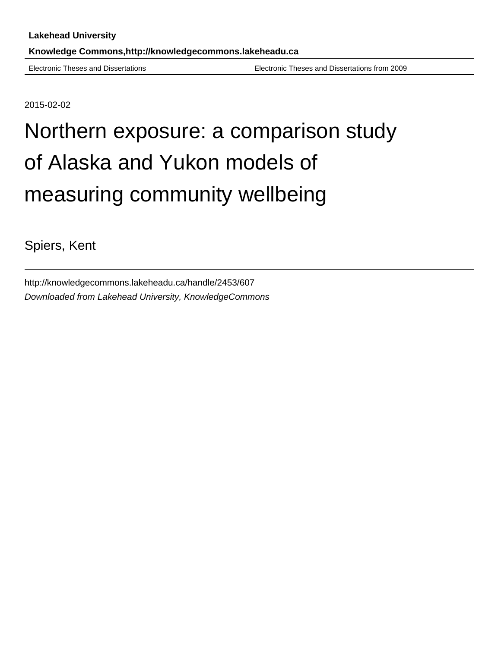Electronic Theses and Dissertations Electronic Theses and Dissertations from 2009

2015-02-02

# Northern exposure: a comparison study of Alaska and Yukon models of measuring community wellbeing

Spiers, Kent

http://knowledgecommons.lakeheadu.ca/handle/2453/607 Downloaded from Lakehead University, KnowledgeCommons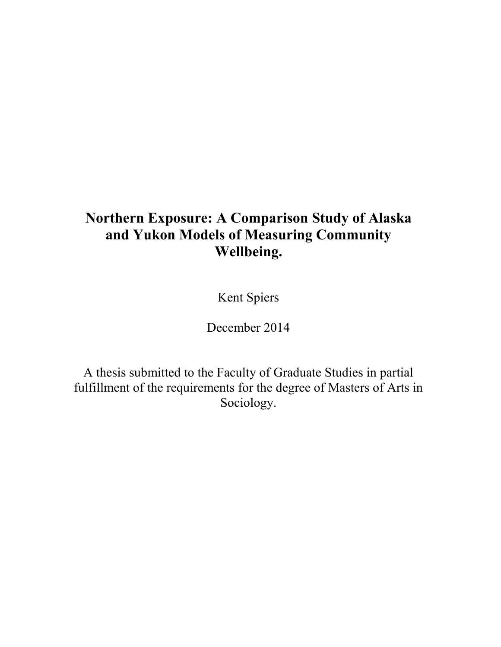# **Northern Exposure: A Comparison Study of Alaska and Yukon Models of Measuring Community Wellbeing.**

Kent Spiers

December 2014

A thesis submitted to the Faculty of Graduate Studies in partial fulfillment of the requirements for the degree of Masters of Arts in Sociology.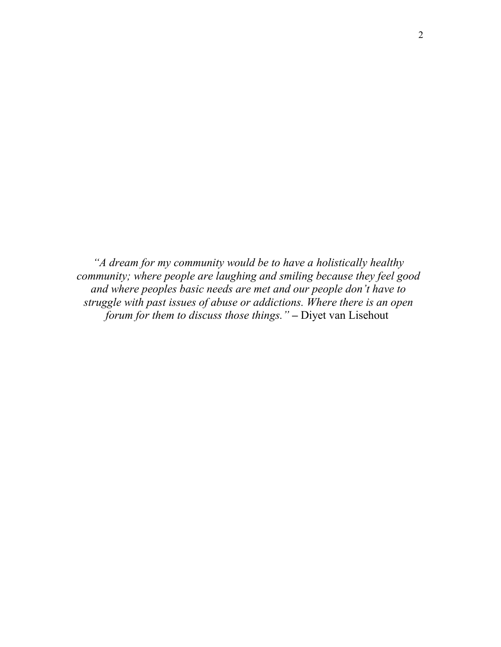*"A dream for my community would be to have a holistically healthy community; where people are laughing and smiling because they feel good and where peoples basic needs are met and our people don't have to struggle with past issues of abuse or addictions. Where there is an open forum for them to discuss those things."* **–** Diyet van Lisehout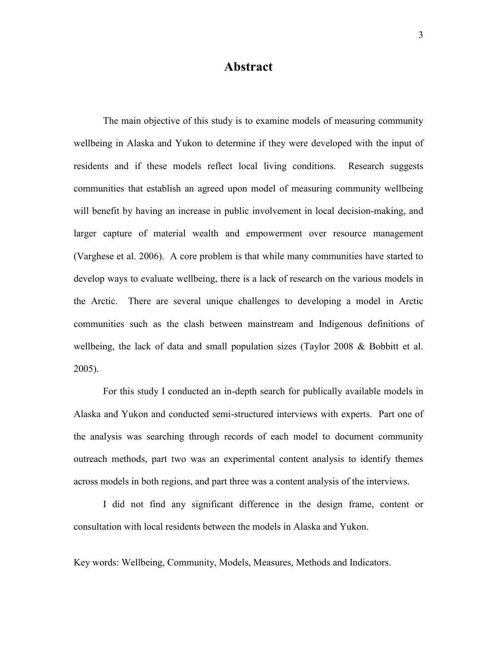## **Abstract**

The main objective of this study is to examine models of measuring community wellbeing in Alaska and Yukon to determine if they were developed with the input of residents and if these models reflect local living conditions. Research suggests communities that establish an agreed upon model of measuring community wellbeing will benefit by having an increase in public involvement in local decision-making, and larger capture of material wealth and empowerment over resource management (Varghese et al. 2006). A core problem is that while many communities have started to develop ways to evaluate wellbeing, there is a lack of research on the various models in the Arctic. There are several unique challenges to developing a model in Arctic communities such as the clash between mainstream and Indigenous definitions of wellbeing, the lack of data and small population sizes (Taylor 2008 & Bobbitt et al. 2005).

For this study I conducted an in-depth search for publically available models in Alaska and Yukon and conducted semi-structured interviews with experts. Part one of the analysis was searching through records of each model to document community outreach methods, part two was an experimental content analysis to identify themes across models in both regions, and part three was a content analysis of the interviews.

I did not find any significant difference in the design frame, content or consultation with local residents between the models in Alaska and Yukon.

Key words: Wellbeing, Community, Models, Measures, Methods and Indicators.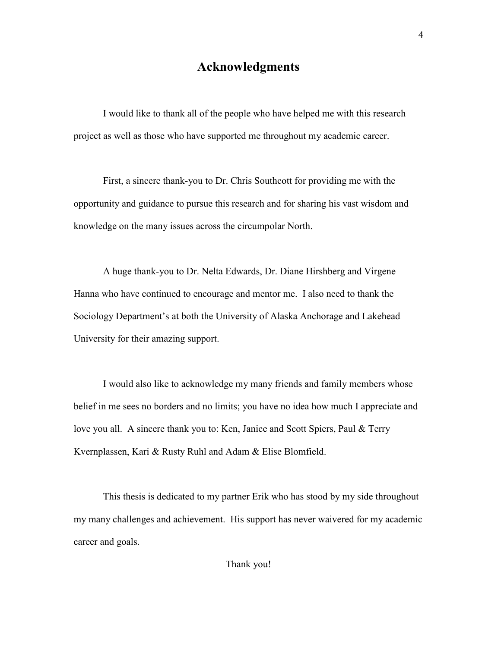# **Acknowledgments**

I would like to thank all of the people who have helped me with this research project as well as those who have supported me throughout my academic career.

First, a sincere thank-you to Dr. Chris Southcott for providing me with the opportunity and guidance to pursue this research and for sharing his vast wisdom and knowledge on the many issues across the circumpolar North.

A huge thank-you to Dr. Nelta Edwards, Dr. Diane Hirshberg and Virgene Hanna who have continued to encourage and mentor me. I also need to thank the Sociology Department's at both the University of Alaska Anchorage and Lakehead University for their amazing support.

I would also like to acknowledge my many friends and family members whose belief in me sees no borders and no limits; you have no idea how much I appreciate and love you all. A sincere thank you to: Ken, Janice and Scott Spiers, Paul & Terry Kvernplassen, Kari & Rusty Ruhl and Adam & Elise Blomfield.

This thesis is dedicated to my partner Erik who has stood by my side throughout my many challenges and achievement. His support has never waivered for my academic career and goals.

Thank you!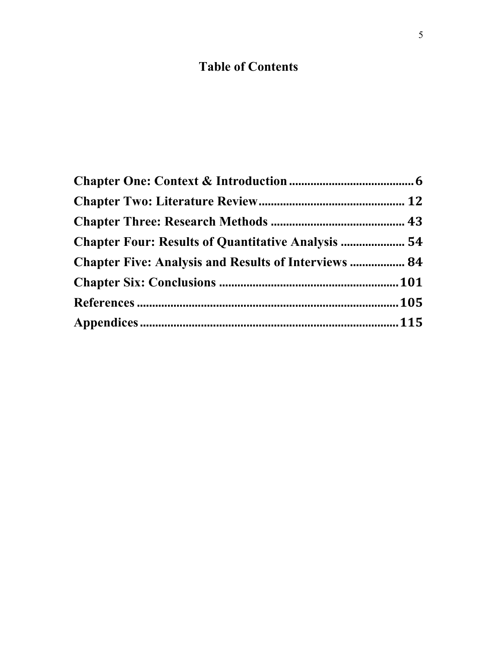# **Table of Contents**

| <b>Chapter Four: Results of Quantitative Analysis  54</b>   |  |
|-------------------------------------------------------------|--|
| <b>Chapter Five: Analysis and Results of Interviews  84</b> |  |
|                                                             |  |
|                                                             |  |
|                                                             |  |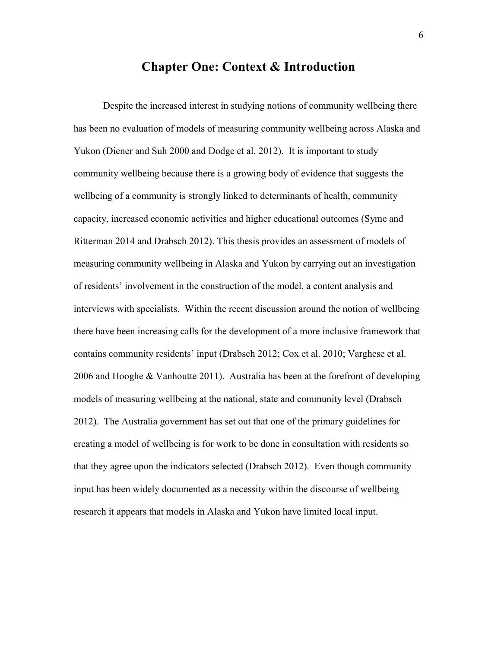## **Chapter One: Context & Introduction**

Despite the increased interest in studying notions of community wellbeing there has been no evaluation of models of measuring community wellbeing across Alaska and Yukon (Diener and Suh 2000 and Dodge et al. 2012). It is important to study community wellbeing because there is a growing body of evidence that suggests the wellbeing of a community is strongly linked to determinants of health, community capacity, increased economic activities and higher educational outcomes (Syme and Ritterman 2014 and Drabsch 2012). This thesis provides an assessment of models of measuring community wellbeing in Alaska and Yukon by carrying out an investigation of residents' involvement in the construction of the model, a content analysis and interviews with specialists. Within the recent discussion around the notion of wellbeing there have been increasing calls for the development of a more inclusive framework that contains community residents' input (Drabsch 2012; Cox et al. 2010; Varghese et al. 2006 and Hooghe & Vanhoutte 2011). Australia has been at the forefront of developing models of measuring wellbeing at the national, state and community level (Drabsch 2012). The Australia government has set out that one of the primary guidelines for creating a model of wellbeing is for work to be done in consultation with residents so that they agree upon the indicators selected (Drabsch 2012). Even though community input has been widely documented as a necessity within the discourse of wellbeing research it appears that models in Alaska and Yukon have limited local input.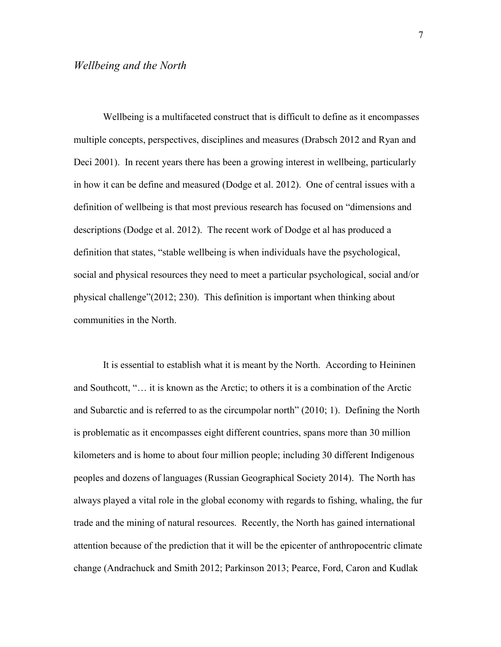Wellbeing is a multifaceted construct that is difficult to define as it encompasses multiple concepts, perspectives, disciplines and measures (Drabsch 2012 and Ryan and Deci 2001). In recent years there has been a growing interest in wellbeing, particularly in how it can be define and measured (Dodge et al. 2012). One of central issues with a definition of wellbeing is that most previous research has focused on "dimensions and descriptions (Dodge et al. 2012). The recent work of Dodge et al has produced a definition that states, "stable wellbeing is when individuals have the psychological, social and physical resources they need to meet a particular psychological, social and/or physical challenge"(2012; 230). This definition is important when thinking about communities in the North.

It is essential to establish what it is meant by the North. According to Heininen and Southcott, "… it is known as the Arctic; to others it is a combination of the Arctic and Subarctic and is referred to as the circumpolar north" (2010; 1). Defining the North is problematic as it encompasses eight different countries, spans more than 30 million kilometers and is home to about four million people; including 30 different Indigenous peoples and dozens of languages (Russian Geographical Society 2014). The North has always played a vital role in the global economy with regards to fishing, whaling, the fur trade and the mining of natural resources. Recently, the North has gained international attention because of the prediction that it will be the epicenter of anthropocentric climate change (Andrachuck and Smith 2012; Parkinson 2013; Pearce, Ford, Caron and Kudlak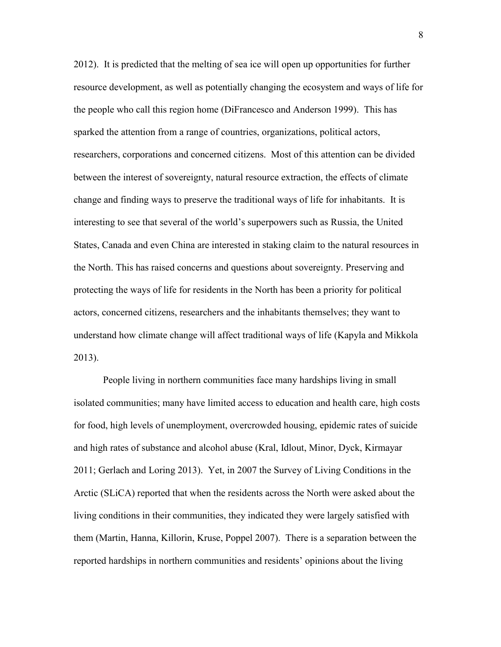2012). It is predicted that the melting of sea ice will open up opportunities for further resource development, as well as potentially changing the ecosystem and ways of life for the people who call this region home (DiFrancesco and Anderson 1999). This has sparked the attention from a range of countries, organizations, political actors, researchers, corporations and concerned citizens. Most of this attention can be divided between the interest of sovereignty, natural resource extraction, the effects of climate change and finding ways to preserve the traditional ways of life for inhabitants. It is interesting to see that several of the world's superpowers such as Russia, the United States, Canada and even China are interested in staking claim to the natural resources in the North. This has raised concerns and questions about sovereignty. Preserving and protecting the ways of life for residents in the North has been a priority for political actors, concerned citizens, researchers and the inhabitants themselves; they want to understand how climate change will affect traditional ways of life (Kapyla and Mikkola 2013).

People living in northern communities face many hardships living in small isolated communities; many have limited access to education and health care, high costs for food, high levels of unemployment, overcrowded housing, epidemic rates of suicide and high rates of substance and alcohol abuse (Kral, Idlout, Minor, Dyck, Kirmayar 2011; Gerlach and Loring 2013). Yet, in 2007 the Survey of Living Conditions in the Arctic (SLiCA) reported that when the residents across the North were asked about the living conditions in their communities, they indicated they were largely satisfied with them (Martin, Hanna, Killorin, Kruse, Poppel 2007). There is a separation between the reported hardships in northern communities and residents' opinions about the living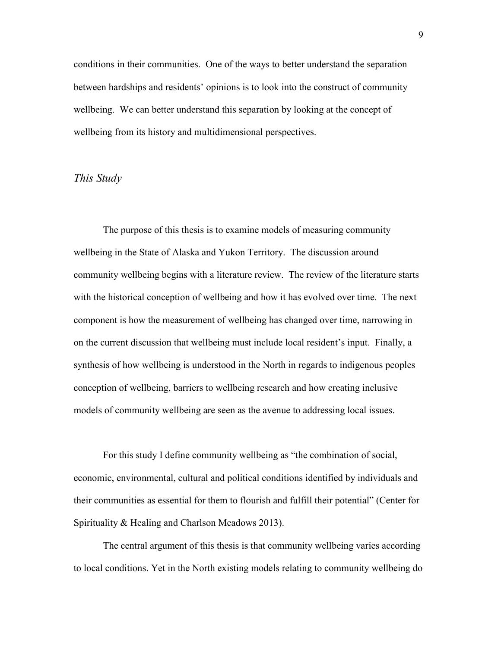conditions in their communities. One of the ways to better understand the separation between hardships and residents' opinions is to look into the construct of community wellbeing. We can better understand this separation by looking at the concept of wellbeing from its history and multidimensional perspectives.

## *This Study*

The purpose of this thesis is to examine models of measuring community wellbeing in the State of Alaska and Yukon Territory. The discussion around community wellbeing begins with a literature review. The review of the literature starts with the historical conception of wellbeing and how it has evolved over time. The next component is how the measurement of wellbeing has changed over time, narrowing in on the current discussion that wellbeing must include local resident's input. Finally, a synthesis of how wellbeing is understood in the North in regards to indigenous peoples conception of wellbeing, barriers to wellbeing research and how creating inclusive models of community wellbeing are seen as the avenue to addressing local issues.

For this study I define community wellbeing as "the combination of social, economic, environmental, cultural and political conditions identified by individuals and their communities as essential for them to flourish and fulfill their potential" (Center for Spirituality & Healing and Charlson Meadows 2013).

The central argument of this thesis is that community wellbeing varies according to local conditions. Yet in the North existing models relating to community wellbeing do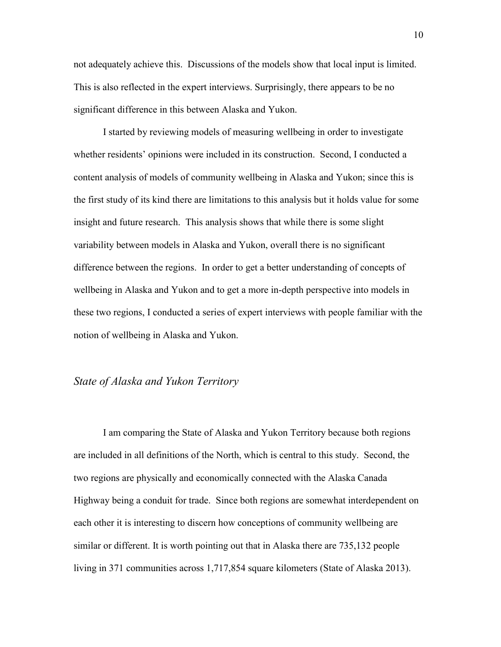not adequately achieve this. Discussions of the models show that local input is limited. This is also reflected in the expert interviews. Surprisingly, there appears to be no significant difference in this between Alaska and Yukon.

I started by reviewing models of measuring wellbeing in order to investigate whether residents' opinions were included in its construction. Second, I conducted a content analysis of models of community wellbeing in Alaska and Yukon; since this is the first study of its kind there are limitations to this analysis but it holds value for some insight and future research. This analysis shows that while there is some slight variability between models in Alaska and Yukon, overall there is no significant difference between the regions. In order to get a better understanding of concepts of wellbeing in Alaska and Yukon and to get a more in-depth perspective into models in these two regions, I conducted a series of expert interviews with people familiar with the notion of wellbeing in Alaska and Yukon.

#### *State of Alaska and Yukon Territory*

I am comparing the State of Alaska and Yukon Territory because both regions are included in all definitions of the North, which is central to this study. Second, the two regions are physically and economically connected with the Alaska Canada Highway being a conduit for trade. Since both regions are somewhat interdependent on each other it is interesting to discern how conceptions of community wellbeing are similar or different. It is worth pointing out that in Alaska there are 735,132 people living in 371 communities across 1,717,854 square kilometers (State of Alaska 2013).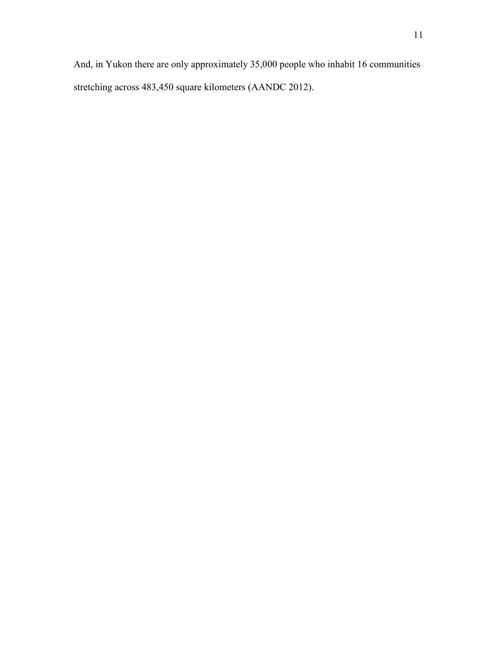And, in Yukon there are only approximately 35,000 people who inhabit 16 communities stretching across 483,450 square kilometers (AANDC 2012).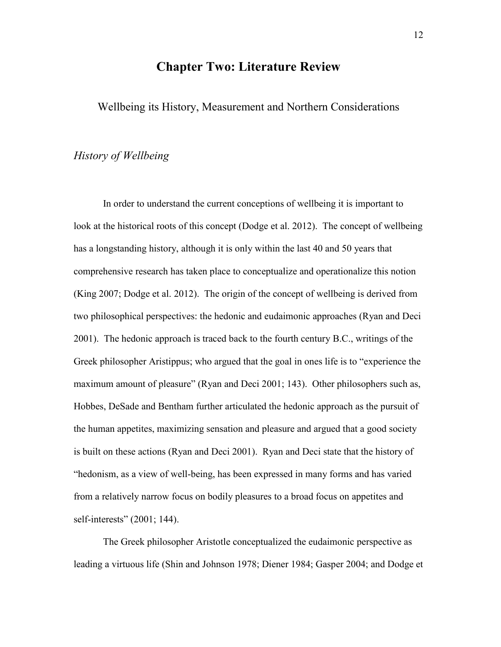# **Chapter Two: Literature Review**

Wellbeing its History, Measurement and Northern Considerations

#### *History of Wellbeing*

In order to understand the current conceptions of wellbeing it is important to look at the historical roots of this concept (Dodge et al. 2012). The concept of wellbeing has a longstanding history, although it is only within the last 40 and 50 years that comprehensive research has taken place to conceptualize and operationalize this notion (King 2007; Dodge et al. 2012). The origin of the concept of wellbeing is derived from two philosophical perspectives: the hedonic and eudaimonic approaches (Ryan and Deci 2001). The hedonic approach is traced back to the fourth century B.C., writings of the Greek philosopher Aristippus; who argued that the goal in ones life is to "experience the maximum amount of pleasure" (Ryan and Deci 2001; 143). Other philosophers such as, Hobbes, DeSade and Bentham further articulated the hedonic approach as the pursuit of the human appetites, maximizing sensation and pleasure and argued that a good society is built on these actions (Ryan and Deci 2001). Ryan and Deci state that the history of "hedonism, as a view of well-being, has been expressed in many forms and has varied from a relatively narrow focus on bodily pleasures to a broad focus on appetites and self-interests" (2001; 144).

The Greek philosopher Aristotle conceptualized the eudaimonic perspective as leading a virtuous life (Shin and Johnson 1978; Diener 1984; Gasper 2004; and Dodge et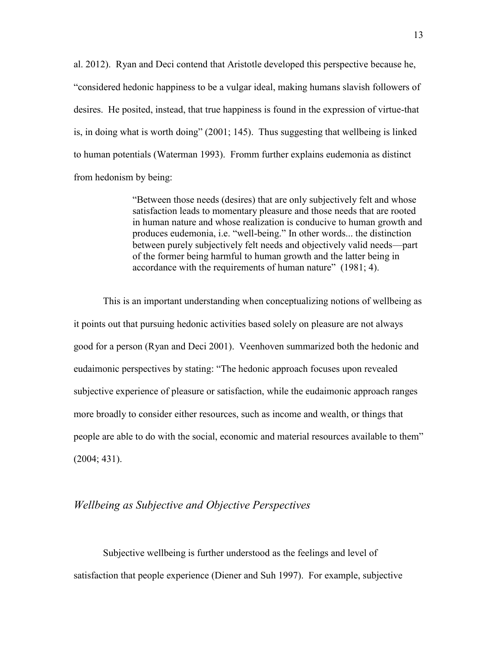al. 2012). Ryan and Deci contend that Aristotle developed this perspective because he, "considered hedonic happiness to be a vulgar ideal, making humans slavish followers of desires. He posited, instead, that true happiness is found in the expression of virtue-that is, in doing what is worth doing" (2001; 145). Thus suggesting that wellbeing is linked to human potentials (Waterman 1993). Fromm further explains eudemonia as distinct from hedonism by being:

> "Between those needs (desires) that are only subjectively felt and whose satisfaction leads to momentary pleasure and those needs that are rooted in human nature and whose realization is conducive to human growth and produces eudemonia, i.e. "well-being." In other words... the distinction between purely subjectively felt needs and objectively valid needs—part of the former being harmful to human growth and the latter being in accordance with the requirements of human nature" (1981; 4).

This is an important understanding when conceptualizing notions of wellbeing as it points out that pursuing hedonic activities based solely on pleasure are not always good for a person (Ryan and Deci 2001). Veenhoven summarized both the hedonic and eudaimonic perspectives by stating: "The hedonic approach focuses upon revealed subjective experience of pleasure or satisfaction, while the eudaimonic approach ranges more broadly to consider either resources, such as income and wealth, or things that people are able to do with the social, economic and material resources available to them" (2004; 431).

#### *Wellbeing as Subjective and Objective Perspectives*

Subjective wellbeing is further understood as the feelings and level of satisfaction that people experience (Diener and Suh 1997). For example, subjective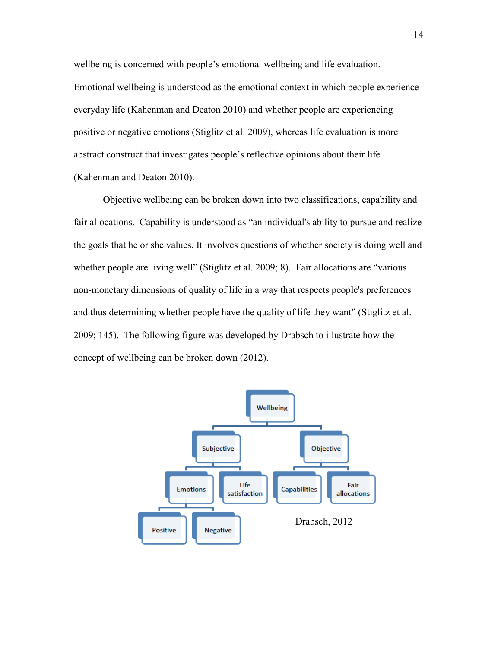wellbeing is concerned with people's emotional wellbeing and life evaluation. Emotional wellbeing is understood as the emotional context in which people experience everyday life (Kahenman and Deaton 2010) and whether people are experiencing positive or negative emotions (Stiglitz et al. 2009), whereas life evaluation is more abstract construct that investigates people's reflective opinions about their life (Kahenman and Deaton 2010).

Objective wellbeing can be broken down into two classifications, capability and fair allocations. Capability is understood as "an individual's ability to pursue and realize the goals that he or she values. It involves questions of whether society is doing well and whether people are living well" (Stiglitz et al. 2009; 8). Fair allocations are "various non-monetary dimensions of quality of life in a way that respects people's preferences and thus determining whether people have the quality of life they want" (Stiglitz et al. 2009; 145). The following figure was developed by Drabsch to illustrate how the concept of wellbeing can be broken down (2012).

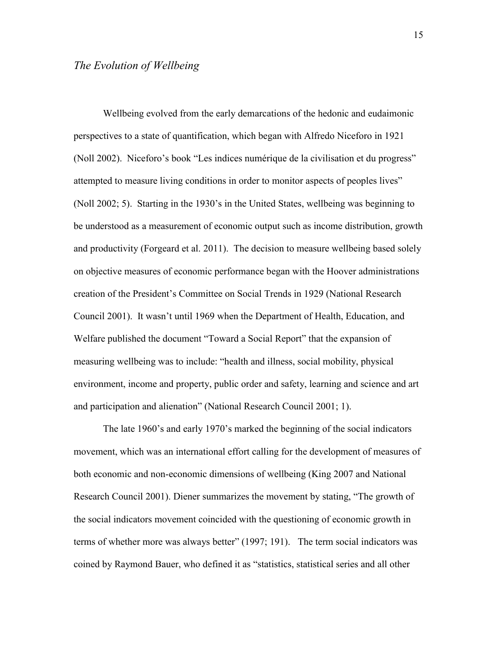#### *The Evolution of Wellbeing*

Wellbeing evolved from the early demarcations of the hedonic and eudaimonic perspectives to a state of quantification, which began with Alfredo Niceforo in 1921 (Noll 2002). Niceforo's book "Les indices numérique de la civilisation et du progress" attempted to measure living conditions in order to monitor aspects of peoples lives" (Noll 2002; 5). Starting in the 1930's in the United States, wellbeing was beginning to be understood as a measurement of economic output such as income distribution, growth and productivity (Forgeard et al. 2011). The decision to measure wellbeing based solely on objective measures of economic performance began with the Hoover administrations creation of the President's Committee on Social Trends in 1929 (National Research Council 2001). It wasn't until 1969 when the Department of Health, Education, and Welfare published the document "Toward a Social Report" that the expansion of measuring wellbeing was to include: "health and illness, social mobility, physical environment, income and property, public order and safety, learning and science and art and participation and alienation" (National Research Council 2001; 1).

The late 1960's and early 1970's marked the beginning of the social indicators movement, which was an international effort calling for the development of measures of both economic and non-economic dimensions of wellbeing (King 2007 and National Research Council 2001). Diener summarizes the movement by stating, "The growth of the social indicators movement coincided with the questioning of economic growth in terms of whether more was always better" (1997; 191). The term social indicators was coined by Raymond Bauer, who defined it as "statistics, statistical series and all other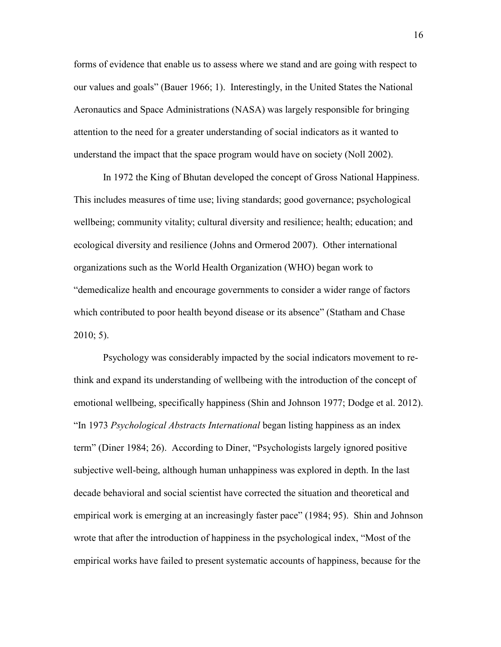forms of evidence that enable us to assess where we stand and are going with respect to our values and goals" (Bauer 1966; 1). Interestingly, in the United States the National Aeronautics and Space Administrations (NASA) was largely responsible for bringing attention to the need for a greater understanding of social indicators as it wanted to understand the impact that the space program would have on society (Noll 2002).

In 1972 the King of Bhutan developed the concept of Gross National Happiness. This includes measures of time use; living standards; good governance; psychological wellbeing; community vitality; cultural diversity and resilience; health; education; and ecological diversity and resilience (Johns and Ormerod 2007). Other international organizations such as the World Health Organization (WHO) began work to "demedicalize health and encourage governments to consider a wider range of factors which contributed to poor health beyond disease or its absence" (Statham and Chase  $2010; 5$ ).

Psychology was considerably impacted by the social indicators movement to rethink and expand its understanding of wellbeing with the introduction of the concept of emotional wellbeing, specifically happiness (Shin and Johnson 1977; Dodge et al. 2012). "In 1973 *Psychological Abstracts International* began listing happiness as an index term" (Diner 1984; 26). According to Diner, "Psychologists largely ignored positive subjective well-being, although human unhappiness was explored in depth. In the last decade behavioral and social scientist have corrected the situation and theoretical and empirical work is emerging at an increasingly faster pace" (1984; 95). Shin and Johnson wrote that after the introduction of happiness in the psychological index, "Most of the empirical works have failed to present systematic accounts of happiness, because for the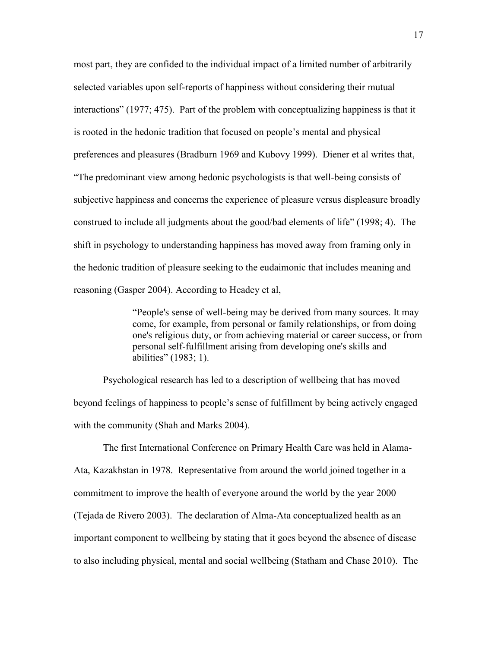most part, they are confided to the individual impact of a limited number of arbitrarily selected variables upon self-reports of happiness without considering their mutual interactions" (1977; 475). Part of the problem with conceptualizing happiness is that it is rooted in the hedonic tradition that focused on people's mental and physical preferences and pleasures (Bradburn 1969 and Kubovy 1999). Diener et al writes that, "The predominant view among hedonic psychologists is that well-being consists of subjective happiness and concerns the experience of pleasure versus displeasure broadly construed to include all judgments about the good/bad elements of life" (1998; 4). The shift in psychology to understanding happiness has moved away from framing only in the hedonic tradition of pleasure seeking to the eudaimonic that includes meaning and reasoning (Gasper 2004). According to Headey et al,

> "People's sense of well-being may be derived from many sources. It may come, for example, from personal or family relationships, or from doing one's religious duty, or from achieving material or career success, or from personal self-fulfillment arising from developing one's skills and abilities" (1983; 1).

Psychological research has led to a description of wellbeing that has moved beyond feelings of happiness to people's sense of fulfillment by being actively engaged with the community (Shah and Marks 2004).

The first International Conference on Primary Health Care was held in Alama-Ata, Kazakhstan in 1978. Representative from around the world joined together in a commitment to improve the health of everyone around the world by the year 2000 (Tejada de Rivero 2003). The declaration of Alma-Ata conceptualized health as an important component to wellbeing by stating that it goes beyond the absence of disease to also including physical, mental and social wellbeing (Statham and Chase 2010). The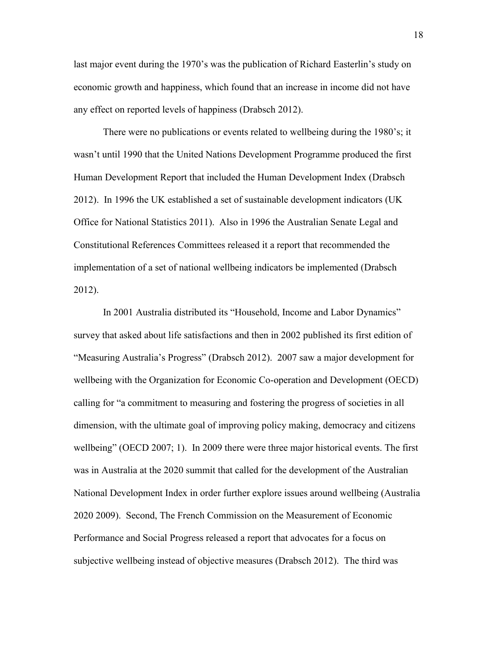last major event during the 1970's was the publication of Richard Easterlin's study on economic growth and happiness, which found that an increase in income did not have any effect on reported levels of happiness (Drabsch 2012).

There were no publications or events related to wellbeing during the 1980's; it wasn't until 1990 that the United Nations Development Programme produced the first Human Development Report that included the Human Development Index (Drabsch 2012). In 1996 the UK established a set of sustainable development indicators (UK Office for National Statistics 2011). Also in 1996 the Australian Senate Legal and Constitutional References Committees released it a report that recommended the implementation of a set of national wellbeing indicators be implemented (Drabsch 2012).

In 2001 Australia distributed its "Household, Income and Labor Dynamics" survey that asked about life satisfactions and then in 2002 published its first edition of "Measuring Australia's Progress" (Drabsch 2012). 2007 saw a major development for wellbeing with the Organization for Economic Co-operation and Development (OECD) calling for "a commitment to measuring and fostering the progress of societies in all dimension, with the ultimate goal of improving policy making, democracy and citizens wellbeing" (OECD 2007; 1). In 2009 there were three major historical events. The first was in Australia at the 2020 summit that called for the development of the Australian National Development Index in order further explore issues around wellbeing (Australia 2020 2009). Second, The French Commission on the Measurement of Economic Performance and Social Progress released a report that advocates for a focus on subjective wellbeing instead of objective measures (Drabsch 2012). The third was

18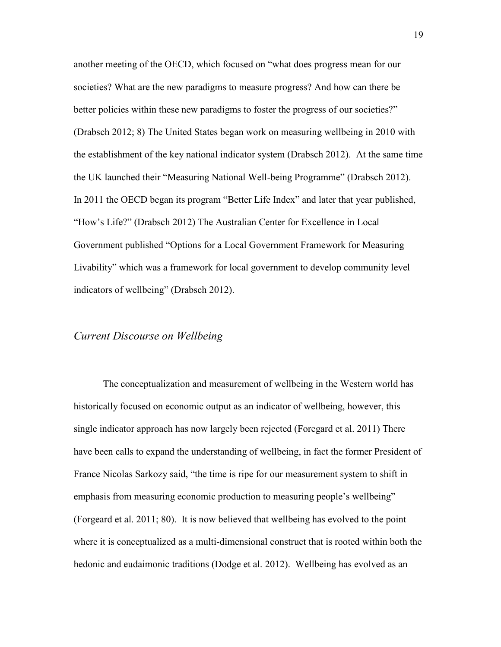another meeting of the OECD, which focused on "what does progress mean for our societies? What are the new paradigms to measure progress? And how can there be better policies within these new paradigms to foster the progress of our societies?" (Drabsch 2012; 8) The United States began work on measuring wellbeing in 2010 with the establishment of the key national indicator system (Drabsch 2012). At the same time the UK launched their "Measuring National Well-being Programme" (Drabsch 2012). In 2011 the OECD began its program "Better Life Index" and later that year published, "How's Life?" (Drabsch 2012) The Australian Center for Excellence in Local Government published "Options for a Local Government Framework for Measuring Livability" which was a framework for local government to develop community level indicators of wellbeing" (Drabsch 2012).

#### *Current Discourse on Wellbeing*

The conceptualization and measurement of wellbeing in the Western world has historically focused on economic output as an indicator of wellbeing, however, this single indicator approach has now largely been rejected (Foregard et al. 2011) There have been calls to expand the understanding of wellbeing, in fact the former President of France Nicolas Sarkozy said, "the time is ripe for our measurement system to shift in emphasis from measuring economic production to measuring people's wellbeing" (Forgeard et al. 2011; 80). It is now believed that wellbeing has evolved to the point where it is conceptualized as a multi-dimensional construct that is rooted within both the hedonic and eudaimonic traditions (Dodge et al. 2012). Wellbeing has evolved as an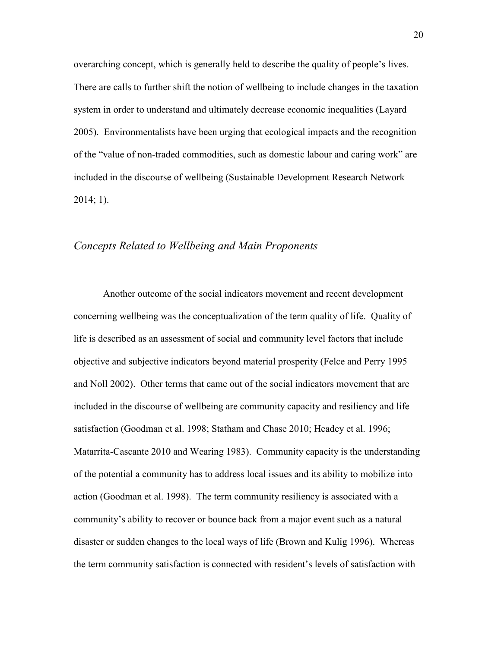overarching concept, which is generally held to describe the quality of people's lives. There are calls to further shift the notion of wellbeing to include changes in the taxation system in order to understand and ultimately decrease economic inequalities (Layard 2005). Environmentalists have been urging that ecological impacts and the recognition of the "value of non-traded commodities, such as domestic labour and caring work" are included in the discourse of wellbeing (Sustainable Development Research Network  $2014; 1$ ).

#### *Concepts Related to Wellbeing and Main Proponents*

Another outcome of the social indicators movement and recent development concerning wellbeing was the conceptualization of the term quality of life. Quality of life is described as an assessment of social and community level factors that include objective and subjective indicators beyond material prosperity (Felce and Perry 1995 and Noll 2002). Other terms that came out of the social indicators movement that are included in the discourse of wellbeing are community capacity and resiliency and life satisfaction (Goodman et al. 1998; Statham and Chase 2010; Headey et al. 1996; Matarrita-Cascante 2010 and Wearing 1983). Community capacity is the understanding of the potential a community has to address local issues and its ability to mobilize into action (Goodman et al. 1998). The term community resiliency is associated with a community's ability to recover or bounce back from a major event such as a natural disaster or sudden changes to the local ways of life (Brown and Kulig 1996). Whereas the term community satisfaction is connected with resident's levels of satisfaction with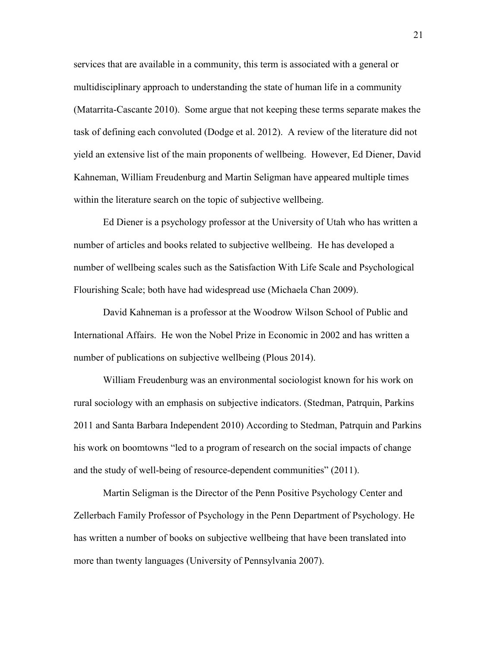services that are available in a community, this term is associated with a general or multidisciplinary approach to understanding the state of human life in a community (Matarrita-Cascante 2010). Some argue that not keeping these terms separate makes the task of defining each convoluted (Dodge et al. 2012). A review of the literature did not yield an extensive list of the main proponents of wellbeing. However, Ed Diener, David Kahneman, William Freudenburg and Martin Seligman have appeared multiple times within the literature search on the topic of subjective wellbeing.

Ed Diener is a psychology professor at the University of Utah who has written a number of articles and books related to subjective wellbeing. He has developed a number of wellbeing scales such as the Satisfaction With Life Scale and Psychological Flourishing Scale; both have had widespread use (Michaela Chan 2009).

David Kahneman is a professor at the Woodrow Wilson School of Public and International Affairs. He won the Nobel Prize in Economic in 2002 and has written a number of publications on subjective wellbeing (Plous 2014).

William Freudenburg was an environmental sociologist known for his work on rural sociology with an emphasis on subjective indicators. (Stedman, Patrquin, Parkins 2011 and Santa Barbara Independent 2010) According to Stedman, Patrquin and Parkins his work on boomtowns "led to a program of research on the social impacts of change and the study of well-being of resource-dependent communities" (2011).

Martin Seligman is the Director of the Penn Positive Psychology Center and Zellerbach Family Professor of Psychology in the Penn Department of Psychology. He has written a number of books on subjective wellbeing that have been translated into more than twenty languages (University of Pennsylvania 2007).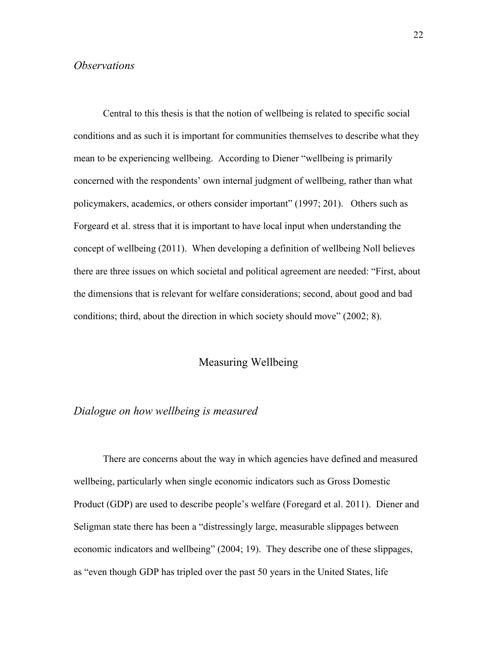#### *Observations*

Central to this thesis is that the notion of wellbeing is related to specific social conditions and as such it is important for communities themselves to describe what they mean to be experiencing wellbeing. According to Diener "wellbeing is primarily concerned with the respondents' own internal judgment of wellbeing, rather than what policymakers, academics, or others consider important" (1997; 201). Others such as Forgeard et al. stress that it is important to have local input when understanding the concept of wellbeing (2011). When developing a definition of wellbeing Noll believes there are three issues on which societal and political agreement are needed: "First, about the dimensions that is relevant for welfare considerations; second, about good and bad conditions; third, about the direction in which society should move" (2002; 8).

#### Measuring Wellbeing

# *Dialogue on how wellbeing is measured*

There are concerns about the way in which agencies have defined and measured wellbeing, particularly when single economic indicators such as Gross Domestic Product (GDP) are used to describe people's welfare (Foregard et al. 2011). Diener and Seligman state there has been a "distressingly large, measurable slippages between economic indicators and wellbeing" (2004; 19). They describe one of these slippages, as "even though GDP has tripled over the past 50 years in the United States, life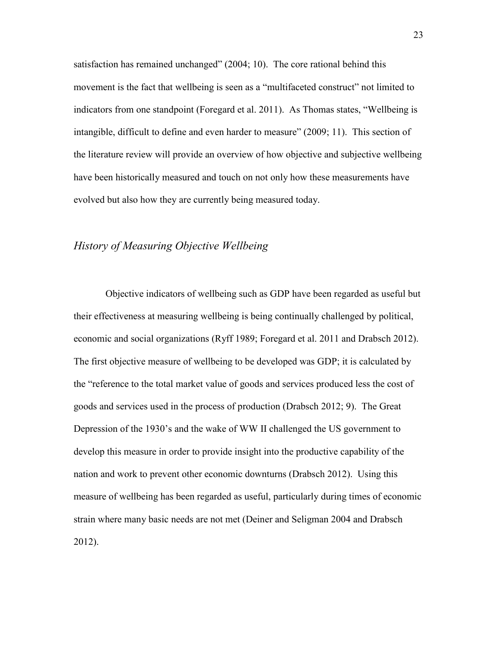satisfaction has remained unchanged" (2004; 10). The core rational behind this movement is the fact that wellbeing is seen as a "multifaceted construct" not limited to indicators from one standpoint (Foregard et al. 2011). As Thomas states, "Wellbeing is intangible, difficult to define and even harder to measure" (2009; 11). This section of the literature review will provide an overview of how objective and subjective wellbeing have been historically measured and touch on not only how these measurements have evolved but also how they are currently being measured today.

#### *History of Measuring Objective Wellbeing*

Objective indicators of wellbeing such as GDP have been regarded as useful but their effectiveness at measuring wellbeing is being continually challenged by political, economic and social organizations (Ryff 1989; Foregard et al. 2011 and Drabsch 2012). The first objective measure of wellbeing to be developed was GDP; it is calculated by the "reference to the total market value of goods and services produced less the cost of goods and services used in the process of production (Drabsch 2012; 9). The Great Depression of the 1930's and the wake of WW II challenged the US government to develop this measure in order to provide insight into the productive capability of the nation and work to prevent other economic downturns (Drabsch 2012). Using this measure of wellbeing has been regarded as useful, particularly during times of economic strain where many basic needs are not met (Deiner and Seligman 2004 and Drabsch 2012).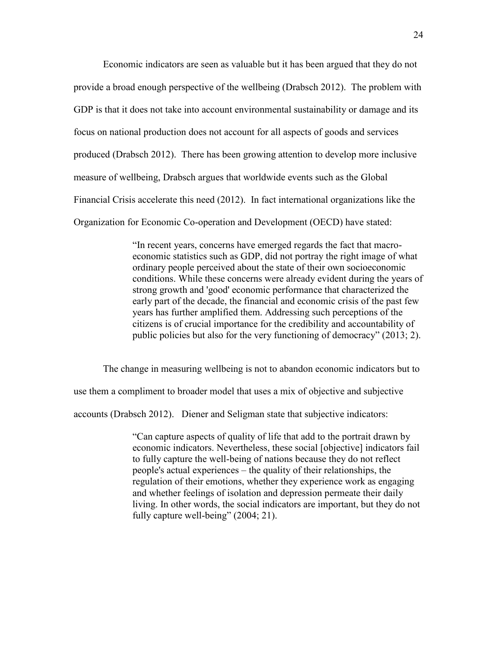Economic indicators are seen as valuable but it has been argued that they do not provide a broad enough perspective of the wellbeing (Drabsch 2012). The problem with GDP is that it does not take into account environmental sustainability or damage and its focus on national production does not account for all aspects of goods and services produced (Drabsch 2012). There has been growing attention to develop more inclusive measure of wellbeing, Drabsch argues that worldwide events such as the Global Financial Crisis accelerate this need (2012). In fact international organizations like the Organization for Economic Co-operation and Development (OECD) have stated:

> "In recent years, concerns have emerged regards the fact that macroeconomic statistics such as GDP, did not portray the right image of what ordinary people perceived about the state of their own socioeconomic conditions. While these concerns were already evident during the years of strong growth and 'good' economic performance that characterized the early part of the decade, the financial and economic crisis of the past few years has further amplified them. Addressing such perceptions of the citizens is of crucial importance for the credibility and accountability of public policies but also for the very functioning of democracy" (2013; 2).

The change in measuring wellbeing is not to abandon economic indicators but to use them a compliment to broader model that uses a mix of objective and subjective accounts (Drabsch 2012). Diener and Seligman state that subjective indicators:

> "Can capture aspects of quality of life that add to the portrait drawn by economic indicators. Nevertheless, these social [objective] indicators fail to fully capture the well-being of nations because they do not reflect people's actual experiences – the quality of their relationships, the regulation of their emotions, whether they experience work as engaging and whether feelings of isolation and depression permeate their daily living. In other words, the social indicators are important, but they do not fully capture well-being" (2004; 21).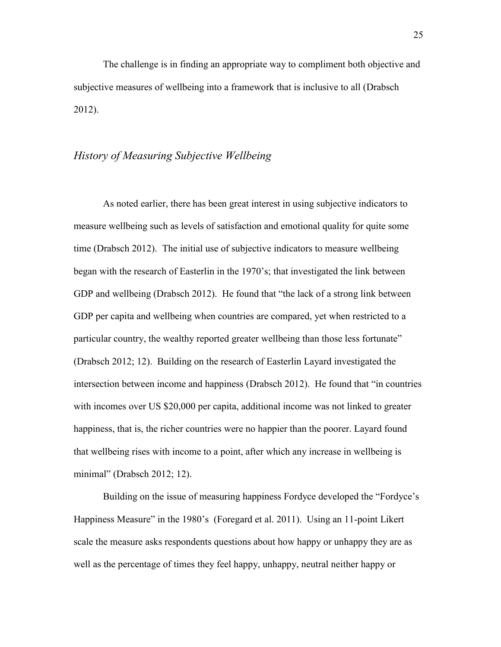The challenge is in finding an appropriate way to compliment both objective and subjective measures of wellbeing into a framework that is inclusive to all (Drabsch 2012).

#### *History of Measuring Subjective Wellbeing*

As noted earlier, there has been great interest in using subjective indicators to measure wellbeing such as levels of satisfaction and emotional quality for quite some time (Drabsch 2012). The initial use of subjective indicators to measure wellbeing began with the research of Easterlin in the 1970's; that investigated the link between GDP and wellbeing (Drabsch 2012). He found that "the lack of a strong link between GDP per capita and wellbeing when countries are compared, yet when restricted to a particular country, the wealthy reported greater wellbeing than those less fortunate" (Drabsch 2012; 12). Building on the research of Easterlin Layard investigated the intersection between income and happiness (Drabsch 2012). He found that "in countries with incomes over US \$20,000 per capita, additional income was not linked to greater happiness, that is, the richer countries were no happier than the poorer. Layard found that wellbeing rises with income to a point, after which any increase in wellbeing is minimal" (Drabsch 2012; 12).

Building on the issue of measuring happiness Fordyce developed the "Fordyce's Happiness Measure" in the 1980's (Foregard et al. 2011). Using an 11-point Likert scale the measure asks respondents questions about how happy or unhappy they are as well as the percentage of times they feel happy, unhappy, neutral neither happy or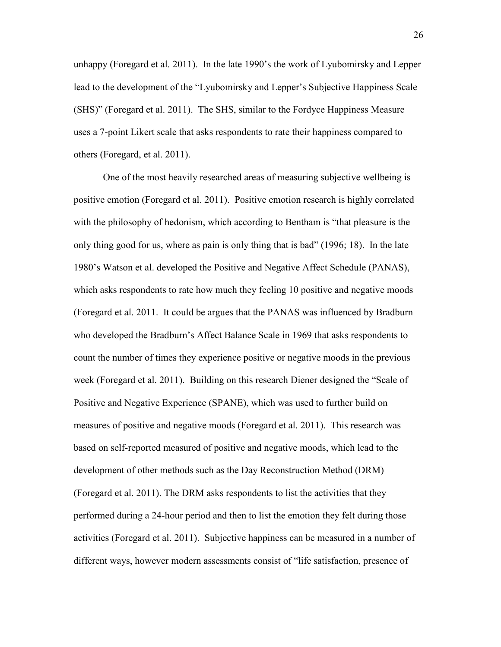unhappy (Foregard et al. 2011). In the late 1990's the work of Lyubomirsky and Lepper lead to the development of the "Lyubomirsky and Lepper's Subjective Happiness Scale (SHS)" (Foregard et al. 2011). The SHS, similar to the Fordyce Happiness Measure uses a 7-point Likert scale that asks respondents to rate their happiness compared to others (Foregard, et al. 2011).

One of the most heavily researched areas of measuring subjective wellbeing is positive emotion (Foregard et al. 2011). Positive emotion research is highly correlated with the philosophy of hedonism, which according to Bentham is "that pleasure is the only thing good for us, where as pain is only thing that is bad" (1996; 18). In the late 1980's Watson et al. developed the Positive and Negative Affect Schedule (PANAS), which asks respondents to rate how much they feeling 10 positive and negative moods (Foregard et al. 2011. It could be argues that the PANAS was influenced by Bradburn who developed the Bradburn's Affect Balance Scale in 1969 that asks respondents to count the number of times they experience positive or negative moods in the previous week (Foregard et al. 2011). Building on this research Diener designed the "Scale of Positive and Negative Experience (SPANE), which was used to further build on measures of positive and negative moods (Foregard et al. 2011). This research was based on self-reported measured of positive and negative moods, which lead to the development of other methods such as the Day Reconstruction Method (DRM) (Foregard et al. 2011). The DRM asks respondents to list the activities that they performed during a 24-hour period and then to list the emotion they felt during those activities (Foregard et al. 2011). Subjective happiness can be measured in a number of different ways, however modern assessments consist of "life satisfaction, presence of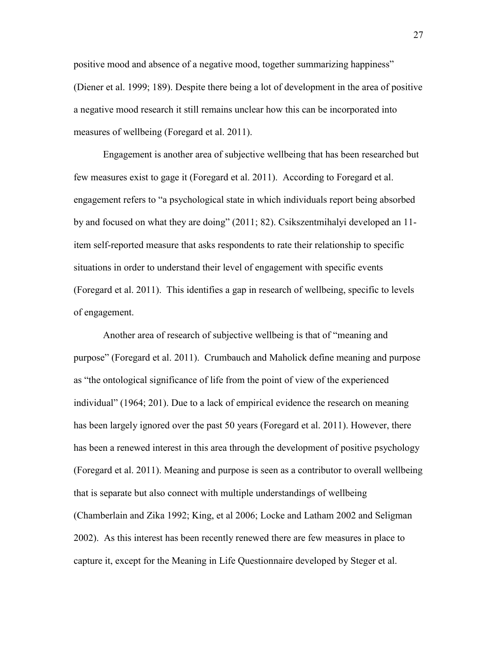positive mood and absence of a negative mood, together summarizing happiness" (Diener et al. 1999; 189). Despite there being a lot of development in the area of positive a negative mood research it still remains unclear how this can be incorporated into measures of wellbeing (Foregard et al. 2011).

Engagement is another area of subjective wellbeing that has been researched but few measures exist to gage it (Foregard et al. 2011). According to Foregard et al. engagement refers to "a psychological state in which individuals report being absorbed by and focused on what they are doing" (2011; 82). Csikszentmihalyi developed an 11 item self-reported measure that asks respondents to rate their relationship to specific situations in order to understand their level of engagement with specific events (Foregard et al. 2011). This identifies a gap in research of wellbeing, specific to levels of engagement.

Another area of research of subjective wellbeing is that of "meaning and purpose" (Foregard et al. 2011). Crumbauch and Maholick define meaning and purpose as "the ontological significance of life from the point of view of the experienced individual" (1964; 201). Due to a lack of empirical evidence the research on meaning has been largely ignored over the past 50 years (Foregard et al. 2011). However, there has been a renewed interest in this area through the development of positive psychology (Foregard et al. 2011). Meaning and purpose is seen as a contributor to overall wellbeing that is separate but also connect with multiple understandings of wellbeing (Chamberlain and Zika 1992; King, et al 2006; Locke and Latham 2002 and Seligman 2002). As this interest has been recently renewed there are few measures in place to capture it, except for the Meaning in Life Questionnaire developed by Steger et al.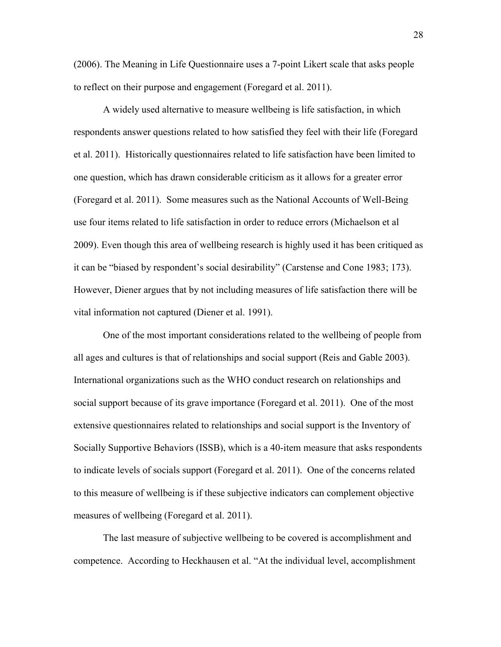(2006). The Meaning in Life Questionnaire uses a 7-point Likert scale that asks people to reflect on their purpose and engagement (Foregard et al. 2011).

A widely used alternative to measure wellbeing is life satisfaction, in which respondents answer questions related to how satisfied they feel with their life (Foregard et al. 2011). Historically questionnaires related to life satisfaction have been limited to one question, which has drawn considerable criticism as it allows for a greater error (Foregard et al. 2011). Some measures such as the National Accounts of Well-Being use four items related to life satisfaction in order to reduce errors (Michaelson et al 2009). Even though this area of wellbeing research is highly used it has been critiqued as it can be "biased by respondent's social desirability" (Carstense and Cone 1983; 173). However, Diener argues that by not including measures of life satisfaction there will be vital information not captured (Diener et al. 1991).

One of the most important considerations related to the wellbeing of people from all ages and cultures is that of relationships and social support (Reis and Gable 2003). International organizations such as the WHO conduct research on relationships and social support because of its grave importance (Foregard et al. 2011). One of the most extensive questionnaires related to relationships and social support is the Inventory of Socially Supportive Behaviors (ISSB), which is a 40-item measure that asks respondents to indicate levels of socials support (Foregard et al. 2011). One of the concerns related to this measure of wellbeing is if these subjective indicators can complement objective measures of wellbeing (Foregard et al. 2011).

The last measure of subjective wellbeing to be covered is accomplishment and competence. According to Heckhausen et al. "At the individual level, accomplishment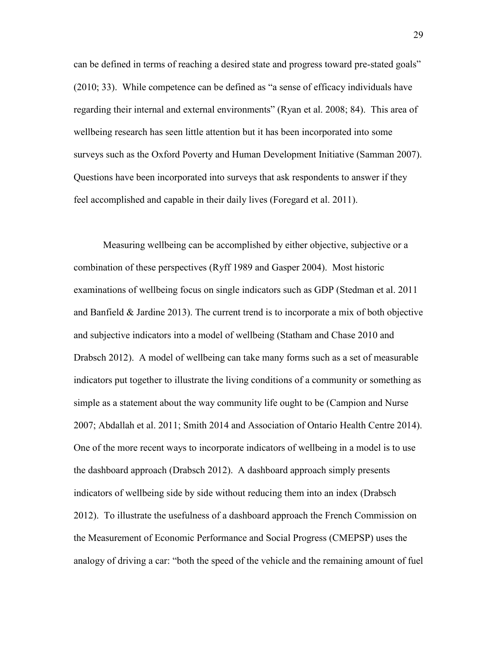can be defined in terms of reaching a desired state and progress toward pre-stated goals" (2010; 33). While competence can be defined as "a sense of efficacy individuals have regarding their internal and external environments" (Ryan et al. 2008; 84). This area of wellbeing research has seen little attention but it has been incorporated into some surveys such as the Oxford Poverty and Human Development Initiative (Samman 2007). Questions have been incorporated into surveys that ask respondents to answer if they feel accomplished and capable in their daily lives (Foregard et al. 2011).

Measuring wellbeing can be accomplished by either objective, subjective or a combination of these perspectives (Ryff 1989 and Gasper 2004). Most historic examinations of wellbeing focus on single indicators such as GDP (Stedman et al. 2011 and Banfield  $\&$  Jardine 2013). The current trend is to incorporate a mix of both objective and subjective indicators into a model of wellbeing (Statham and Chase 2010 and Drabsch 2012). A model of wellbeing can take many forms such as a set of measurable indicators put together to illustrate the living conditions of a community or something as simple as a statement about the way community life ought to be (Campion and Nurse 2007; Abdallah et al. 2011; Smith 2014 and Association of Ontario Health Centre 2014). One of the more recent ways to incorporate indicators of wellbeing in a model is to use the dashboard approach (Drabsch 2012). A dashboard approach simply presents indicators of wellbeing side by side without reducing them into an index (Drabsch 2012). To illustrate the usefulness of a dashboard approach the French Commission on the Measurement of Economic Performance and Social Progress (CMEPSP) uses the analogy of driving a car: "both the speed of the vehicle and the remaining amount of fuel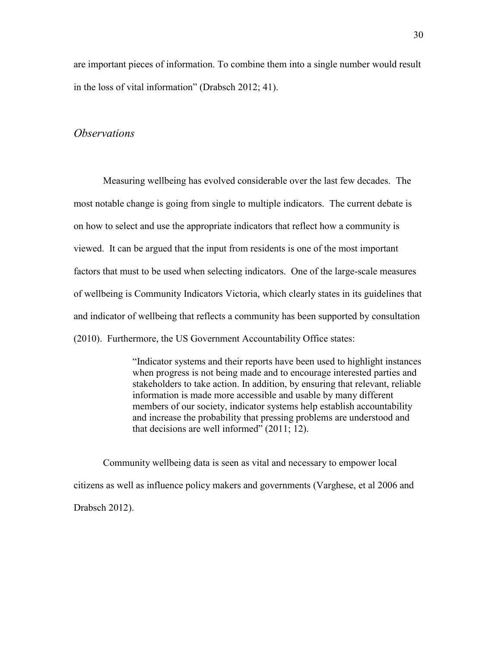are important pieces of information. To combine them into a single number would result in the loss of vital information" (Drabsch 2012; 41).

#### *Observations*

Measuring wellbeing has evolved considerable over the last few decades. The most notable change is going from single to multiple indicators. The current debate is on how to select and use the appropriate indicators that reflect how a community is viewed. It can be argued that the input from residents is one of the most important factors that must to be used when selecting indicators. One of the large-scale measures of wellbeing is Community Indicators Victoria, which clearly states in its guidelines that and indicator of wellbeing that reflects a community has been supported by consultation (2010). Furthermore, the US Government Accountability Office states:

> "Indicator systems and their reports have been used to highlight instances when progress is not being made and to encourage interested parties and stakeholders to take action. In addition, by ensuring that relevant, reliable information is made more accessible and usable by many different members of our society, indicator systems help establish accountability and increase the probability that pressing problems are understood and that decisions are well informed" (2011; 12).

Community wellbeing data is seen as vital and necessary to empower local citizens as well as influence policy makers and governments (Varghese, et al 2006 and Drabsch 2012).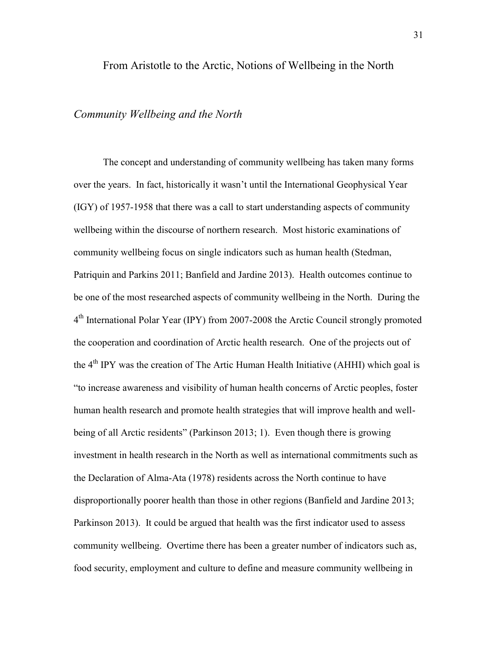#### From Aristotle to the Arctic, Notions of Wellbeing in the North

#### *Community Wellbeing and the North*

The concept and understanding of community wellbeing has taken many forms over the years. In fact, historically it wasn't until the International Geophysical Year (IGY) of 1957-1958 that there was a call to start understanding aspects of community wellbeing within the discourse of northern research. Most historic examinations of community wellbeing focus on single indicators such as human health (Stedman, Patriquin and Parkins 2011; Banfield and Jardine 2013). Health outcomes continue to be one of the most researched aspects of community wellbeing in the North. During the 4<sup>th</sup> International Polar Year (IPY) from 2007-2008 the Arctic Council strongly promoted the cooperation and coordination of Arctic health research. One of the projects out of the 4<sup>th</sup> IPY was the creation of The Artic Human Health Initiative (AHHI) which goal is "to increase awareness and visibility of human health concerns of Arctic peoples, foster human health research and promote health strategies that will improve health and wellbeing of all Arctic residents" (Parkinson 2013; 1). Even though there is growing investment in health research in the North as well as international commitments such as the Declaration of Alma-Ata (1978) residents across the North continue to have disproportionally poorer health than those in other regions (Banfield and Jardine 2013; Parkinson 2013). It could be argued that health was the first indicator used to assess community wellbeing. Overtime there has been a greater number of indicators such as, food security, employment and culture to define and measure community wellbeing in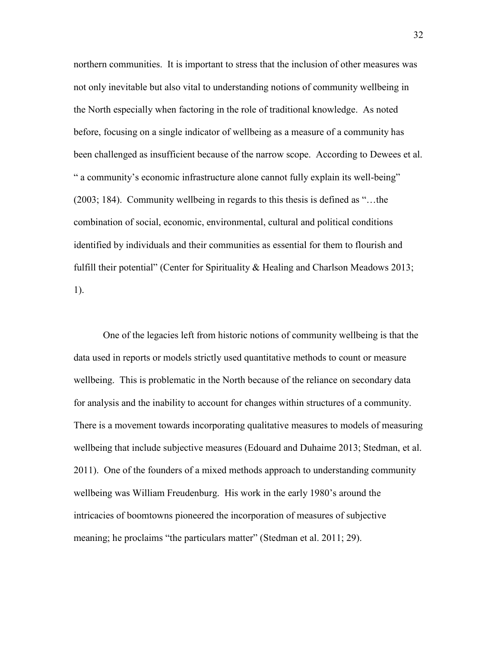northern communities. It is important to stress that the inclusion of other measures was not only inevitable but also vital to understanding notions of community wellbeing in the North especially when factoring in the role of traditional knowledge. As noted before, focusing on a single indicator of wellbeing as a measure of a community has been challenged as insufficient because of the narrow scope. According to Dewees et al. " a community's economic infrastructure alone cannot fully explain its well-being" (2003; 184). Community wellbeing in regards to this thesis is defined as "…the combination of social, economic, environmental, cultural and political conditions identified by individuals and their communities as essential for them to flourish and fulfill their potential" (Center for Spirituality & Healing and Charlson Meadows 2013; 1).

One of the legacies left from historic notions of community wellbeing is that the data used in reports or models strictly used quantitative methods to count or measure wellbeing. This is problematic in the North because of the reliance on secondary data for analysis and the inability to account for changes within structures of a community. There is a movement towards incorporating qualitative measures to models of measuring wellbeing that include subjective measures (Edouard and Duhaime 2013; Stedman, et al. 2011). One of the founders of a mixed methods approach to understanding community wellbeing was William Freudenburg. His work in the early 1980's around the intricacies of boomtowns pioneered the incorporation of measures of subjective meaning; he proclaims "the particulars matter" (Stedman et al. 2011; 29).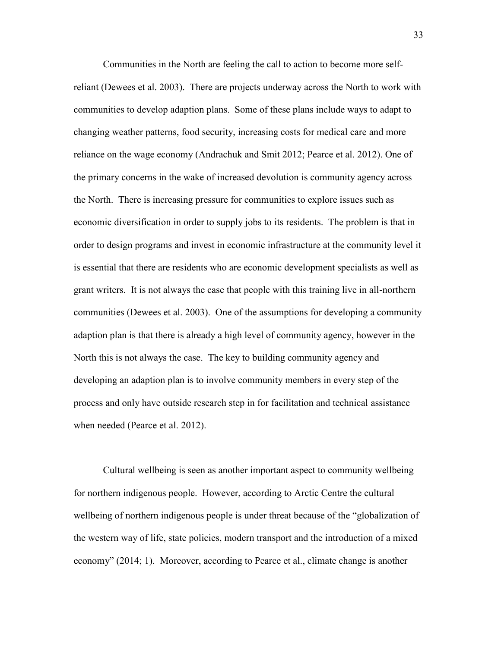Communities in the North are feeling the call to action to become more selfreliant (Dewees et al. 2003). There are projects underway across the North to work with communities to develop adaption plans. Some of these plans include ways to adapt to changing weather patterns, food security, increasing costs for medical care and more reliance on the wage economy (Andrachuk and Smit 2012; Pearce et al. 2012). One of the primary concerns in the wake of increased devolution is community agency across the North. There is increasing pressure for communities to explore issues such as economic diversification in order to supply jobs to its residents. The problem is that in order to design programs and invest in economic infrastructure at the community level it is essential that there are residents who are economic development specialists as well as grant writers. It is not always the case that people with this training live in all-northern communities (Dewees et al. 2003). One of the assumptions for developing a community adaption plan is that there is already a high level of community agency, however in the North this is not always the case. The key to building community agency and developing an adaption plan is to involve community members in every step of the process and only have outside research step in for facilitation and technical assistance when needed (Pearce et al. 2012).

Cultural wellbeing is seen as another important aspect to community wellbeing for northern indigenous people. However, according to Arctic Centre the cultural wellbeing of northern indigenous people is under threat because of the "globalization of the western way of life, state policies, modern transport and the introduction of a mixed economy" (2014; 1). Moreover, according to Pearce et al., climate change is another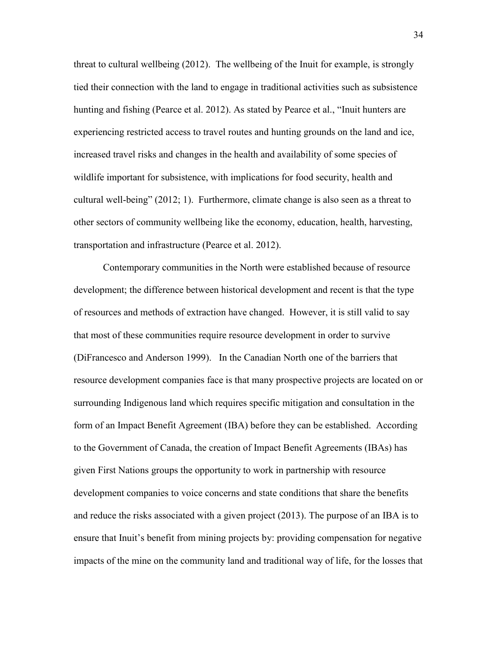threat to cultural wellbeing (2012). The wellbeing of the Inuit for example, is strongly tied their connection with the land to engage in traditional activities such as subsistence hunting and fishing (Pearce et al. 2012). As stated by Pearce et al., "Inuit hunters are experiencing restricted access to travel routes and hunting grounds on the land and ice, increased travel risks and changes in the health and availability of some species of wildlife important for subsistence, with implications for food security, health and cultural well-being" (2012; 1). Furthermore, climate change is also seen as a threat to other sectors of community wellbeing like the economy, education, health, harvesting, transportation and infrastructure (Pearce et al. 2012).

Contemporary communities in the North were established because of resource development; the difference between historical development and recent is that the type of resources and methods of extraction have changed. However, it is still valid to say that most of these communities require resource development in order to survive (DiFrancesco and Anderson 1999). In the Canadian North one of the barriers that resource development companies face is that many prospective projects are located on or surrounding Indigenous land which requires specific mitigation and consultation in the form of an Impact Benefit Agreement (IBA) before they can be established. According to the Government of Canada, the creation of Impact Benefit Agreements (IBAs) has given First Nations groups the opportunity to work in partnership with resource development companies to voice concerns and state conditions that share the benefits and reduce the risks associated with a given project (2013). The purpose of an IBA is to ensure that Inuit's benefit from mining projects by: providing compensation for negative impacts of the mine on the community land and traditional way of life, for the losses that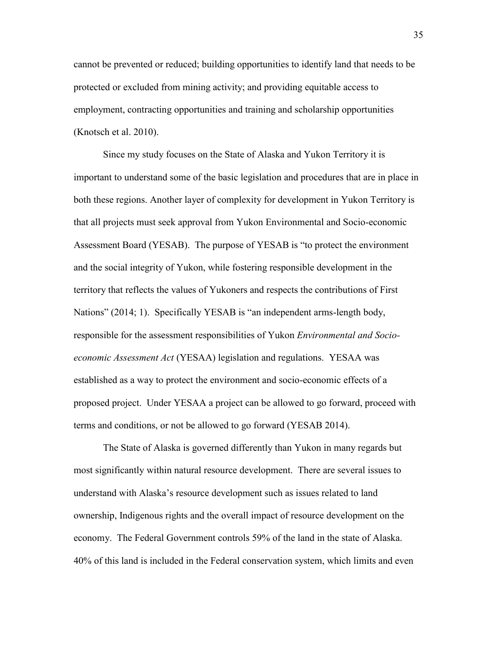cannot be prevented or reduced; building opportunities to identify land that needs to be protected or excluded from mining activity; and providing equitable access to employment, contracting opportunities and training and scholarship opportunities (Knotsch et al. 2010).

Since my study focuses on the State of Alaska and Yukon Territory it is important to understand some of the basic legislation and procedures that are in place in both these regions. Another layer of complexity for development in Yukon Territory is that all projects must seek approval from Yukon Environmental and Socio-economic Assessment Board (YESAB). The purpose of YESAB is "to protect the environment and the social integrity of Yukon, while fostering responsible development in the territory that reflects the values of Yukoners and respects the contributions of First Nations" (2014; 1). Specifically YESAB is "an independent arms-length body, responsible for the assessment responsibilities of Yukon *Environmental and Socioeconomic Assessment Act* (YESAA) legislation and regulations. YESAA was established as a way to protect the environment and socio-economic effects of a proposed project. Under YESAA a project can be allowed to go forward, proceed with terms and conditions, or not be allowed to go forward (YESAB 2014).

The State of Alaska is governed differently than Yukon in many regards but most significantly within natural resource development. There are several issues to understand with Alaska's resource development such as issues related to land ownership, Indigenous rights and the overall impact of resource development on the economy. The Federal Government controls 59% of the land in the state of Alaska. 40% of this land is included in the Federal conservation system, which limits and even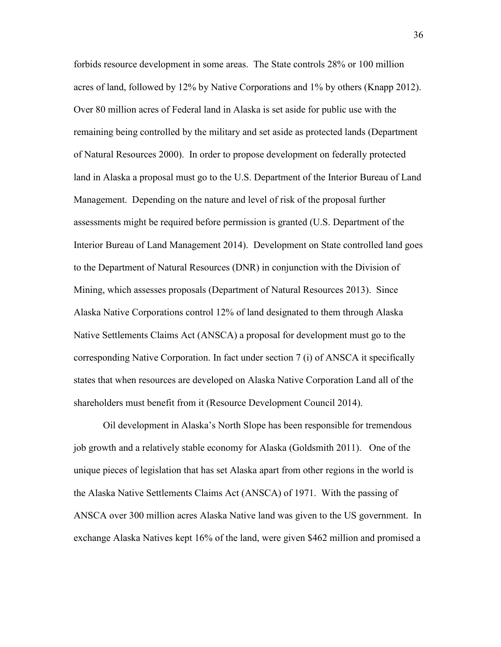forbids resource development in some areas. The State controls 28% or 100 million acres of land, followed by 12% by Native Corporations and 1% by others (Knapp 2012). Over 80 million acres of Federal land in Alaska is set aside for public use with the remaining being controlled by the military and set aside as protected lands (Department of Natural Resources 2000). In order to propose development on federally protected land in Alaska a proposal must go to the U.S. Department of the Interior Bureau of Land Management. Depending on the nature and level of risk of the proposal further assessments might be required before permission is granted (U.S. Department of the Interior Bureau of Land Management 2014). Development on State controlled land goes to the Department of Natural Resources (DNR) in conjunction with the Division of Mining, which assesses proposals (Department of Natural Resources 2013). Since Alaska Native Corporations control 12% of land designated to them through Alaska Native Settlements Claims Act (ANSCA) a proposal for development must go to the corresponding Native Corporation. In fact under section 7 (i) of ANSCA it specifically states that when resources are developed on Alaska Native Corporation Land all of the shareholders must benefit from it (Resource Development Council 2014).

Oil development in Alaska's North Slope has been responsible for tremendous job growth and a relatively stable economy for Alaska (Goldsmith 2011). One of the unique pieces of legislation that has set Alaska apart from other regions in the world is the Alaska Native Settlements Claims Act (ANSCA) of 1971. With the passing of ANSCA over 300 million acres Alaska Native land was given to the US government. In exchange Alaska Natives kept 16% of the land, were given \$462 million and promised a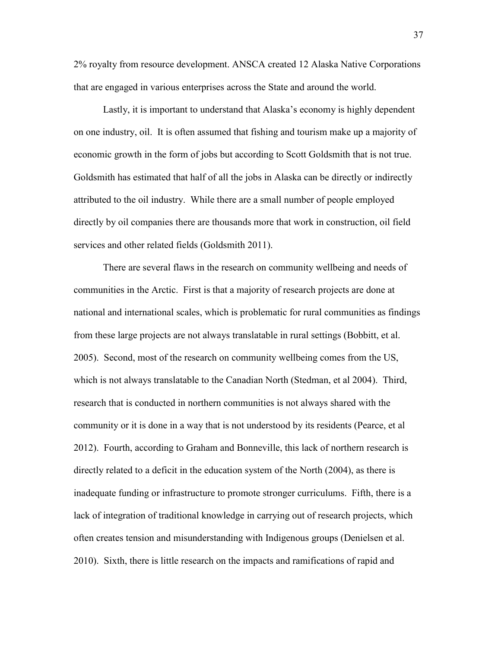2% royalty from resource development. ANSCA created 12 Alaska Native Corporations that are engaged in various enterprises across the State and around the world.

Lastly, it is important to understand that Alaska's economy is highly dependent on one industry, oil. It is often assumed that fishing and tourism make up a majority of economic growth in the form of jobs but according to Scott Goldsmith that is not true. Goldsmith has estimated that half of all the jobs in Alaska can be directly or indirectly attributed to the oil industry. While there are a small number of people employed directly by oil companies there are thousands more that work in construction, oil field services and other related fields (Goldsmith 2011).

There are several flaws in the research on community wellbeing and needs of communities in the Arctic. First is that a majority of research projects are done at national and international scales, which is problematic for rural communities as findings from these large projects are not always translatable in rural settings (Bobbitt, et al. 2005). Second, most of the research on community wellbeing comes from the US, which is not always translatable to the Canadian North (Stedman, et al 2004). Third, research that is conducted in northern communities is not always shared with the community or it is done in a way that is not understood by its residents (Pearce, et al 2012). Fourth, according to Graham and Bonneville, this lack of northern research is directly related to a deficit in the education system of the North (2004), as there is inadequate funding or infrastructure to promote stronger curriculums. Fifth, there is a lack of integration of traditional knowledge in carrying out of research projects, which often creates tension and misunderstanding with Indigenous groups (Denielsen et al. 2010). Sixth, there is little research on the impacts and ramifications of rapid and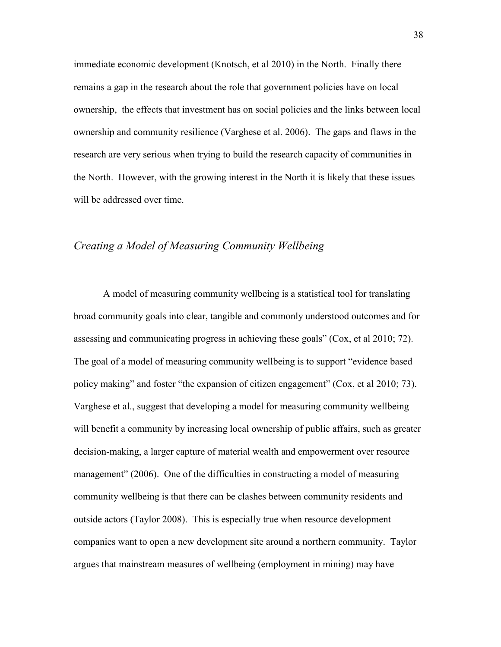immediate economic development (Knotsch, et al 2010) in the North. Finally there remains a gap in the research about the role that government policies have on local ownership, the effects that investment has on social policies and the links between local ownership and community resilience (Varghese et al. 2006). The gaps and flaws in the research are very serious when trying to build the research capacity of communities in the North. However, with the growing interest in the North it is likely that these issues will be addressed over time.

# *Creating a Model of Measuring Community Wellbeing*

A model of measuring community wellbeing is a statistical tool for translating broad community goals into clear, tangible and commonly understood outcomes and for assessing and communicating progress in achieving these goals" (Cox, et al 2010; 72). The goal of a model of measuring community wellbeing is to support "evidence based policy making" and foster "the expansion of citizen engagement" (Cox, et al 2010; 73). Varghese et al., suggest that developing a model for measuring community wellbeing will benefit a community by increasing local ownership of public affairs, such as greater decision-making, a larger capture of material wealth and empowerment over resource management" (2006). One of the difficulties in constructing a model of measuring community wellbeing is that there can be clashes between community residents and outside actors (Taylor 2008). This is especially true when resource development companies want to open a new development site around a northern community. Taylor argues that mainstream measures of wellbeing (employment in mining) may have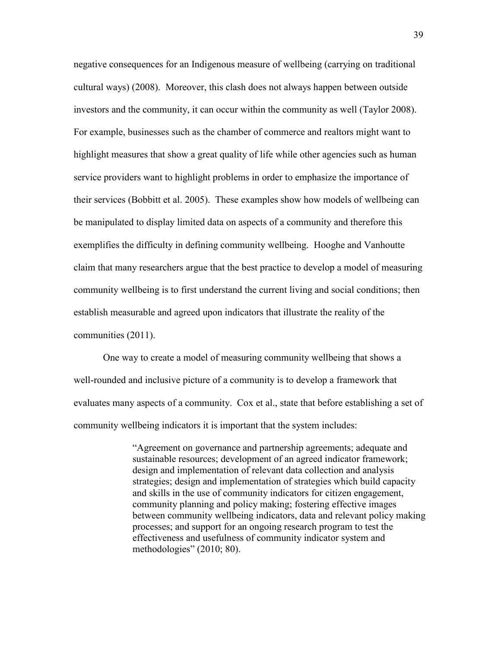negative consequences for an Indigenous measure of wellbeing (carrying on traditional cultural ways) (2008). Moreover, this clash does not always happen between outside investors and the community, it can occur within the community as well (Taylor 2008). For example, businesses such as the chamber of commerce and realtors might want to highlight measures that show a great quality of life while other agencies such as human service providers want to highlight problems in order to emphasize the importance of their services (Bobbitt et al. 2005). These examples show how models of wellbeing can be manipulated to display limited data on aspects of a community and therefore this exemplifies the difficulty in defining community wellbeing. Hooghe and Vanhoutte claim that many researchers argue that the best practice to develop a model of measuring community wellbeing is to first understand the current living and social conditions; then establish measurable and agreed upon indicators that illustrate the reality of the communities (2011).

One way to create a model of measuring community wellbeing that shows a well-rounded and inclusive picture of a community is to develop a framework that evaluates many aspects of a community. Cox et al., state that before establishing a set of community wellbeing indicators it is important that the system includes:

> "Agreement on governance and partnership agreements; adequate and sustainable resources; development of an agreed indicator framework; design and implementation of relevant data collection and analysis strategies; design and implementation of strategies which build capacity and skills in the use of community indicators for citizen engagement, community planning and policy making; fostering effective images between community wellbeing indicators, data and relevant policy making processes; and support for an ongoing research program to test the effectiveness and usefulness of community indicator system and methodologies" (2010; 80).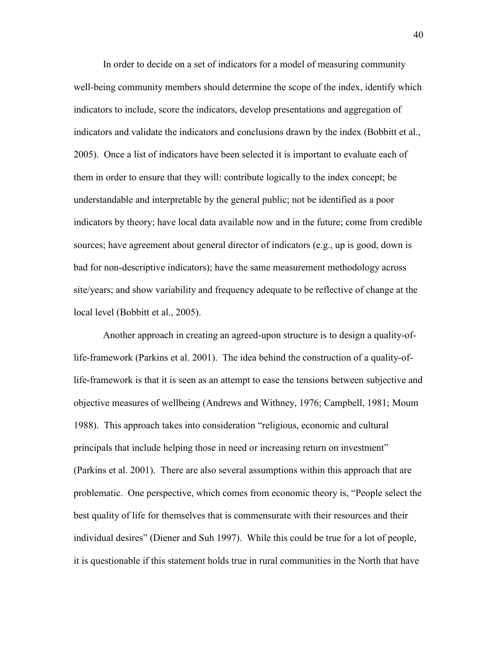In order to decide on a set of indicators for a model of measuring community well-being community members should determine the scope of the index, identify which indicators to include, score the indicators, develop presentations and aggregation of indicators and validate the indicators and conclusions drawn by the index (Bobbitt et al., 2005). Once a list of indicators have been selected it is important to evaluate each of them in order to ensure that they will: contribute logically to the index concept; be understandable and interpretable by the general public; not be identified as a poor indicators by theory; have local data available now and in the future; come from credible sources; have agreement about general director of indicators (e.g., up is good, down is bad for non-descriptive indicators); have the same measurement methodology across site/years; and show variability and frequency adequate to be reflective of change at the local level (Bobbitt et al., 2005).

Another approach in creating an agreed-upon structure is to design a quality-oflife-framework (Parkins et al. 2001). The idea behind the construction of a quality-oflife-framework is that it is seen as an attempt to ease the tensions between subjective and objective measures of wellbeing (Andrews and Withney, 1976; Campbell, 1981; Moum 1988). This approach takes into consideration "religious, economic and cultural principals that include helping those in need or increasing return on investment" (Parkins et al. 2001). There are also several assumptions within this approach that are problematic. One perspective, which comes from economic theory is, "People select the best quality of life for themselves that is commensurate with their resources and their individual desires" (Diener and Suh 1997). While this could be true for a lot of people, it is questionable if this statement holds true in rural communities in the North that have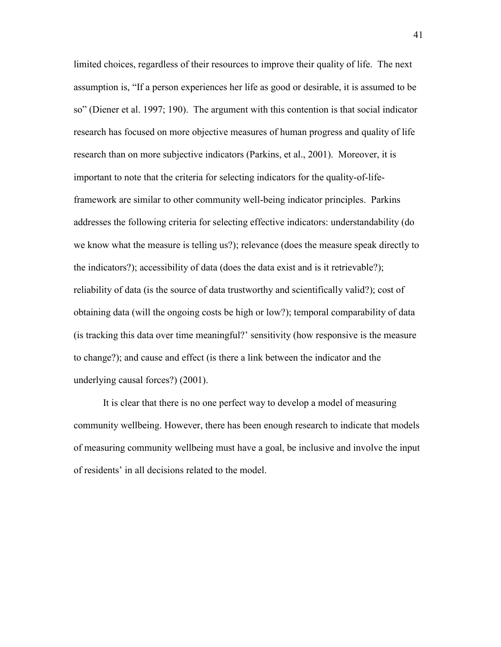limited choices, regardless of their resources to improve their quality of life. The next assumption is, "If a person experiences her life as good or desirable, it is assumed to be so" (Diener et al. 1997; 190). The argument with this contention is that social indicator research has focused on more objective measures of human progress and quality of life research than on more subjective indicators (Parkins, et al., 2001). Moreover, it is important to note that the criteria for selecting indicators for the quality-of-lifeframework are similar to other community well-being indicator principles. Parkins addresses the following criteria for selecting effective indicators: understandability (do we know what the measure is telling us?); relevance (does the measure speak directly to the indicators?); accessibility of data (does the data exist and is it retrievable?); reliability of data (is the source of data trustworthy and scientifically valid?); cost of obtaining data (will the ongoing costs be high or low?); temporal comparability of data (is tracking this data over time meaningful?' sensitivity (how responsive is the measure to change?); and cause and effect (is there a link between the indicator and the underlying causal forces?) (2001).

It is clear that there is no one perfect way to develop a model of measuring community wellbeing. However, there has been enough research to indicate that models of measuring community wellbeing must have a goal, be inclusive and involve the input of residents' in all decisions related to the model.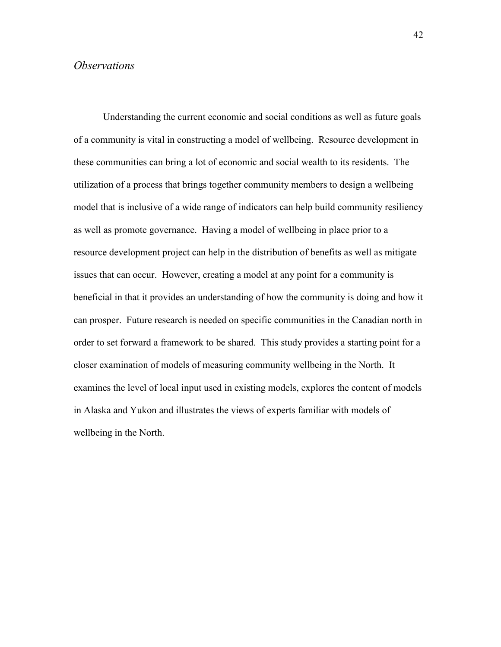### *Observations*

Understanding the current economic and social conditions as well as future goals of a community is vital in constructing a model of wellbeing. Resource development in these communities can bring a lot of economic and social wealth to its residents. The utilization of a process that brings together community members to design a wellbeing model that is inclusive of a wide range of indicators can help build community resiliency as well as promote governance. Having a model of wellbeing in place prior to a resource development project can help in the distribution of benefits as well as mitigate issues that can occur. However, creating a model at any point for a community is beneficial in that it provides an understanding of how the community is doing and how it can prosper. Future research is needed on specific communities in the Canadian north in order to set forward a framework to be shared. This study provides a starting point for a closer examination of models of measuring community wellbeing in the North. It examines the level of local input used in existing models, explores the content of models in Alaska and Yukon and illustrates the views of experts familiar with models of wellbeing in the North.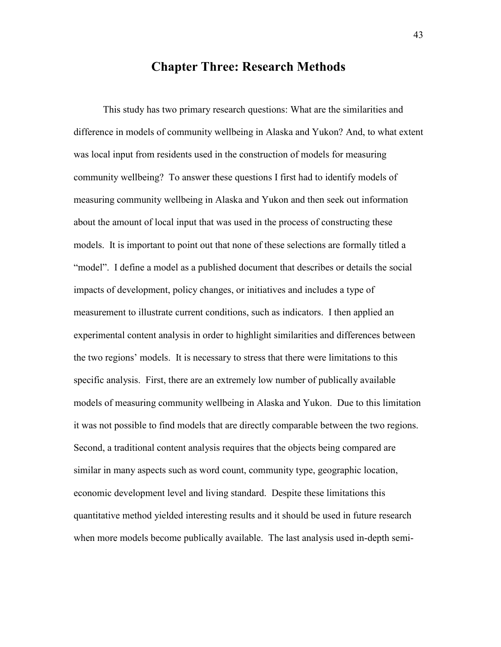# **Chapter Three: Research Methods**

This study has two primary research questions: What are the similarities and difference in models of community wellbeing in Alaska and Yukon? And, to what extent was local input from residents used in the construction of models for measuring community wellbeing? To answer these questions I first had to identify models of measuring community wellbeing in Alaska and Yukon and then seek out information about the amount of local input that was used in the process of constructing these models. It is important to point out that none of these selections are formally titled a "model". I define a model as a published document that describes or details the social impacts of development, policy changes, or initiatives and includes a type of measurement to illustrate current conditions, such as indicators. I then applied an experimental content analysis in order to highlight similarities and differences between the two regions' models. It is necessary to stress that there were limitations to this specific analysis. First, there are an extremely low number of publically available models of measuring community wellbeing in Alaska and Yukon. Due to this limitation it was not possible to find models that are directly comparable between the two regions. Second, a traditional content analysis requires that the objects being compared are similar in many aspects such as word count, community type, geographic location, economic development level and living standard. Despite these limitations this quantitative method yielded interesting results and it should be used in future research when more models become publically available. The last analysis used in-depth semi-

43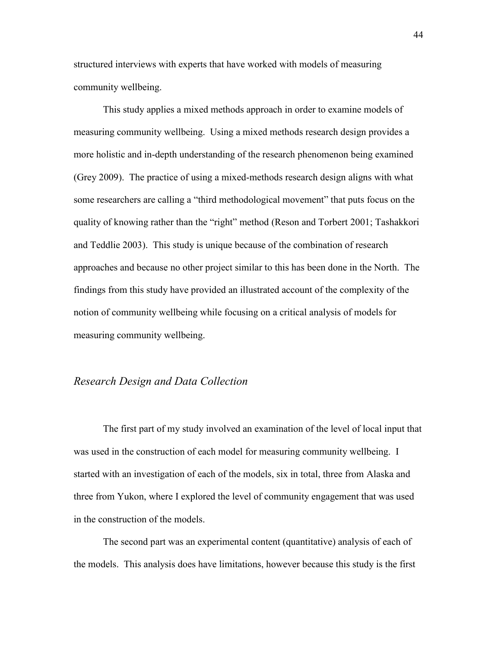structured interviews with experts that have worked with models of measuring community wellbeing.

This study applies a mixed methods approach in order to examine models of measuring community wellbeing. Using a mixed methods research design provides a more holistic and in-depth understanding of the research phenomenon being examined (Grey 2009). The practice of using a mixed-methods research design aligns with what some researchers are calling a "third methodological movement" that puts focus on the quality of knowing rather than the "right" method (Reson and Torbert 2001; Tashakkori and Teddlie 2003). This study is unique because of the combination of research approaches and because no other project similar to this has been done in the North. The findings from this study have provided an illustrated account of the complexity of the notion of community wellbeing while focusing on a critical analysis of models for measuring community wellbeing.

### *Research Design and Data Collection*

The first part of my study involved an examination of the level of local input that was used in the construction of each model for measuring community wellbeing. I started with an investigation of each of the models, six in total, three from Alaska and three from Yukon, where I explored the level of community engagement that was used in the construction of the models.

The second part was an experimental content (quantitative) analysis of each of the models. This analysis does have limitations, however because this study is the first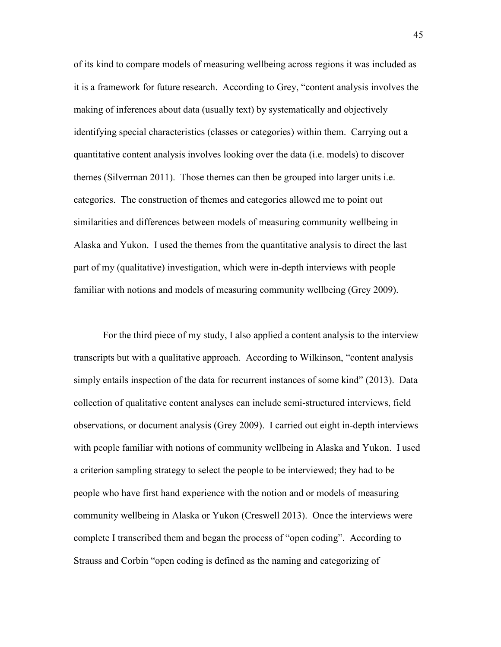of its kind to compare models of measuring wellbeing across regions it was included as it is a framework for future research. According to Grey, "content analysis involves the making of inferences about data (usually text) by systematically and objectively identifying special characteristics (classes or categories) within them. Carrying out a quantitative content analysis involves looking over the data (i.e. models) to discover themes (Silverman 2011). Those themes can then be grouped into larger units i.e. categories. The construction of themes and categories allowed me to point out similarities and differences between models of measuring community wellbeing in Alaska and Yukon. I used the themes from the quantitative analysis to direct the last part of my (qualitative) investigation, which were in-depth interviews with people familiar with notions and models of measuring community wellbeing (Grey 2009).

For the third piece of my study, I also applied a content analysis to the interview transcripts but with a qualitative approach. According to Wilkinson, "content analysis simply entails inspection of the data for recurrent instances of some kind" (2013). Data collection of qualitative content analyses can include semi-structured interviews, field observations, or document analysis (Grey 2009). I carried out eight in-depth interviews with people familiar with notions of community wellbeing in Alaska and Yukon. I used a criterion sampling strategy to select the people to be interviewed; they had to be people who have first hand experience with the notion and or models of measuring community wellbeing in Alaska or Yukon (Creswell 2013). Once the interviews were complete I transcribed them and began the process of "open coding". According to Strauss and Corbin "open coding is defined as the naming and categorizing of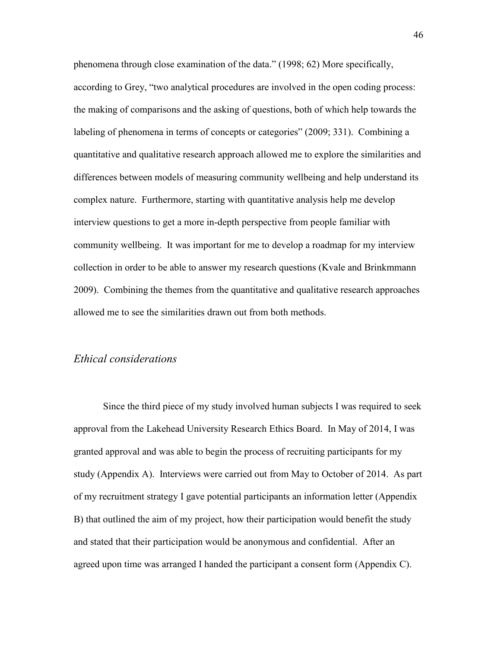phenomena through close examination of the data." (1998; 62) More specifically, according to Grey, "two analytical procedures are involved in the open coding process: the making of comparisons and the asking of questions, both of which help towards the labeling of phenomena in terms of concepts or categories" (2009; 331). Combining a quantitative and qualitative research approach allowed me to explore the similarities and differences between models of measuring community wellbeing and help understand its complex nature. Furthermore, starting with quantitative analysis help me develop interview questions to get a more in-depth perspective from people familiar with community wellbeing. It was important for me to develop a roadmap for my interview collection in order to be able to answer my research questions (Kvale and Brinkmmann 2009). Combining the themes from the quantitative and qualitative research approaches allowed me to see the similarities drawn out from both methods.

# *Ethical considerations*

Since the third piece of my study involved human subjects I was required to seek approval from the Lakehead University Research Ethics Board. In May of 2014, I was granted approval and was able to begin the process of recruiting participants for my study (Appendix A). Interviews were carried out from May to October of 2014. As part of my recruitment strategy I gave potential participants an information letter (Appendix B) that outlined the aim of my project, how their participation would benefit the study and stated that their participation would be anonymous and confidential. After an agreed upon time was arranged I handed the participant a consent form (Appendix C).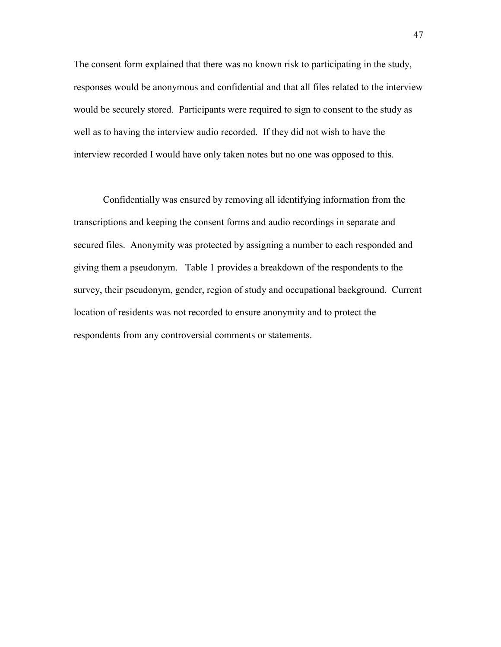The consent form explained that there was no known risk to participating in the study, responses would be anonymous and confidential and that all files related to the interview would be securely stored. Participants were required to sign to consent to the study as well as to having the interview audio recorded. If they did not wish to have the interview recorded I would have only taken notes but no one was opposed to this.

Confidentially was ensured by removing all identifying information from the transcriptions and keeping the consent forms and audio recordings in separate and secured files. Anonymity was protected by assigning a number to each responded and giving them a pseudonym. Table 1 provides a breakdown of the respondents to the survey, their pseudonym, gender, region of study and occupational background. Current location of residents was not recorded to ensure anonymity and to protect the respondents from any controversial comments or statements.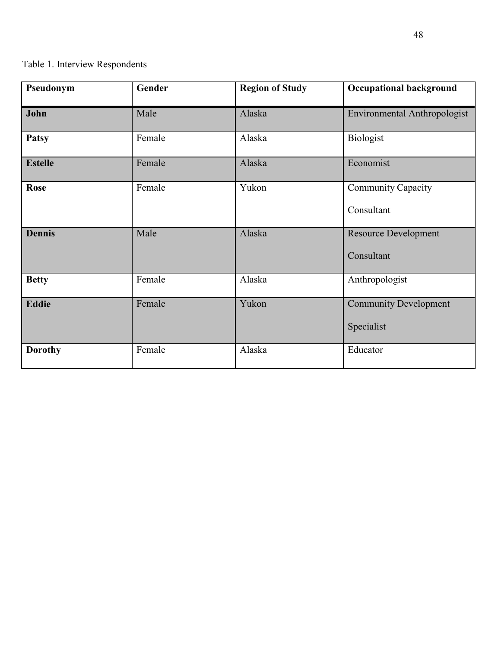# Table 1. Interview Respondents

| Pseudonym      | Gender | <b>Region of Study</b> | <b>Occupational background</b>             |
|----------------|--------|------------------------|--------------------------------------------|
| John           | Male   | Alaska                 | <b>Environmental Anthropologist</b>        |
| <b>Patsy</b>   | Female | Alaska                 | Biologist                                  |
| <b>Estelle</b> | Female | Alaska                 | Economist                                  |
| Rose           | Female | Yukon                  | <b>Community Capacity</b><br>Consultant    |
| <b>Dennis</b>  | Male   | Alaska                 | <b>Resource Development</b><br>Consultant  |
| <b>Betty</b>   | Female | Alaska                 | Anthropologist                             |
| <b>Eddie</b>   | Female | Yukon                  | <b>Community Development</b><br>Specialist |
| <b>Dorothy</b> | Female | Alaska                 | Educator                                   |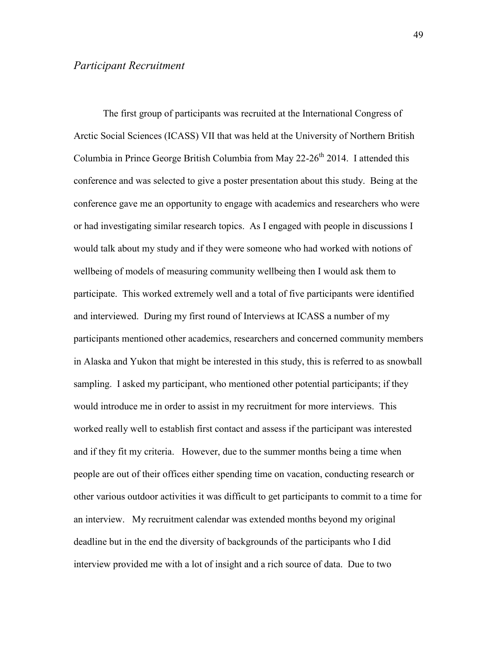The first group of participants was recruited at the International Congress of Arctic Social Sciences (ICASS) VII that was held at the University of Northern British Columbia in Prince George British Columbia from May 22-26<sup>th</sup> 2014. I attended this conference and was selected to give a poster presentation about this study. Being at the conference gave me an opportunity to engage with academics and researchers who were or had investigating similar research topics. As I engaged with people in discussions I would talk about my study and if they were someone who had worked with notions of wellbeing of models of measuring community wellbeing then I would ask them to participate. This worked extremely well and a total of five participants were identified and interviewed. During my first round of Interviews at ICASS a number of my participants mentioned other academics, researchers and concerned community members in Alaska and Yukon that might be interested in this study, this is referred to as snowball sampling. I asked my participant, who mentioned other potential participants; if they would introduce me in order to assist in my recruitment for more interviews. This worked really well to establish first contact and assess if the participant was interested and if they fit my criteria. However, due to the summer months being a time when people are out of their offices either spending time on vacation, conducting research or other various outdoor activities it was difficult to get participants to commit to a time for an interview. My recruitment calendar was extended months beyond my original deadline but in the end the diversity of backgrounds of the participants who I did interview provided me with a lot of insight and a rich source of data. Due to two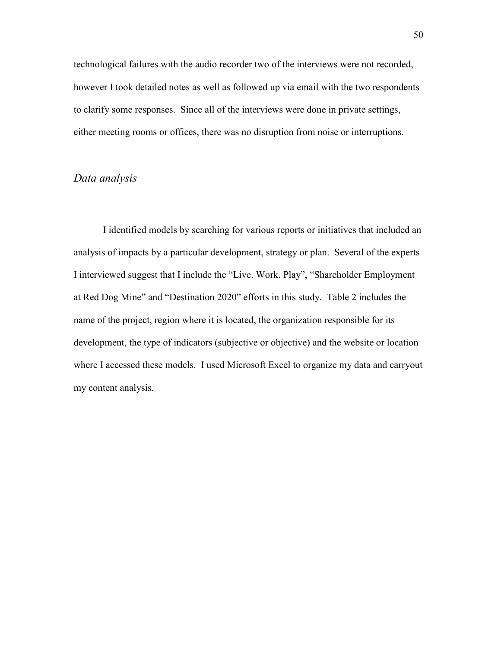technological failures with the audio recorder two of the interviews were not recorded, however I took detailed notes as well as followed up via email with the two respondents to clarify some responses. Since all of the interviews were done in private settings, either meeting rooms or offices, there was no disruption from noise or interruptions.

# *Data analysis*

I identified models by searching for various reports or initiatives that included an analysis of impacts by a particular development, strategy or plan. Several of the experts I interviewed suggest that I include the "Live. Work. Play", "Shareholder Employment at Red Dog Mine" and "Destination 2020" efforts in this study. Table 2 includes the name of the project, region where it is located, the organization responsible for its development, the type of indicators (subjective or objective) and the website or location where I accessed these models. I used Microsoft Excel to organize my data and carryout my content analysis.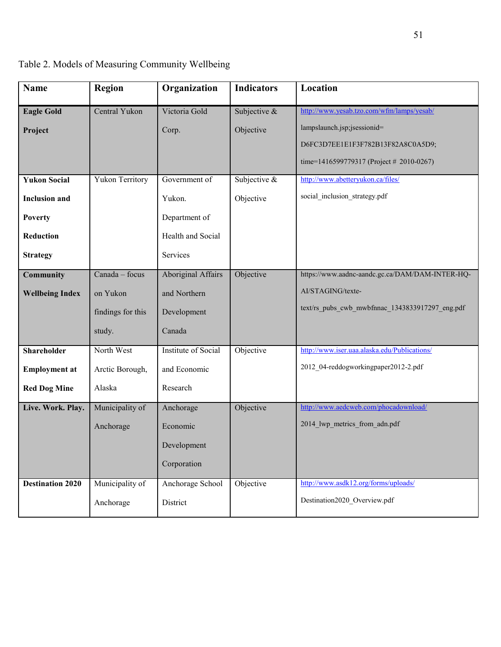| <b>Name</b>             | <b>Region</b>          | Organization              | <b>Indicators</b> | Location                                        |
|-------------------------|------------------------|---------------------------|-------------------|-------------------------------------------------|
| <b>Eagle Gold</b>       | Central Yukon          | Victoria Gold             | Subjective &      | http://www.yesab.tzo.com/wfm/lamps/yesab/       |
| Project                 |                        | Corp.                     | Objective         | lampslaunch.jsp;jsessionid=                     |
|                         |                        |                           |                   | D6FC3D7EE1E1F3F782B13F82A8C0A5D9;               |
|                         |                        |                           |                   | time=1416599779317 (Project # 2010-0267)        |
| <b>Yukon Social</b>     | <b>Yukon Territory</b> | Government of             | Subjective &      | http://www.abetteryukon.ca/files/               |
| <b>Inclusion</b> and    |                        | Yukon.                    | Objective         | social inclusion strategy.pdf                   |
| <b>Poverty</b>          |                        | Department of             |                   |                                                 |
| Reduction               |                        | Health and Social         |                   |                                                 |
| <b>Strategy</b>         |                        | Services                  |                   |                                                 |
| <b>Community</b>        | Canada - focus         | <b>Aboriginal Affairs</b> | Objective         | https://www.aadnc-aandc.gc.ca/DAM/DAM-INTER-HQ- |
| <b>Wellbeing Index</b>  | on Yukon               | and Northern              |                   | AI/STAGING/texte-                               |
|                         | findings for this      | Development               |                   | text/rs_pubs_cwb_mwbfnnac_1343833917297_eng.pdf |
|                         | study.                 | Canada                    |                   |                                                 |
|                         |                        |                           |                   |                                                 |
| <b>Shareholder</b>      | North West             | Institute of Social       | Objective         | http://www.iser.uaa.alaska.edu/Publications/    |
| <b>Employment at</b>    | Arctic Borough,        | and Economic              |                   | 2012 04-reddogworkingpaper2012-2.pdf            |
| <b>Red Dog Mine</b>     | Alaska                 | Research                  |                   |                                                 |
| Live. Work. Play.       | Municipality of        | Anchorage                 | Objective         | http://www.aedcweb.com/phocadownload/           |
|                         | Anchorage              | Economic                  |                   | 2014 lwp metrics from adn.pdf                   |
|                         |                        | Development               |                   |                                                 |
|                         |                        | Corporation               |                   |                                                 |
| <b>Destination 2020</b> | Municipality of        | Anchorage School          | Objective         | http://www.asdk12.org/forms/uploads/            |
|                         | Anchorage              | District                  |                   | Destination2020 Overview.pdf                    |

Table 2. Models of Measuring Community Wellbeing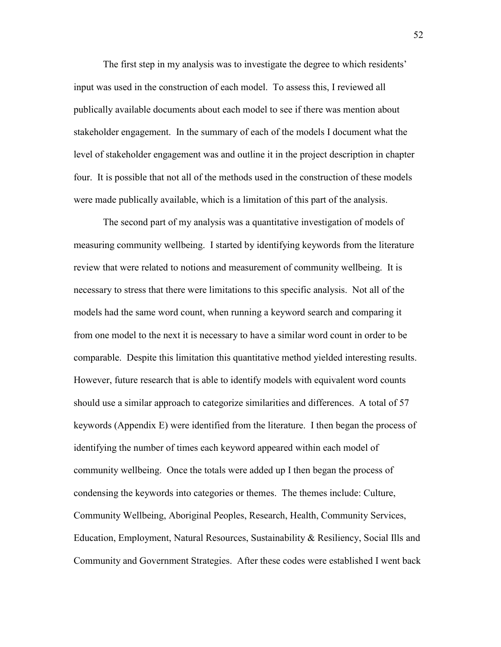The first step in my analysis was to investigate the degree to which residents' input was used in the construction of each model. To assess this, I reviewed all publically available documents about each model to see if there was mention about stakeholder engagement. In the summary of each of the models I document what the level of stakeholder engagement was and outline it in the project description in chapter four. It is possible that not all of the methods used in the construction of these models were made publically available, which is a limitation of this part of the analysis.

The second part of my analysis was a quantitative investigation of models of measuring community wellbeing. I started by identifying keywords from the literature review that were related to notions and measurement of community wellbeing. It is necessary to stress that there were limitations to this specific analysis. Not all of the models had the same word count, when running a keyword search and comparing it from one model to the next it is necessary to have a similar word count in order to be comparable. Despite this limitation this quantitative method yielded interesting results. However, future research that is able to identify models with equivalent word counts should use a similar approach to categorize similarities and differences. A total of 57 keywords (Appendix E) were identified from the literature. I then began the process of identifying the number of times each keyword appeared within each model of community wellbeing. Once the totals were added up I then began the process of condensing the keywords into categories or themes. The themes include: Culture, Community Wellbeing, Aboriginal Peoples, Research, Health, Community Services, Education, Employment, Natural Resources, Sustainability & Resiliency, Social Ills and Community and Government Strategies. After these codes were established I went back

52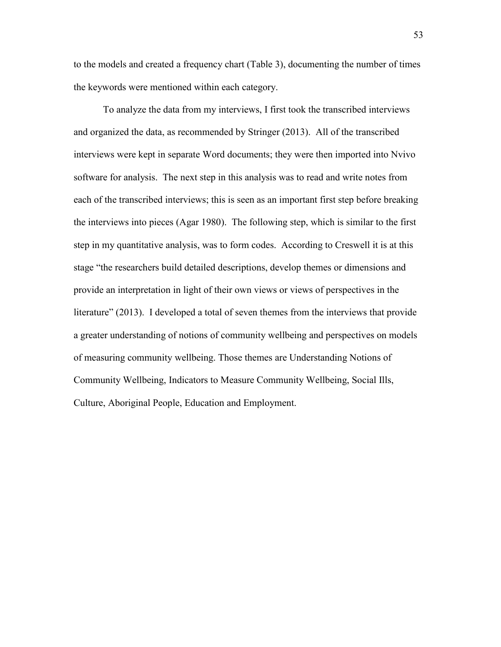to the models and created a frequency chart (Table 3), documenting the number of times the keywords were mentioned within each category.

To analyze the data from my interviews, I first took the transcribed interviews and organized the data, as recommended by Stringer (2013). All of the transcribed interviews were kept in separate Word documents; they were then imported into Nvivo software for analysis. The next step in this analysis was to read and write notes from each of the transcribed interviews; this is seen as an important first step before breaking the interviews into pieces (Agar 1980). The following step, which is similar to the first step in my quantitative analysis, was to form codes. According to Creswell it is at this stage "the researchers build detailed descriptions, develop themes or dimensions and provide an interpretation in light of their own views or views of perspectives in the literature" (2013). I developed a total of seven themes from the interviews that provide a greater understanding of notions of community wellbeing and perspectives on models of measuring community wellbeing. Those themes are Understanding Notions of Community Wellbeing, Indicators to Measure Community Wellbeing, Social Ills, Culture, Aboriginal People, Education and Employment.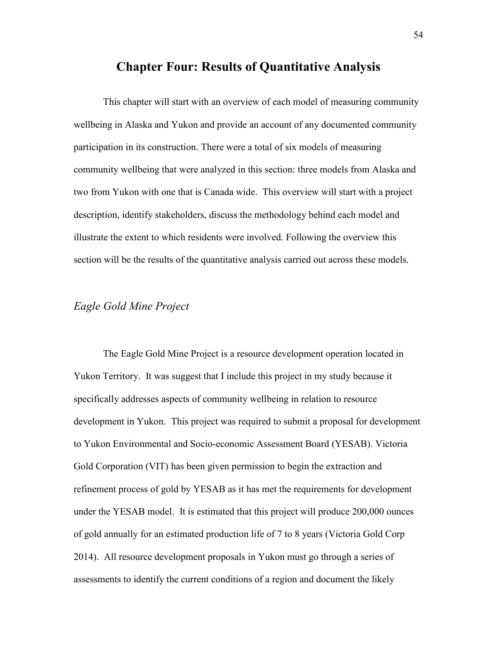# **Chapter Four: Results of Quantitative Analysis**

This chapter will start with an overview of each model of measuring community wellbeing in Alaska and Yukon and provide an account of any documented community participation in its construction. There were a total of six models of measuring community wellbeing that were analyzed in this section: three models from Alaska and two from Yukon with one that is Canada wide. This overview will start with a project description, identify stakeholders, discuss the methodology behind each model and illustrate the extent to which residents were involved. Following the overview this section will be the results of the quantitative analysis carried out across these models.

## *Eagle Gold Mine Project*

The Eagle Gold Mine Project is a resource development operation located in Yukon Territory. It was suggest that I include this project in my study because it specifically addresses aspects of community wellbeing in relation to resource development in Yukon. This project was required to submit a proposal for development to Yukon Environmental and Socio-economic Assessment Board (YESAB). Victoria Gold Corporation (VIT) has been given permission to begin the extraction and refinement process of gold by YESAB as it has met the requirements for development under the YESAB model. It is estimated that this project will produce 200,000 ounces of gold annually for an estimated production life of 7 to 8 years (Victoria Gold Corp 2014). All resource development proposals in Yukon must go through a series of assessments to identify the current conditions of a region and document the likely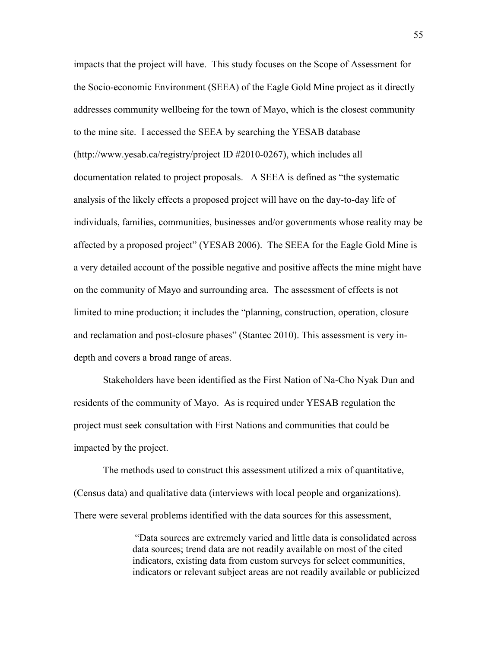impacts that the project will have. This study focuses on the Scope of Assessment for the Socio-economic Environment (SEEA) of the Eagle Gold Mine project as it directly addresses community wellbeing for the town of Mayo, which is the closest community to the mine site. I accessed the SEEA by searching the YESAB database (http://www.yesab.ca/registry/project ID #2010-0267), which includes all documentation related to project proposals. A SEEA is defined as "the systematic analysis of the likely effects a proposed project will have on the day-to-day life of individuals, families, communities, businesses and/or governments whose reality may be affected by a proposed project" (YESAB 2006). The SEEA for the Eagle Gold Mine is a very detailed account of the possible negative and positive affects the mine might have on the community of Mayo and surrounding area. The assessment of effects is not limited to mine production; it includes the "planning, construction, operation, closure and reclamation and post-closure phases" (Stantec 2010). This assessment is very indepth and covers a broad range of areas.

Stakeholders have been identified as the First Nation of Na-Cho Nyak Dun and residents of the community of Mayo. As is required under YESAB regulation the project must seek consultation with First Nations and communities that could be impacted by the project.

The methods used to construct this assessment utilized a mix of quantitative, (Census data) and qualitative data (interviews with local people and organizations). There were several problems identified with the data sources for this assessment,

> "Data sources are extremely varied and little data is consolidated across data sources; trend data are not readily available on most of the cited indicators, existing data from custom surveys for select communities, indicators or relevant subject areas are not readily available or publicized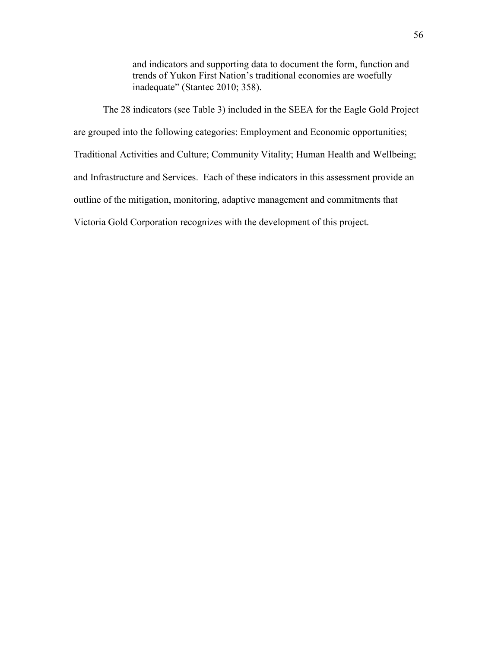and indicators and supporting data to document the form, function and trends of Yukon First Nation's traditional economies are woefully inadequate" (Stantec 2010; 358).

The 28 indicators (see Table 3) included in the SEEA for the Eagle Gold Project are grouped into the following categories: Employment and Economic opportunities; Traditional Activities and Culture; Community Vitality; Human Health and Wellbeing; and Infrastructure and Services. Each of these indicators in this assessment provide an outline of the mitigation, monitoring, adaptive management and commitments that Victoria Gold Corporation recognizes with the development of this project.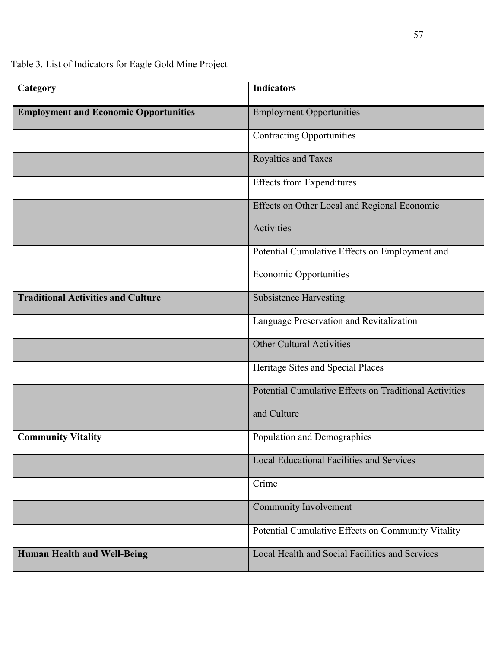Table 3. List of Indicators for Eagle Gold Mine Project

| Category                                     | <b>Indicators</b>                                      |
|----------------------------------------------|--------------------------------------------------------|
| <b>Employment and Economic Opportunities</b> | <b>Employment Opportunities</b>                        |
|                                              | <b>Contracting Opportunities</b>                       |
|                                              | Royalties and Taxes                                    |
|                                              | <b>Effects from Expenditures</b>                       |
|                                              | Effects on Other Local and Regional Economic           |
|                                              | Activities                                             |
|                                              | Potential Cumulative Effects on Employment and         |
|                                              | <b>Economic Opportunities</b>                          |
| <b>Traditional Activities and Culture</b>    | <b>Subsistence Harvesting</b>                          |
|                                              | Language Preservation and Revitalization               |
|                                              | <b>Other Cultural Activities</b>                       |
|                                              | Heritage Sites and Special Places                      |
|                                              | Potential Cumulative Effects on Traditional Activities |
|                                              | and Culture                                            |
| <b>Community Vitality</b>                    | Population and Demographics                            |
|                                              | <b>Local Educational Facilities and Services</b>       |
|                                              | Crime                                                  |
|                                              | Community Involvement                                  |
|                                              | Potential Cumulative Effects on Community Vitality     |
| <b>Human Health and Well-Being</b>           | Local Health and Social Facilities and Services        |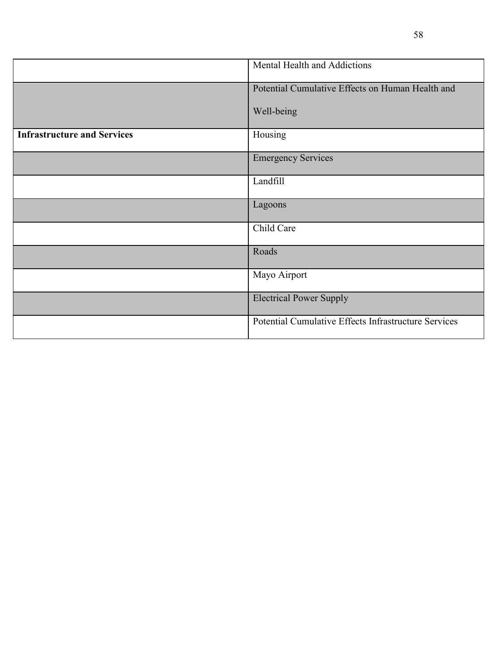|                                    | Mental Health and Addictions                         |  |
|------------------------------------|------------------------------------------------------|--|
|                                    | Potential Cumulative Effects on Human Health and     |  |
|                                    | Well-being                                           |  |
| <b>Infrastructure and Services</b> | Housing                                              |  |
|                                    | <b>Emergency Services</b>                            |  |
|                                    | Landfill                                             |  |
|                                    | Lagoons                                              |  |
|                                    | Child Care                                           |  |
|                                    | Roads                                                |  |
|                                    | Mayo Airport                                         |  |
|                                    | <b>Electrical Power Supply</b>                       |  |
|                                    | Potential Cumulative Effects Infrastructure Services |  |

58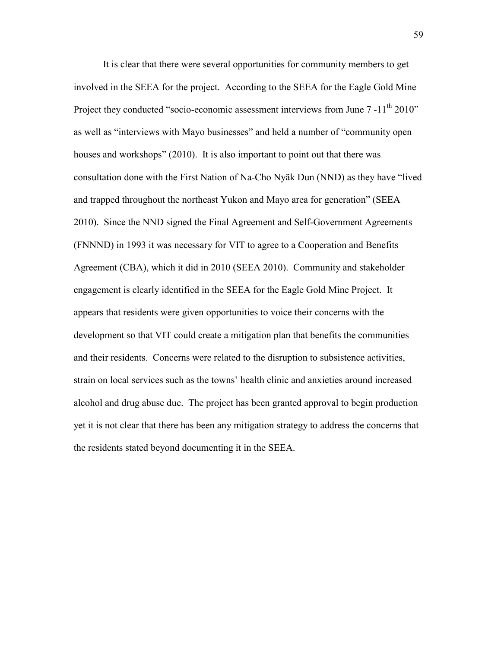It is clear that there were several opportunities for community members to get involved in the SEEA for the project. According to the SEEA for the Eagle Gold Mine Project they conducted "socio-economic assessment interviews from June 7 -11<sup>th</sup> 2010" as well as "interviews with Mayo businesses" and held a number of "community open houses and workshops" (2010). It is also important to point out that there was consultation done with the First Nation of Na-Cho Nyäk Dun (NND) as they have "lived and trapped throughout the northeast Yukon and Mayo area for generation" (SEEA 2010). Since the NND signed the Final Agreement and Self-Government Agreements (FNNND) in 1993 it was necessary for VIT to agree to a Cooperation and Benefits Agreement (CBA), which it did in 2010 (SEEA 2010). Community and stakeholder engagement is clearly identified in the SEEA for the Eagle Gold Mine Project. It appears that residents were given opportunities to voice their concerns with the development so that VIT could create a mitigation plan that benefits the communities and their residents. Concerns were related to the disruption to subsistence activities, strain on local services such as the towns' health clinic and anxieties around increased alcohol and drug abuse due. The project has been granted approval to begin production yet it is not clear that there has been any mitigation strategy to address the concerns that the residents stated beyond documenting it in the SEEA.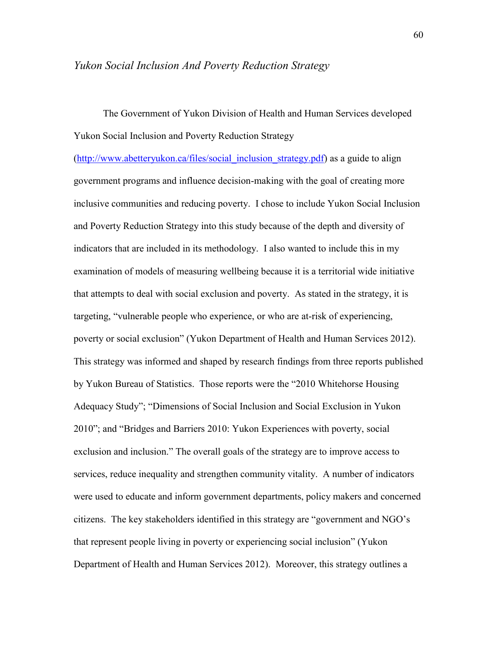#### *Yukon Social Inclusion And Poverty Reduction Strategy*

The Government of Yukon Division of Health and Human Services developed Yukon Social Inclusion and Poverty Reduction Strategy

[\(http://www.abetteryukon.ca/files/social\\_inclusion\\_strategy.pdf\)](http://www.abetteryukon.ca/files/social_inclusion_strategy.pdf) as a guide to align government programs and influence decision-making with the goal of creating more inclusive communities and reducing poverty. I chose to include Yukon Social Inclusion and Poverty Reduction Strategy into this study because of the depth and diversity of indicators that are included in its methodology. I also wanted to include this in my examination of models of measuring wellbeing because it is a territorial wide initiative that attempts to deal with social exclusion and poverty. As stated in the strategy, it is targeting, "vulnerable people who experience, or who are at-risk of experiencing, poverty or social exclusion" (Yukon Department of Health and Human Services 2012). This strategy was informed and shaped by research findings from three reports published by Yukon Bureau of Statistics. Those reports were the "2010 Whitehorse Housing Adequacy Study"; "Dimensions of Social Inclusion and Social Exclusion in Yukon 2010"; and "Bridges and Barriers 2010: Yukon Experiences with poverty, social exclusion and inclusion." The overall goals of the strategy are to improve access to services, reduce inequality and strengthen community vitality. A number of indicators were used to educate and inform government departments, policy makers and concerned citizens. The key stakeholders identified in this strategy are "government and NGO's that represent people living in poverty or experiencing social inclusion" (Yukon Department of Health and Human Services 2012). Moreover, this strategy outlines a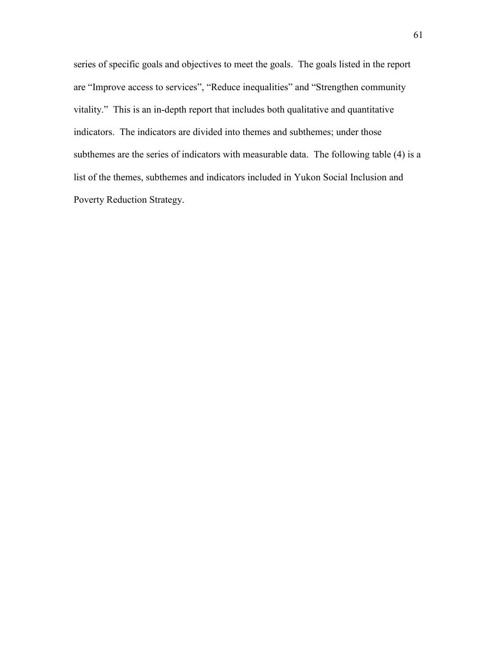series of specific goals and objectives to meet the goals. The goals listed in the report are "Improve access to services", "Reduce inequalities" and "Strengthen community vitality." This is an in-depth report that includes both qualitative and quantitative indicators. The indicators are divided into themes and subthemes; under those subthemes are the series of indicators with measurable data. The following table (4) is a list of the themes, subthemes and indicators included in Yukon Social Inclusion and Poverty Reduction Strategy.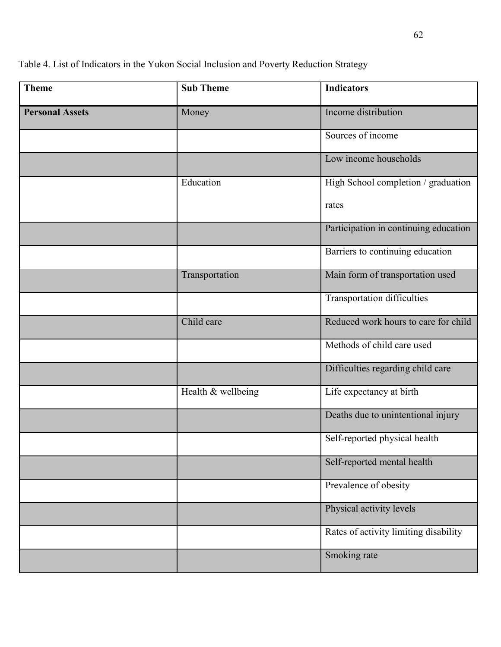Table 4. List of Indicators in the Yukon Social Inclusion and Poverty Reduction Strategy

| <b>Theme</b>           | <b>Sub Theme</b>   | <b>Indicators</b>                     |
|------------------------|--------------------|---------------------------------------|
| <b>Personal Assets</b> | Money              | Income distribution                   |
|                        |                    | Sources of income                     |
|                        |                    | Low income households                 |
|                        | Education          | High School completion / graduation   |
|                        |                    | rates                                 |
|                        |                    | Participation in continuing education |
|                        |                    | Barriers to continuing education      |
|                        | Transportation     | Main form of transportation used      |
|                        |                    | <b>Transportation difficulties</b>    |
|                        | Child care         | Reduced work hours to care for child  |
|                        |                    | Methods of child care used            |
|                        |                    | Difficulties regarding child care     |
|                        | Health & wellbeing | Life expectancy at birth              |
|                        |                    | Deaths due to unintentional injury    |
|                        |                    | Self-reported physical health         |
|                        |                    | Self-reported mental health           |
|                        |                    | Prevalence of obesity                 |
|                        |                    | Physical activity levels              |
|                        |                    | Rates of activity limiting disability |
|                        |                    | Smoking rate                          |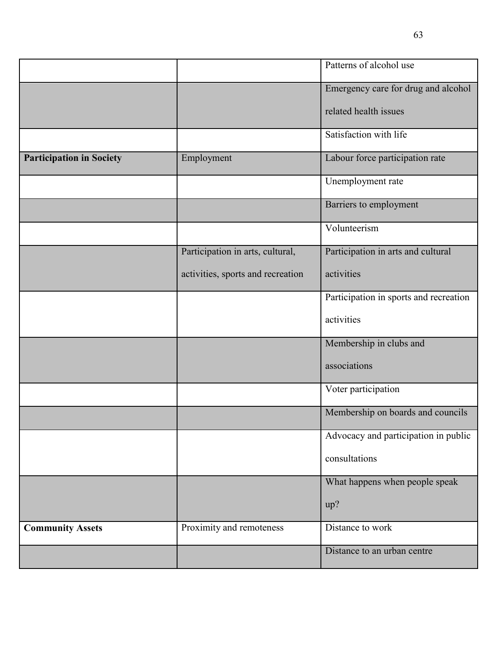|                                 |                                   | Patterns of alcohol use                |
|---------------------------------|-----------------------------------|----------------------------------------|
|                                 |                                   | Emergency care for drug and alcohol    |
|                                 |                                   | related health issues                  |
|                                 |                                   | Satisfaction with life                 |
| <b>Participation in Society</b> | Employment                        | Labour force participation rate        |
|                                 |                                   | Unemployment rate                      |
|                                 |                                   | Barriers to employment                 |
|                                 |                                   | Volunteerism                           |
|                                 | Participation in arts, cultural,  | Participation in arts and cultural     |
|                                 | activities, sports and recreation | activities                             |
|                                 |                                   | Participation in sports and recreation |
|                                 |                                   | activities                             |
|                                 |                                   | Membership in clubs and                |
|                                 |                                   | associations                           |
|                                 |                                   | Voter participation                    |
|                                 |                                   | Membership on boards and councils      |
|                                 |                                   | Advocacy and participation in public   |
|                                 |                                   | consultations                          |
|                                 |                                   | What happens when people speak         |
|                                 |                                   | up?                                    |
| <b>Community Assets</b>         | Proximity and remoteness          | Distance to work                       |
|                                 |                                   | Distance to an urban centre            |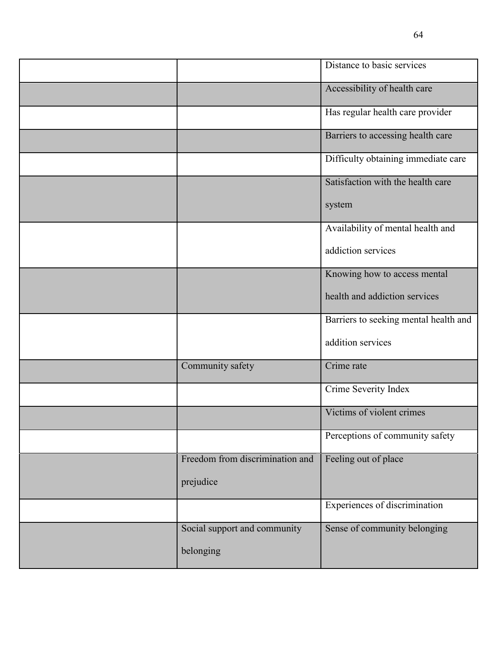|                                 | Distance to basic services            |
|---------------------------------|---------------------------------------|
|                                 | Accessibility of health care          |
|                                 | Has regular health care provider      |
|                                 | Barriers to accessing health care     |
|                                 | Difficulty obtaining immediate care   |
|                                 | Satisfaction with the health care     |
|                                 | system                                |
|                                 | Availability of mental health and     |
|                                 | addiction services                    |
|                                 | Knowing how to access mental          |
|                                 | health and addiction services         |
|                                 | Barriers to seeking mental health and |
|                                 | addition services                     |
| Community safety                | Crime rate                            |
|                                 | Crime Severity Index                  |
|                                 | Victims of violent crimes             |
|                                 | Perceptions of community safety       |
| Freedom from discrimination and | Feeling out of place                  |
| prejudice                       |                                       |
|                                 | Experiences of discrimination         |
| Social support and community    | Sense of community belonging          |
| belonging                       |                                       |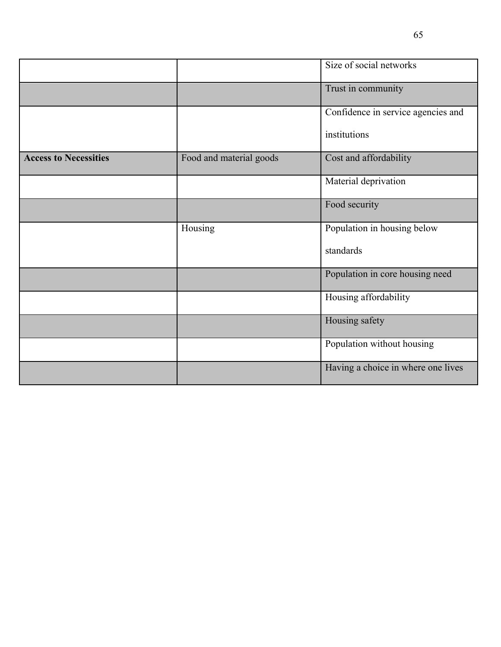|                              |                         | Size of social networks            |
|------------------------------|-------------------------|------------------------------------|
|                              |                         | Trust in community                 |
|                              |                         | Confidence in service agencies and |
|                              |                         | institutions                       |
| <b>Access to Necessities</b> | Food and material goods | Cost and affordability             |
|                              |                         | Material deprivation               |
|                              |                         | Food security                      |
|                              | Housing                 | Population in housing below        |
|                              |                         | standards                          |
|                              |                         | Population in core housing need    |
|                              |                         | Housing affordability              |
|                              |                         | Housing safety                     |
|                              |                         | Population without housing         |
|                              |                         | Having a choice in where one lives |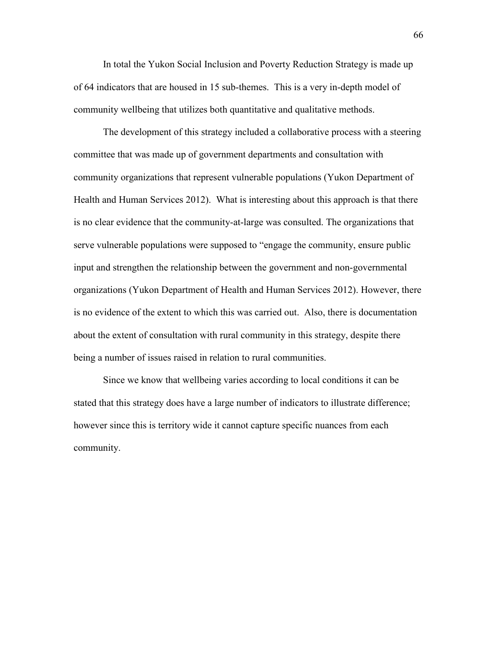In total the Yukon Social Inclusion and Poverty Reduction Strategy is made up of 64 indicators that are housed in 15 sub-themes. This is a very in-depth model of community wellbeing that utilizes both quantitative and qualitative methods.

The development of this strategy included a collaborative process with a steering committee that was made up of government departments and consultation with community organizations that represent vulnerable populations (Yukon Department of Health and Human Services 2012). What is interesting about this approach is that there is no clear evidence that the community-at-large was consulted. The organizations that serve vulnerable populations were supposed to "engage the community, ensure public input and strengthen the relationship between the government and non-governmental organizations (Yukon Department of Health and Human Services 2012). However, there is no evidence of the extent to which this was carried out. Also, there is documentation about the extent of consultation with rural community in this strategy, despite there being a number of issues raised in relation to rural communities.

Since we know that wellbeing varies according to local conditions it can be stated that this strategy does have a large number of indicators to illustrate difference; however since this is territory wide it cannot capture specific nuances from each community.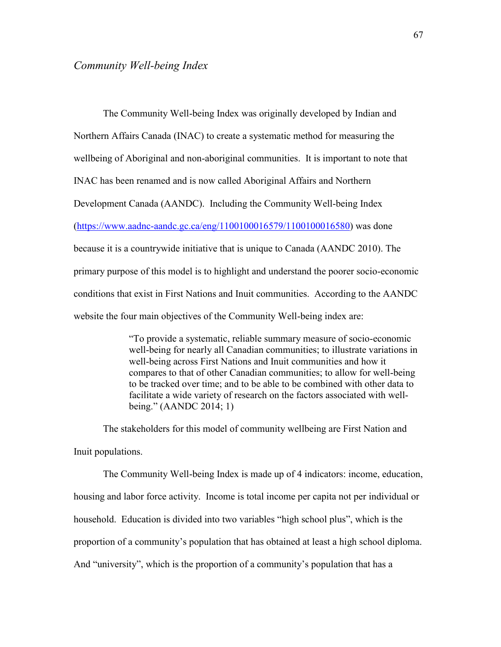#### *Community Well-being Index*

The Community Well-being Index was originally developed by Indian and Northern Affairs Canada (INAC) to create a systematic method for measuring the wellbeing of Aboriginal and non-aboriginal communities. It is important to note that INAC has been renamed and is now called Aboriginal Affairs and Northern Development Canada (AANDC). Including the Community Well-being Index [\(https://www.aadnc-aandc.gc.ca/eng/1100100016579/1100100016580\)](https://www.aadnc-aandc.gc.ca/eng/1100100016579/1100100016580) was done because it is a countrywide initiative that is unique to Canada (AANDC 2010). The primary purpose of this model is to highlight and understand the poorer socio-economic conditions that exist in First Nations and Inuit communities. According to the AANDC website the four main objectives of the Community Well-being index are:

> "To provide a systematic, reliable summary measure of socio-economic well-being for nearly all Canadian communities; to illustrate variations in well-being across First Nations and Inuit communities and how it compares to that of other Canadian communities; to allow for well-being to be tracked over time; and to be able to be combined with other data to facilitate a wide variety of research on the factors associated with wellbeing." (AANDC 2014; 1)

The stakeholders for this model of community wellbeing are First Nation and Inuit populations.

The Community Well-being Index is made up of 4 indicators: income, education, housing and labor force activity. Income is total income per capita not per individual or household. Education is divided into two variables "high school plus", which is the proportion of a community's population that has obtained at least a high school diploma. And "university", which is the proportion of a community's population that has a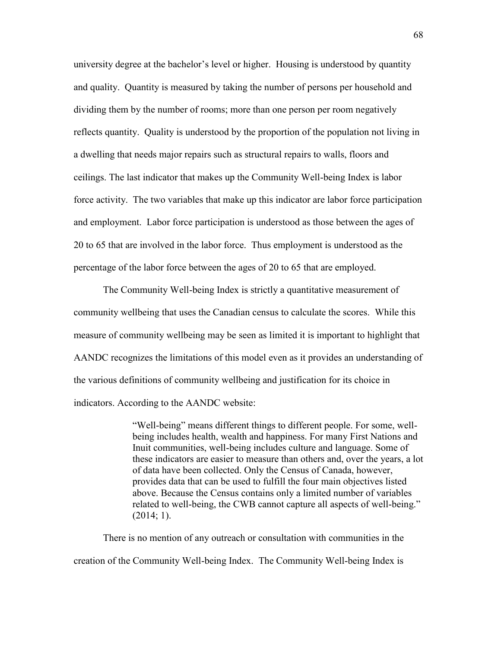university degree at the bachelor's level or higher. Housing is understood by quantity and quality. Quantity is measured by taking the number of persons per household and dividing them by the number of rooms; more than one person per room negatively reflects quantity. Quality is understood by the proportion of the population not living in a dwelling that needs major repairs such as structural repairs to walls, floors and ceilings. The last indicator that makes up the Community Well-being Index is labor force activity. The two variables that make up this indicator are labor force participation and employment. Labor force participation is understood as those between the ages of 20 to 65 that are involved in the labor force. Thus employment is understood as the percentage of the labor force between the ages of 20 to 65 that are employed.

The Community Well-being Index is strictly a quantitative measurement of community wellbeing that uses the Canadian census to calculate the scores. While this measure of community wellbeing may be seen as limited it is important to highlight that AANDC recognizes the limitations of this model even as it provides an understanding of the various definitions of community wellbeing and justification for its choice in indicators. According to the AANDC website:

> "Well-being" means different things to different people. For some, wellbeing includes health, wealth and happiness. For many First Nations and Inuit communities, well-being includes culture and language. Some of these indicators are easier to measure than others and, over the years, a lot of data have been collected. Only the Census of Canada, however, provides data that can be used to fulfill the four main objectives listed above. Because the Census contains only a limited number of variables related to well-being, the CWB cannot capture all aspects of well-being."  $(2014; 1)$ .

There is no mention of any outreach or consultation with communities in the creation of the Community Well-being Index. The Community Well-being Index is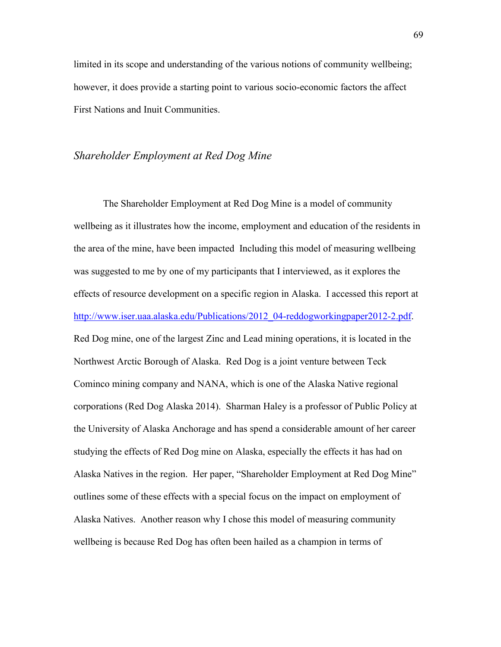limited in its scope and understanding of the various notions of community wellbeing; however, it does provide a starting point to various socio-economic factors the affect First Nations and Inuit Communities.

### *Shareholder Employment at Red Dog Mine*

The Shareholder Employment at Red Dog Mine is a model of community wellbeing as it illustrates how the income, employment and education of the residents in the area of the mine, have been impacted Including this model of measuring wellbeing was suggested to me by one of my participants that I interviewed, as it explores the effects of resource development on a specific region in Alaska. I accessed this report at [http://www.iser.uaa.alaska.edu/Publications/2012\\_04-reddogworkingpaper2012-2.pdf.](http://www.iser.uaa.alaska.edu/Publications/2012_04-reddogworkingpaper2012-2.pdf) Red Dog mine, one of the largest Zinc and Lead mining operations, it is located in the Northwest Arctic Borough of Alaska. Red Dog is a joint venture between Teck Cominco mining company and NANA, which is one of the Alaska Native regional corporations (Red Dog Alaska 2014). Sharman Haley is a professor of Public Policy at the University of Alaska Anchorage and has spend a considerable amount of her career studying the effects of Red Dog mine on Alaska, especially the effects it has had on Alaska Natives in the region. Her paper, "Shareholder Employment at Red Dog Mine" outlines some of these effects with a special focus on the impact on employment of Alaska Natives. Another reason why I chose this model of measuring community wellbeing is because Red Dog has often been hailed as a champion in terms of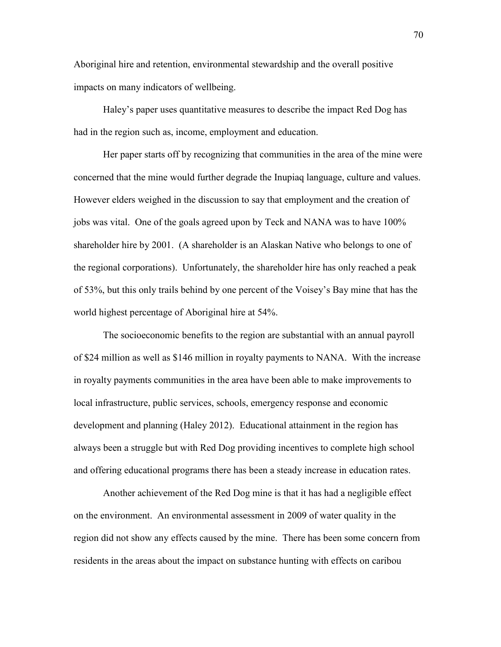Aboriginal hire and retention, environmental stewardship and the overall positive impacts on many indicators of wellbeing.

Haley's paper uses quantitative measures to describe the impact Red Dog has had in the region such as, income, employment and education.

Her paper starts off by recognizing that communities in the area of the mine were concerned that the mine would further degrade the Inupiaq language, culture and values. However elders weighed in the discussion to say that employment and the creation of jobs was vital. One of the goals agreed upon by Teck and NANA was to have 100% shareholder hire by 2001. (A shareholder is an Alaskan Native who belongs to one of the regional corporations). Unfortunately, the shareholder hire has only reached a peak of 53%, but this only trails behind by one percent of the Voisey's Bay mine that has the world highest percentage of Aboriginal hire at 54%.

The socioeconomic benefits to the region are substantial with an annual payroll of \$24 million as well as \$146 million in royalty payments to NANA. With the increase in royalty payments communities in the area have been able to make improvements to local infrastructure, public services, schools, emergency response and economic development and planning (Haley 2012). Educational attainment in the region has always been a struggle but with Red Dog providing incentives to complete high school and offering educational programs there has been a steady increase in education rates.

Another achievement of the Red Dog mine is that it has had a negligible effect on the environment. An environmental assessment in 2009 of water quality in the region did not show any effects caused by the mine. There has been some concern from residents in the areas about the impact on substance hunting with effects on caribou

70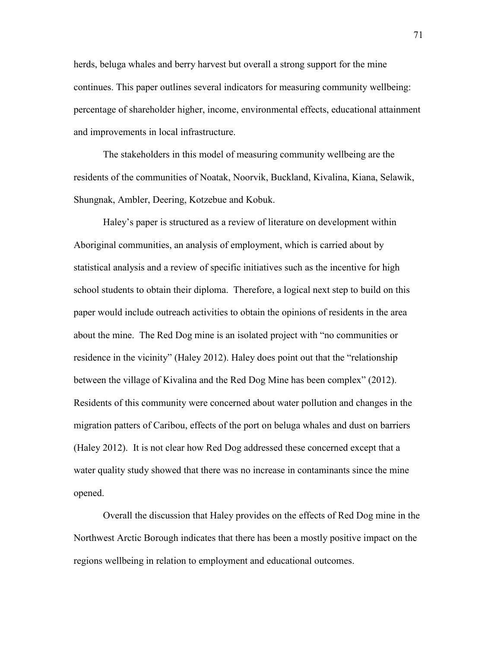herds, beluga whales and berry harvest but overall a strong support for the mine continues. This paper outlines several indicators for measuring community wellbeing: percentage of shareholder higher, income, environmental effects, educational attainment and improvements in local infrastructure.

The stakeholders in this model of measuring community wellbeing are the residents of the communities of Noatak, Noorvik, Buckland, Kivalina, Kiana, Selawik, Shungnak, Ambler, Deering, Kotzebue and Kobuk.

Haley's paper is structured as a review of literature on development within Aboriginal communities, an analysis of employment, which is carried about by statistical analysis and a review of specific initiatives such as the incentive for high school students to obtain their diploma. Therefore, a logical next step to build on this paper would include outreach activities to obtain the opinions of residents in the area about the mine. The Red Dog mine is an isolated project with "no communities or residence in the vicinity" (Haley 2012). Haley does point out that the "relationship between the village of Kivalina and the Red Dog Mine has been complex" (2012). Residents of this community were concerned about water pollution and changes in the migration patters of Caribou, effects of the port on beluga whales and dust on barriers (Haley 2012). It is not clear how Red Dog addressed these concerned except that a water quality study showed that there was no increase in contaminants since the mine opened.

Overall the discussion that Haley provides on the effects of Red Dog mine in the Northwest Arctic Borough indicates that there has been a mostly positive impact on the regions wellbeing in relation to employment and educational outcomes.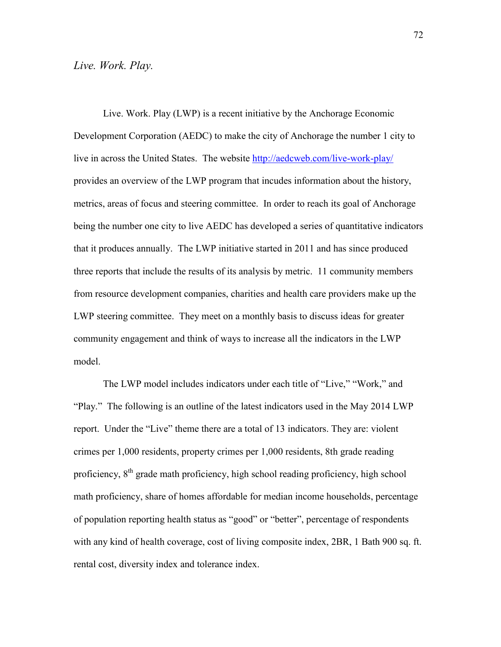#### *Live. Work. Play.*

Live. Work. Play (LWP) is a recent initiative by the Anchorage Economic Development Corporation (AEDC) to make the city of Anchorage the number 1 city to live in across the United States. The website<http://aedcweb.com/live-work-play/> provides an overview of the LWP program that incudes information about the history, metrics, areas of focus and steering committee. In order to reach its goal of Anchorage being the number one city to live AEDC has developed a series of quantitative indicators that it produces annually. The LWP initiative started in 2011 and has since produced three reports that include the results of its analysis by metric. 11 community members from resource development companies, charities and health care providers make up the LWP steering committee. They meet on a monthly basis to discuss ideas for greater community engagement and think of ways to increase all the indicators in the LWP model.

The LWP model includes indicators under each title of "Live," "Work," and "Play." The following is an outline of the latest indicators used in the May 2014 LWP report. Under the "Live" theme there are a total of 13 indicators. They are: violent crimes per 1,000 residents, property crimes per 1,000 residents, 8th grade reading proficiency, 8<sup>th</sup> grade math proficiency, high school reading proficiency, high school math proficiency, share of homes affordable for median income households, percentage of population reporting health status as "good" or "better", percentage of respondents with any kind of health coverage, cost of living composite index, 2BR, 1 Bath 900 sq. ft. rental cost, diversity index and tolerance index.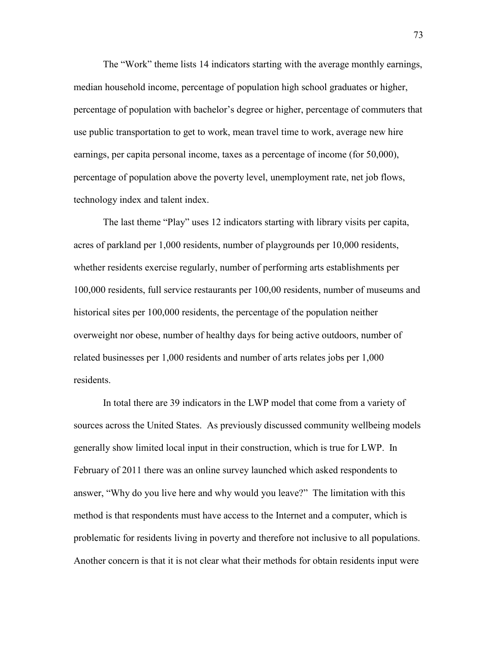The "Work" theme lists 14 indicators starting with the average monthly earnings, median household income, percentage of population high school graduates or higher, percentage of population with bachelor's degree or higher, percentage of commuters that use public transportation to get to work, mean travel time to work, average new hire earnings, per capita personal income, taxes as a percentage of income (for 50,000), percentage of population above the poverty level, unemployment rate, net job flows, technology index and talent index.

The last theme "Play" uses 12 indicators starting with library visits per capita, acres of parkland per 1,000 residents, number of playgrounds per 10,000 residents, whether residents exercise regularly, number of performing arts establishments per 100,000 residents, full service restaurants per 100,00 residents, number of museums and historical sites per 100,000 residents, the percentage of the population neither overweight nor obese, number of healthy days for being active outdoors, number of related businesses per 1,000 residents and number of arts relates jobs per 1,000 residents.

In total there are 39 indicators in the LWP model that come from a variety of sources across the United States. As previously discussed community wellbeing models generally show limited local input in their construction, which is true for LWP. In February of 2011 there was an online survey launched which asked respondents to answer, "Why do you live here and why would you leave?" The limitation with this method is that respondents must have access to the Internet and a computer, which is problematic for residents living in poverty and therefore not inclusive to all populations. Another concern is that it is not clear what their methods for obtain residents input were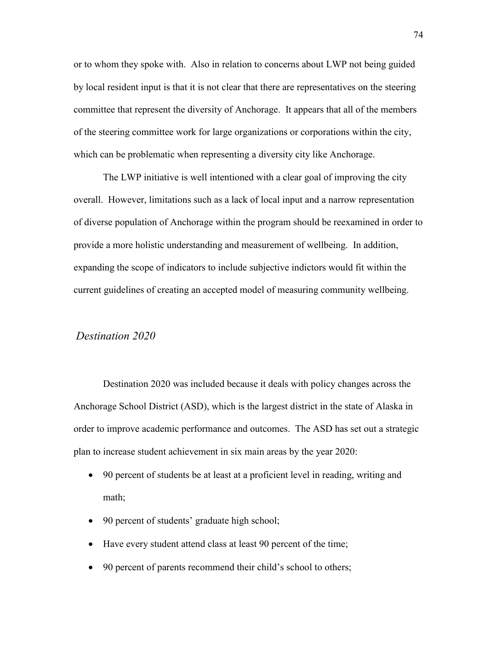or to whom they spoke with. Also in relation to concerns about LWP not being guided by local resident input is that it is not clear that there are representatives on the steering committee that represent the diversity of Anchorage. It appears that all of the members of the steering committee work for large organizations or corporations within the city, which can be problematic when representing a diversity city like Anchorage.

The LWP initiative is well intentioned with a clear goal of improving the city overall. However, limitations such as a lack of local input and a narrow representation of diverse population of Anchorage within the program should be reexamined in order to provide a more holistic understanding and measurement of wellbeing. In addition, expanding the scope of indicators to include subjective indictors would fit within the current guidelines of creating an accepted model of measuring community wellbeing.

## *Destination 2020*

Destination 2020 was included because it deals with policy changes across the Anchorage School District (ASD), which is the largest district in the state of Alaska in order to improve academic performance and outcomes. The ASD has set out a strategic plan to increase student achievement in six main areas by the year 2020:

- 90 percent of students be at least at a proficient level in reading, writing and math;
- 90 percent of students' graduate high school;
- Have every student attend class at least 90 percent of the time;
- 90 percent of parents recommend their child's school to others;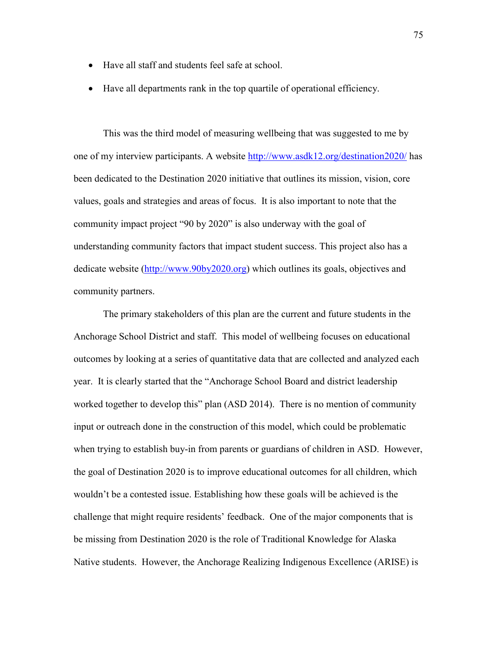- Have all staff and students feel safe at school.
- Have all departments rank in the top quartile of operational efficiency.

This was the third model of measuring wellbeing that was suggested to me by one of my interview participants. A website<http://www.asdk12.org/destination2020/> has been dedicated to the Destination 2020 initiative that outlines its mission, vision, core values, goals and strategies and areas of focus. It is also important to note that the community impact project "90 by 2020" is also underway with the goal of understanding community factors that impact student success. This project also has a dedicate website [\(http://www.90by2020.org\)](http://www.90by2020.org/) which outlines its goals, objectives and community partners.

The primary stakeholders of this plan are the current and future students in the Anchorage School District and staff. This model of wellbeing focuses on educational outcomes by looking at a series of quantitative data that are collected and analyzed each year. It is clearly started that the "Anchorage School Board and district leadership worked together to develop this" plan (ASD 2014). There is no mention of community input or outreach done in the construction of this model, which could be problematic when trying to establish buy-in from parents or guardians of children in ASD. However, the goal of Destination 2020 is to improve educational outcomes for all children, which wouldn't be a contested issue. Establishing how these goals will be achieved is the challenge that might require residents' feedback. One of the major components that is be missing from Destination 2020 is the role of Traditional Knowledge for Alaska Native students. However, the Anchorage Realizing Indigenous Excellence (ARISE) is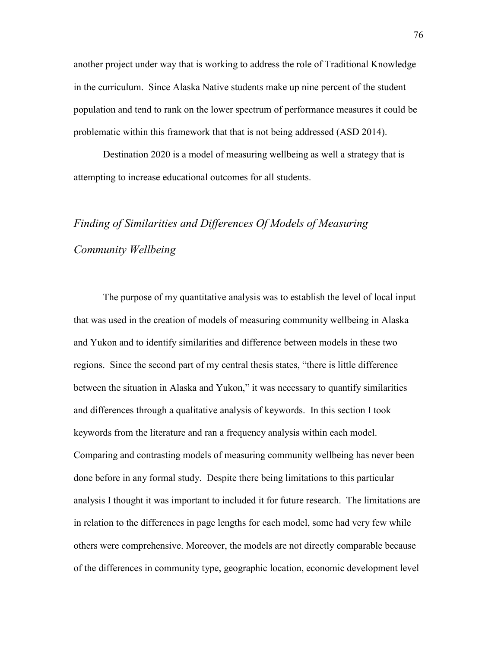another project under way that is working to address the role of Traditional Knowledge in the curriculum. Since Alaska Native students make up nine percent of the student population and tend to rank on the lower spectrum of performance measures it could be problematic within this framework that that is not being addressed (ASD 2014).

Destination 2020 is a model of measuring wellbeing as well a strategy that is attempting to increase educational outcomes for all students.

# *Finding of Similarities and Differences Of Models of Measuring Community Wellbeing*

The purpose of my quantitative analysis was to establish the level of local input that was used in the creation of models of measuring community wellbeing in Alaska and Yukon and to identify similarities and difference between models in these two regions. Since the second part of my central thesis states, "there is little difference between the situation in Alaska and Yukon," it was necessary to quantify similarities and differences through a qualitative analysis of keywords. In this section I took keywords from the literature and ran a frequency analysis within each model. Comparing and contrasting models of measuring community wellbeing has never been done before in any formal study. Despite there being limitations to this particular analysis I thought it was important to included it for future research. The limitations are in relation to the differences in page lengths for each model, some had very few while others were comprehensive. Moreover, the models are not directly comparable because of the differences in community type, geographic location, economic development level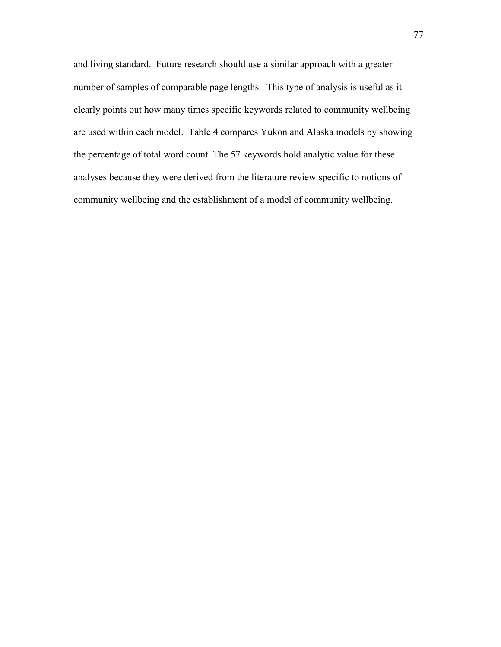and living standard. Future research should use a similar approach with a greater number of samples of comparable page lengths. This type of analysis is useful as it clearly points out how many times specific keywords related to community wellbeing are used within each model. Table 4 compares Yukon and Alaska models by showing the percentage of total word count. The 57 keywords hold analytic value for these analyses because they were derived from the literature review specific to notions of community wellbeing and the establishment of a model of community wellbeing.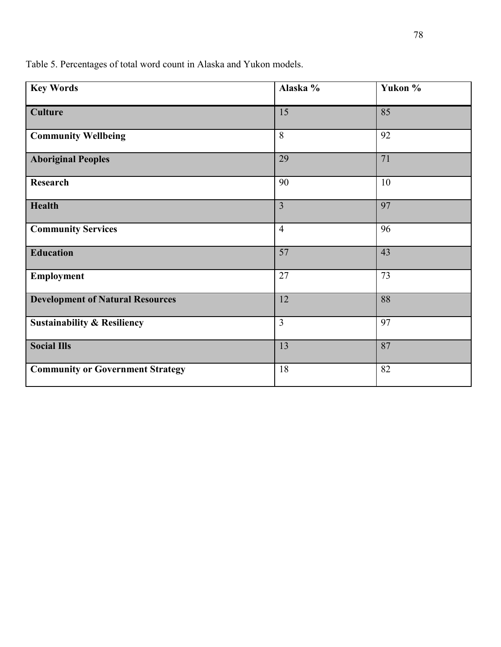**Key Words Alaska % Yukon % Culture** 15 85 **Community Wellbeing** 8 92 **Aboriginal Peoples** 29 71 **Research** 10 **Health** 3 97 **Community Services** 4 96 **Education** 57 43 **Employment** 27 73 **Development of Natural Resources** 12 88 **Sustainability & Resiliency** 3 97 **Social Ills** 13 87 **Community or Government Strategy** 18 82

Table 5. Percentages of total word count in Alaska and Yukon models.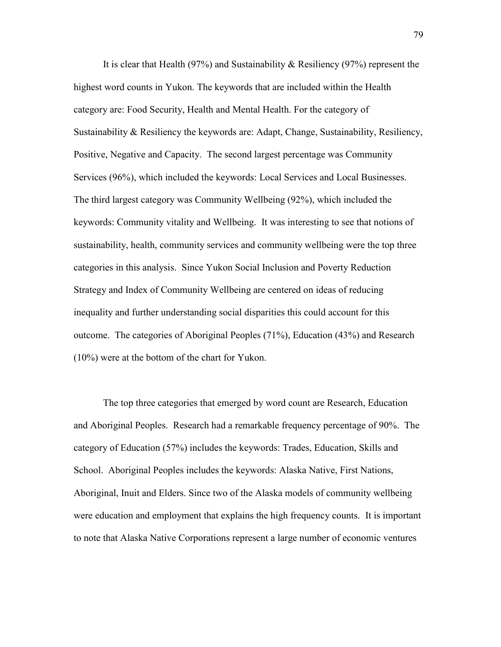It is clear that Health (97%) and Sustainability & Resiliency (97%) represent the highest word counts in Yukon. The keywords that are included within the Health category are: Food Security, Health and Mental Health. For the category of Sustainability & Resiliency the keywords are: Adapt, Change, Sustainability, Resiliency, Positive, Negative and Capacity. The second largest percentage was Community Services (96%), which included the keywords: Local Services and Local Businesses. The third largest category was Community Wellbeing (92%), which included the keywords: Community vitality and Wellbeing. It was interesting to see that notions of sustainability, health, community services and community wellbeing were the top three categories in this analysis. Since Yukon Social Inclusion and Poverty Reduction Strategy and Index of Community Wellbeing are centered on ideas of reducing inequality and further understanding social disparities this could account for this outcome. The categories of Aboriginal Peoples (71%), Education (43%) and Research (10%) were at the bottom of the chart for Yukon.

The top three categories that emerged by word count are Research, Education and Aboriginal Peoples. Research had a remarkable frequency percentage of 90%. The category of Education (57%) includes the keywords: Trades, Education, Skills and School. Aboriginal Peoples includes the keywords: Alaska Native, First Nations, Aboriginal, Inuit and Elders. Since two of the Alaska models of community wellbeing were education and employment that explains the high frequency counts. It is important to note that Alaska Native Corporations represent a large number of economic ventures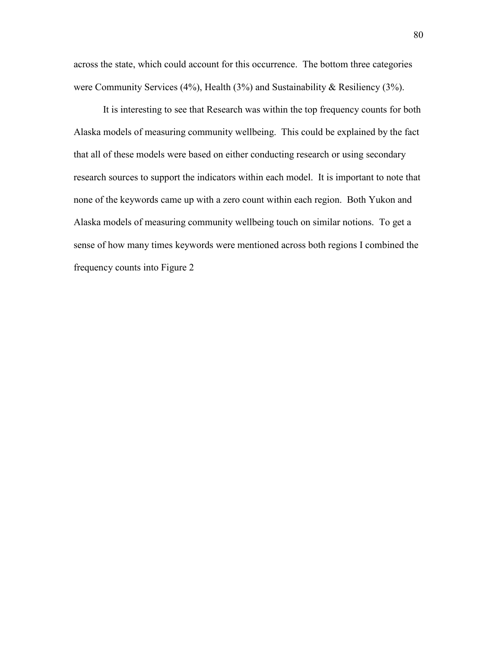across the state, which could account for this occurrence. The bottom three categories were Community Services (4%), Health (3%) and Sustainability & Resiliency (3%).

It is interesting to see that Research was within the top frequency counts for both Alaska models of measuring community wellbeing. This could be explained by the fact that all of these models were based on either conducting research or using secondary research sources to support the indicators within each model. It is important to note that none of the keywords came up with a zero count within each region. Both Yukon and Alaska models of measuring community wellbeing touch on similar notions. To get a sense of how many times keywords were mentioned across both regions I combined the frequency counts into Figure 2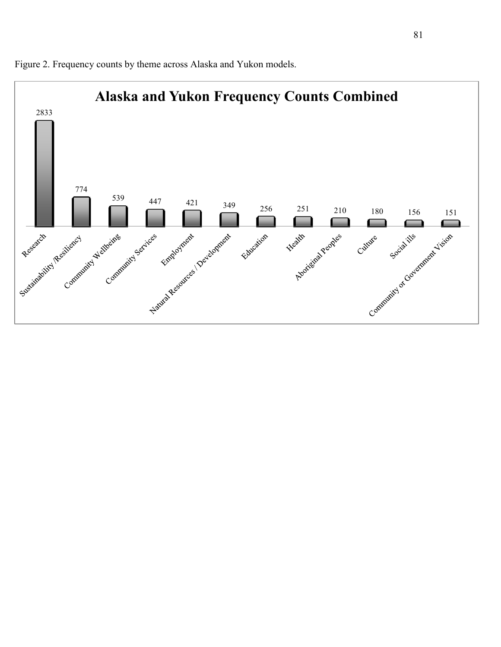

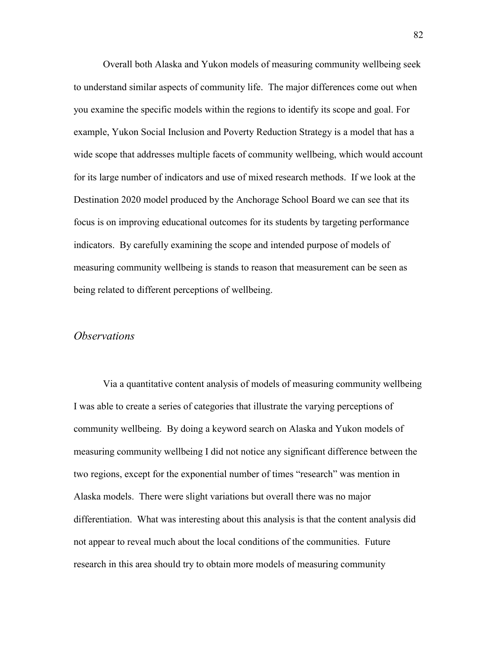Overall both Alaska and Yukon models of measuring community wellbeing seek to understand similar aspects of community life. The major differences come out when you examine the specific models within the regions to identify its scope and goal. For example, Yukon Social Inclusion and Poverty Reduction Strategy is a model that has a wide scope that addresses multiple facets of community wellbeing, which would account for its large number of indicators and use of mixed research methods. If we look at the Destination 2020 model produced by the Anchorage School Board we can see that its focus is on improving educational outcomes for its students by targeting performance indicators. By carefully examining the scope and intended purpose of models of measuring community wellbeing is stands to reason that measurement can be seen as being related to different perceptions of wellbeing.

#### *Observations*

Via a quantitative content analysis of models of measuring community wellbeing I was able to create a series of categories that illustrate the varying perceptions of community wellbeing. By doing a keyword search on Alaska and Yukon models of measuring community wellbeing I did not notice any significant difference between the two regions, except for the exponential number of times "research" was mention in Alaska models. There were slight variations but overall there was no major differentiation. What was interesting about this analysis is that the content analysis did not appear to reveal much about the local conditions of the communities. Future research in this area should try to obtain more models of measuring community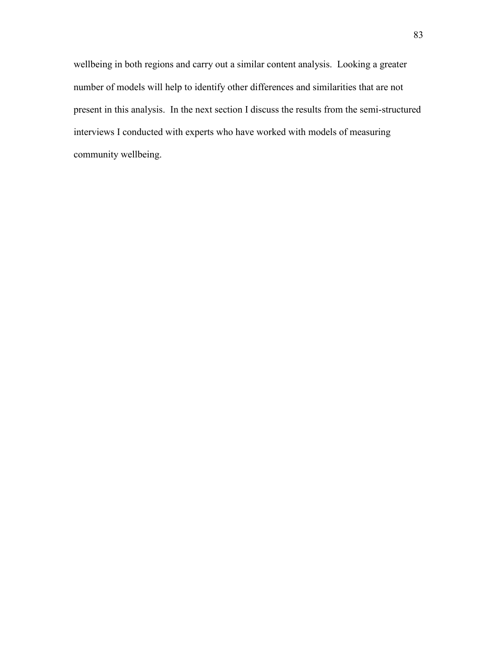wellbeing in both regions and carry out a similar content analysis. Looking a greater number of models will help to identify other differences and similarities that are not present in this analysis. In the next section I discuss the results from the semi-structured interviews I conducted with experts who have worked with models of measuring community wellbeing.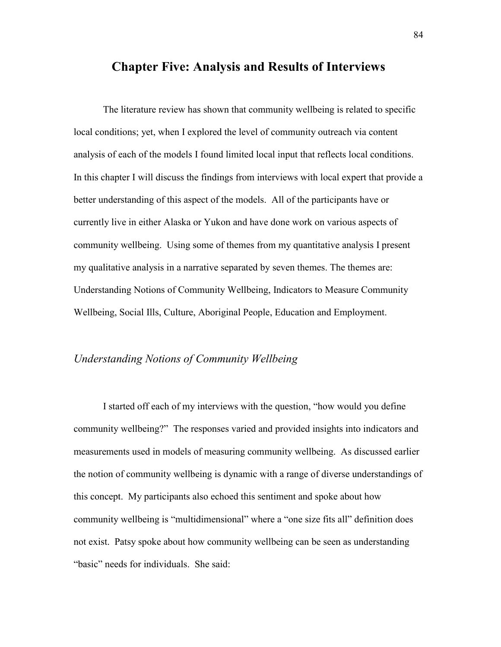## **Chapter Five: Analysis and Results of Interviews**

The literature review has shown that community wellbeing is related to specific local conditions; yet, when I explored the level of community outreach via content analysis of each of the models I found limited local input that reflects local conditions. In this chapter I will discuss the findings from interviews with local expert that provide a better understanding of this aspect of the models. All of the participants have or currently live in either Alaska or Yukon and have done work on various aspects of community wellbeing. Using some of themes from my quantitative analysis I present my qualitative analysis in a narrative separated by seven themes. The themes are: Understanding Notions of Community Wellbeing, Indicators to Measure Community Wellbeing, Social Ills, Culture, Aboriginal People, Education and Employment.

## *Understanding Notions of Community Wellbeing*

I started off each of my interviews with the question, "how would you define community wellbeing?" The responses varied and provided insights into indicators and measurements used in models of measuring community wellbeing. As discussed earlier the notion of community wellbeing is dynamic with a range of diverse understandings of this concept. My participants also echoed this sentiment and spoke about how community wellbeing is "multidimensional" where a "one size fits all" definition does not exist. Patsy spoke about how community wellbeing can be seen as understanding "basic" needs for individuals. She said: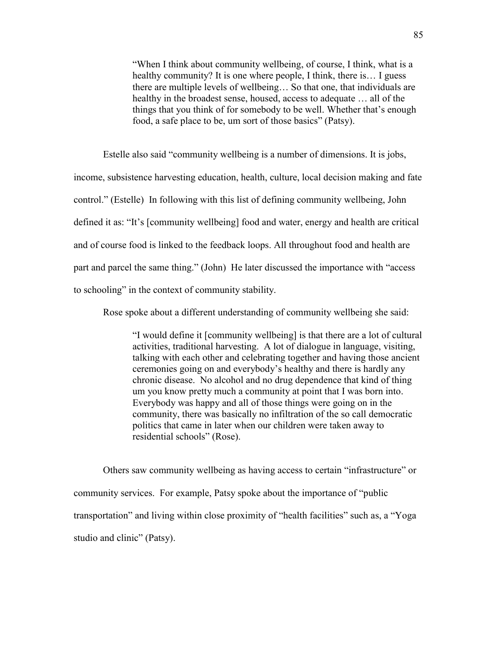"When I think about community wellbeing, of course, I think, what is a healthy community? It is one where people, I think, there is... I guess there are multiple levels of wellbeing… So that one, that individuals are healthy in the broadest sense, housed, access to adequate … all of the things that you think of for somebody to be well. Whether that's enough food, a safe place to be, um sort of those basics" (Patsy).

Estelle also said "community wellbeing is a number of dimensions. It is jobs, income, subsistence harvesting education, health, culture, local decision making and fate control." (Estelle) In following with this list of defining community wellbeing, John defined it as: "It's [community wellbeing] food and water, energy and health are critical and of course food is linked to the feedback loops. All throughout food and health are part and parcel the same thing." (John) He later discussed the importance with "access to schooling" in the context of community stability.

Rose spoke about a different understanding of community wellbeing she said:

"I would define it [community wellbeing] is that there are a lot of cultural activities, traditional harvesting. A lot of dialogue in language, visiting, talking with each other and celebrating together and having those ancient ceremonies going on and everybody's healthy and there is hardly any chronic disease. No alcohol and no drug dependence that kind of thing um you know pretty much a community at point that I was born into. Everybody was happy and all of those things were going on in the community, there was basically no infiltration of the so call democratic politics that came in later when our children were taken away to residential schools" (Rose).

Others saw community wellbeing as having access to certain "infrastructure" or community services. For example, Patsy spoke about the importance of "public transportation" and living within close proximity of "health facilities" such as, a "Yoga studio and clinic" (Patsy).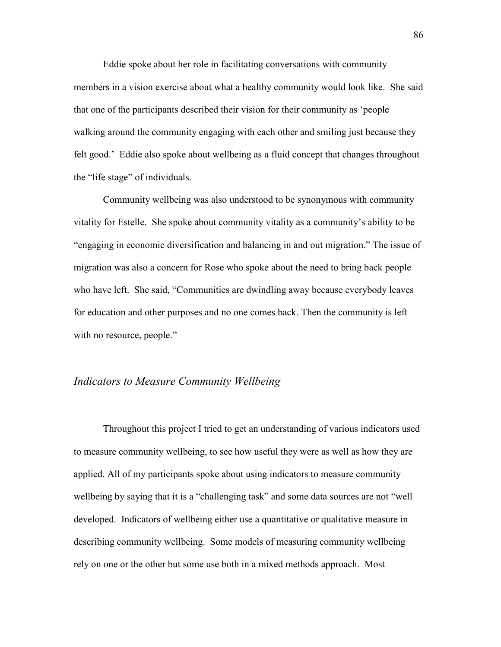Eddie spoke about her role in facilitating conversations with community members in a vision exercise about what a healthy community would look like. She said that one of the participants described their vision for their community as 'people walking around the community engaging with each other and smiling just because they felt good.' Eddie also spoke about wellbeing as a fluid concept that changes throughout the "life stage" of individuals.

Community wellbeing was also understood to be synonymous with community vitality for Estelle. She spoke about community vitality as a community's ability to be "engaging in economic diversification and balancing in and out migration." The issue of migration was also a concern for Rose who spoke about the need to bring back people who have left. She said, "Communities are dwindling away because everybody leaves for education and other purposes and no one comes back. Then the community is left with no resource, people."

## *Indicators to Measure Community Wellbeing*

Throughout this project I tried to get an understanding of various indicators used to measure community wellbeing, to see how useful they were as well as how they are applied. All of my participants spoke about using indicators to measure community wellbeing by saying that it is a "challenging task" and some data sources are not "well developed. Indicators of wellbeing either use a quantitative or qualitative measure in describing community wellbeing. Some models of measuring community wellbeing rely on one or the other but some use both in a mixed methods approach. Most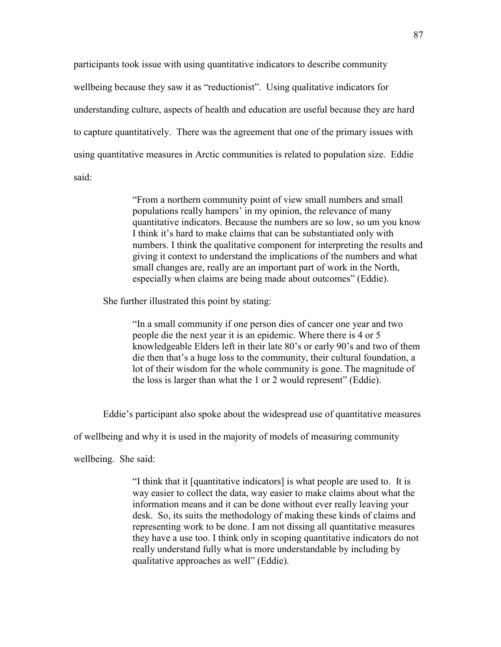participants took issue with using quantitative indicators to describe community wellbeing because they saw it as "reductionist". Using qualitative indicators for understanding culture, aspects of health and education are useful because they are hard to capture quantitatively. There was the agreement that one of the primary issues with using quantitative measures in Arctic communities is related to population size. Eddie said:

> "From a northern community point of view small numbers and small populations really hampers' in my opinion, the relevance of many quantitative indicators. Because the numbers are so low, so um you know I think it's hard to make claims that can be substantiated only with numbers. I think the qualitative component for interpreting the results and giving it context to understand the implications of the numbers and what small changes are, really are an important part of work in the North, especially when claims are being made about outcomes" (Eddie).

She further illustrated this point by stating:

"In a small community if one person dies of cancer one year and two people die the next year it is an epidemic. Where there is 4 or 5 knowledgeable Elders left in their late 80's or early 90's and two of them die then that's a huge loss to the community, their cultural foundation, a lot of their wisdom for the whole community is gone. The magnitude of the loss is larger than what the 1 or 2 would represent" (Eddie).

Eddie's participant also spoke about the widespread use of quantitative measures

of wellbeing and why it is used in the majority of models of measuring community

wellbeing. She said:

"I think that it [quantitative indicators] is what people are used to. It is way easier to collect the data, way easier to make claims about what the information means and it can be done without ever really leaving your desk. So, its suits the methodology of making these kinds of claims and representing work to be done. I am not dissing all quantitative measures they have a use too. I think only in scoping quantitative indicators do not really understand fully what is more understandable by including by qualitative approaches as well" (Eddie).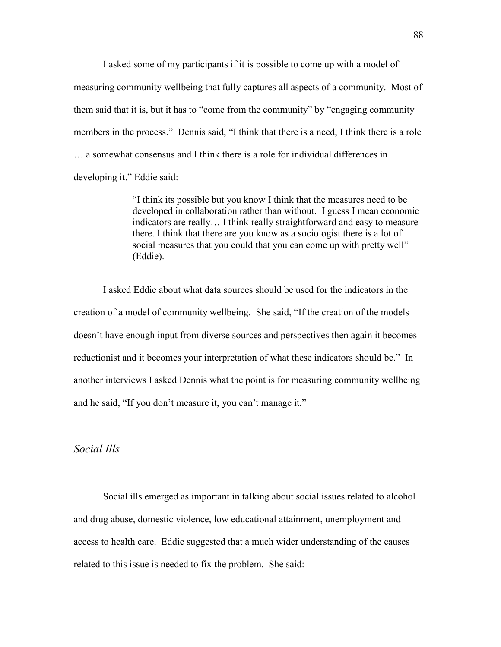I asked some of my participants if it is possible to come up with a model of measuring community wellbeing that fully captures all aspects of a community. Most of them said that it is, but it has to "come from the community" by "engaging community members in the process." Dennis said, "I think that there is a need, I think there is a role … a somewhat consensus and I think there is a role for individual differences in developing it." Eddie said:

> "I think its possible but you know I think that the measures need to be developed in collaboration rather than without. I guess I mean economic indicators are really… I think really straightforward and easy to measure there. I think that there are you know as a sociologist there is a lot of social measures that you could that you can come up with pretty well" (Eddie).

I asked Eddie about what data sources should be used for the indicators in the creation of a model of community wellbeing. She said, "If the creation of the models doesn't have enough input from diverse sources and perspectives then again it becomes reductionist and it becomes your interpretation of what these indicators should be." In another interviews I asked Dennis what the point is for measuring community wellbeing and he said, "If you don't measure it, you can't manage it."

## *Social Ills*

Social ills emerged as important in talking about social issues related to alcohol and drug abuse, domestic violence, low educational attainment, unemployment and access to health care. Eddie suggested that a much wider understanding of the causes related to this issue is needed to fix the problem. She said: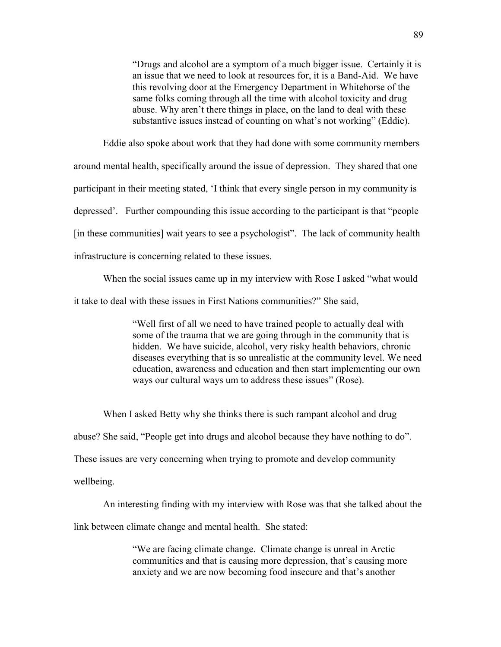"Drugs and alcohol are a symptom of a much bigger issue. Certainly it is an issue that we need to look at resources for, it is a Band-Aid. We have this revolving door at the Emergency Department in Whitehorse of the same folks coming through all the time with alcohol toxicity and drug abuse. Why aren't there things in place, on the land to deal with these substantive issues instead of counting on what's not working" (Eddie).

Eddie also spoke about work that they had done with some community members around mental health, specifically around the issue of depression. They shared that one participant in their meeting stated, 'I think that every single person in my community is depressed'. Further compounding this issue according to the participant is that "people [in these communities] wait years to see a psychologist". The lack of community health infrastructure is concerning related to these issues.

When the social issues came up in my interview with Rose I asked "what would it take to deal with these issues in First Nations communities?" She said,

> "Well first of all we need to have trained people to actually deal with some of the trauma that we are going through in the community that is hidden. We have suicide, alcohol, very risky health behaviors, chronic diseases everything that is so unrealistic at the community level. We need education, awareness and education and then start implementing our own ways our cultural ways um to address these issues" (Rose).

When I asked Betty why she thinks there is such rampant alcohol and drug abuse? She said, "People get into drugs and alcohol because they have nothing to do". These issues are very concerning when trying to promote and develop community wellbeing.

An interesting finding with my interview with Rose was that she talked about the

link between climate change and mental health. She stated:

"We are facing climate change. Climate change is unreal in Arctic communities and that is causing more depression, that's causing more anxiety and we are now becoming food insecure and that's another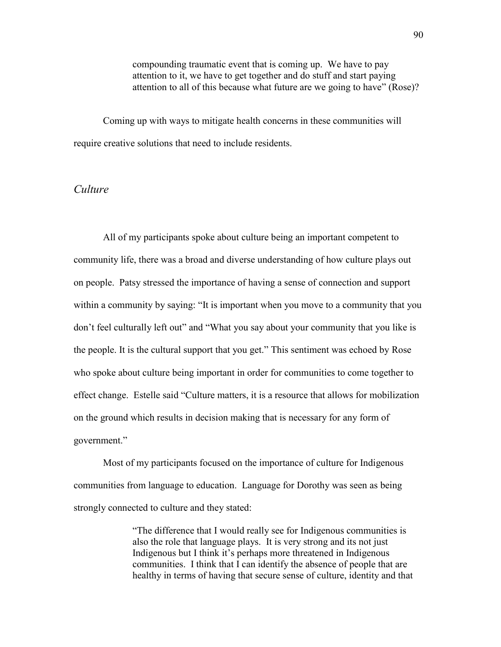compounding traumatic event that is coming up. We have to pay attention to it, we have to get together and do stuff and start paying attention to all of this because what future are we going to have" (Rose)?

Coming up with ways to mitigate health concerns in these communities will require creative solutions that need to include residents.

## *Culture*

All of my participants spoke about culture being an important competent to community life, there was a broad and diverse understanding of how culture plays out on people. Patsy stressed the importance of having a sense of connection and support within a community by saying: "It is important when you move to a community that you don't feel culturally left out" and "What you say about your community that you like is the people. It is the cultural support that you get." This sentiment was echoed by Rose who spoke about culture being important in order for communities to come together to effect change. Estelle said "Culture matters, it is a resource that allows for mobilization on the ground which results in decision making that is necessary for any form of government."

Most of my participants focused on the importance of culture for Indigenous communities from language to education. Language for Dorothy was seen as being strongly connected to culture and they stated:

> "The difference that I would really see for Indigenous communities is also the role that language plays. It is very strong and its not just Indigenous but I think it's perhaps more threatened in Indigenous communities. I think that I can identify the absence of people that are healthy in terms of having that secure sense of culture, identity and that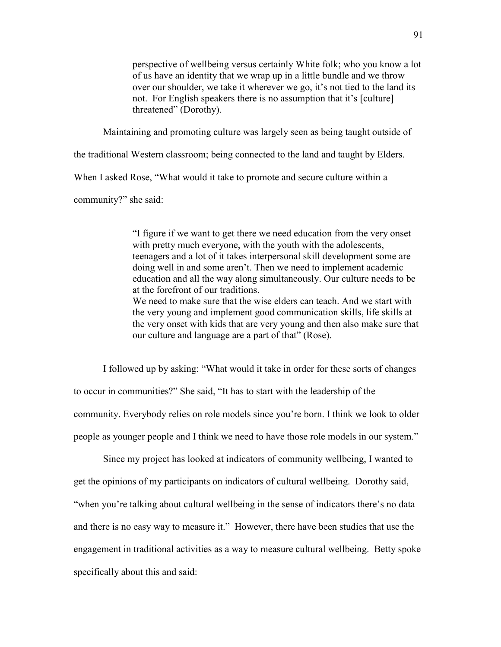perspective of wellbeing versus certainly White folk; who you know a lot of us have an identity that we wrap up in a little bundle and we throw over our shoulder, we take it wherever we go, it's not tied to the land its not. For English speakers there is no assumption that it's [culture] threatened" (Dorothy).

Maintaining and promoting culture was largely seen as being taught outside of

the traditional Western classroom; being connected to the land and taught by Elders.

When I asked Rose, "What would it take to promote and secure culture within a

community?" she said:

"I figure if we want to get there we need education from the very onset with pretty much everyone, with the youth with the adolescents, teenagers and a lot of it takes interpersonal skill development some are doing well in and some aren't. Then we need to implement academic education and all the way along simultaneously. Our culture needs to be at the forefront of our traditions. We need to make sure that the wise elders can teach. And we start with

the very young and implement good communication skills, life skills at the very onset with kids that are very young and then also make sure that our culture and language are a part of that" (Rose).

I followed up by asking: "What would it take in order for these sorts of changes to occur in communities?" She said, "It has to start with the leadership of the community. Everybody relies on role models since you're born. I think we look to older people as younger people and I think we need to have those role models in our system."

Since my project has looked at indicators of community wellbeing, I wanted to get the opinions of my participants on indicators of cultural wellbeing. Dorothy said, "when you're talking about cultural wellbeing in the sense of indicators there's no data and there is no easy way to measure it." However, there have been studies that use the engagement in traditional activities as a way to measure cultural wellbeing. Betty spoke specifically about this and said: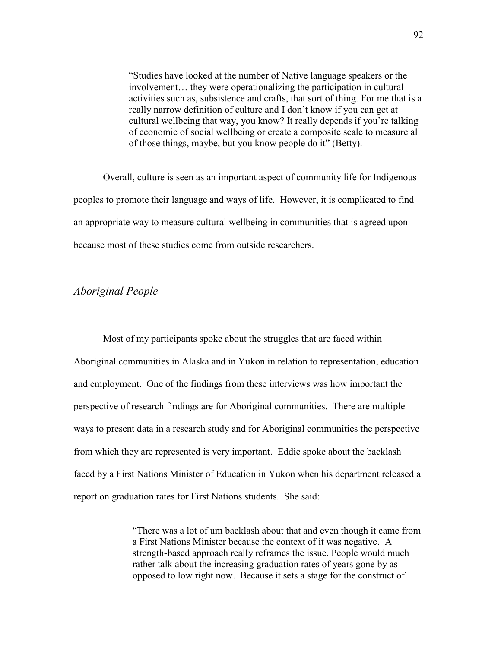"Studies have looked at the number of Native language speakers or the involvement… they were operationalizing the participation in cultural activities such as, subsistence and crafts, that sort of thing. For me that is a really narrow definition of culture and I don't know if you can get at cultural wellbeing that way, you know? It really depends if you're talking of economic of social wellbeing or create a composite scale to measure all of those things, maybe, but you know people do it" (Betty).

Overall, culture is seen as an important aspect of community life for Indigenous peoples to promote their language and ways of life. However, it is complicated to find an appropriate way to measure cultural wellbeing in communities that is agreed upon because most of these studies come from outside researchers.

## *Aboriginal People*

Most of my participants spoke about the struggles that are faced within Aboriginal communities in Alaska and in Yukon in relation to representation, education and employment.One of the findings from these interviews was how important the perspective of research findings are for Aboriginal communities. There are multiple ways to present data in a research study and for Aboriginal communities the perspective from which they are represented is very important. Eddie spoke about the backlash faced by a First Nations Minister of Education in Yukon when his department released a report on graduation rates for First Nations students. She said:

> "There was a lot of um backlash about that and even though it came from a First Nations Minister because the context of it was negative. A strength-based approach really reframes the issue. People would much rather talk about the increasing graduation rates of years gone by as opposed to low right now. Because it sets a stage for the construct of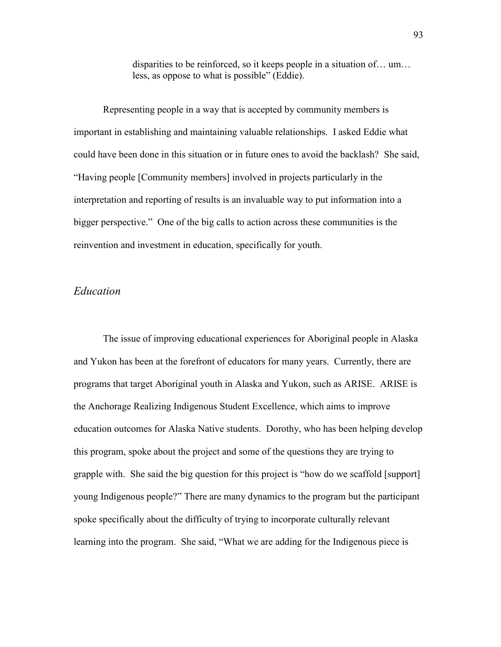disparities to be reinforced, so it keeps people in a situation of… um… less, as oppose to what is possible" (Eddie).

Representing people in a way that is accepted by community members is important in establishing and maintaining valuable relationships. I asked Eddie what could have been done in this situation or in future ones to avoid the backlash? She said, "Having people [Community members] involved in projects particularly in the interpretation and reporting of results is an invaluable way to put information into a bigger perspective." One of the big calls to action across these communities is the reinvention and investment in education, specifically for youth.

## *Education*

The issue of improving educational experiences for Aboriginal people in Alaska and Yukon has been at the forefront of educators for many years. Currently, there are programs that target Aboriginal youth in Alaska and Yukon, such as ARISE. ARISE is the Anchorage Realizing Indigenous Student Excellence, which aims to improve education outcomes for Alaska Native students. Dorothy, who has been helping develop this program, spoke about the project and some of the questions they are trying to grapple with. She said the big question for this project is "how do we scaffold [support] young Indigenous people?" There are many dynamics to the program but the participant spoke specifically about the difficulty of trying to incorporate culturally relevant learning into the program. She said, "What we are adding for the Indigenous piece is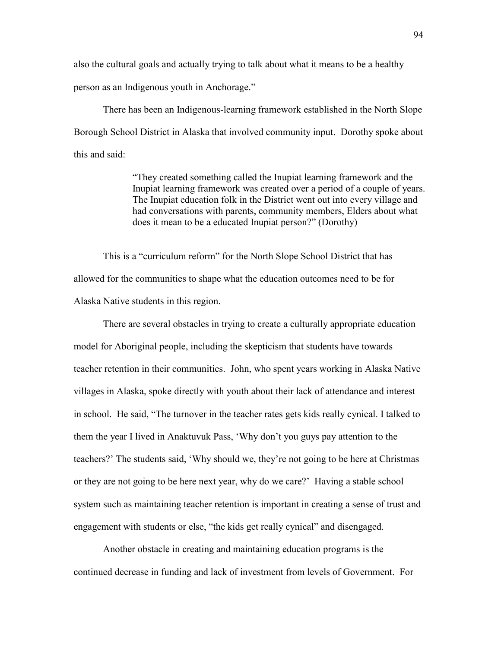also the cultural goals and actually trying to talk about what it means to be a healthy person as an Indigenous youth in Anchorage."

There has been an Indigenous-learning framework established in the North Slope Borough School District in Alaska that involved community input. Dorothy spoke about this and said:

> "They created something called the Inupiat learning framework and the Inupiat learning framework was created over a period of a couple of years. The Inupiat education folk in the District went out into every village and had conversations with parents, community members, Elders about what does it mean to be a educated Inupiat person?" (Dorothy)

This is a "curriculum reform" for the North Slope School District that has allowed for the communities to shape what the education outcomes need to be for Alaska Native students in this region.

There are several obstacles in trying to create a culturally appropriate education model for Aboriginal people, including the skepticism that students have towards teacher retention in their communities. John, who spent years working in Alaska Native villages in Alaska, spoke directly with youth about their lack of attendance and interest in school. He said, "The turnover in the teacher rates gets kids really cynical. I talked to them the year I lived in Anaktuvuk Pass, 'Why don't you guys pay attention to the teachers?' The students said, 'Why should we, they're not going to be here at Christmas or they are not going to be here next year, why do we care?' Having a stable school system such as maintaining teacher retention is important in creating a sense of trust and engagement with students or else, "the kids get really cynical" and disengaged.

Another obstacle in creating and maintaining education programs is the continued decrease in funding and lack of investment from levels of Government. For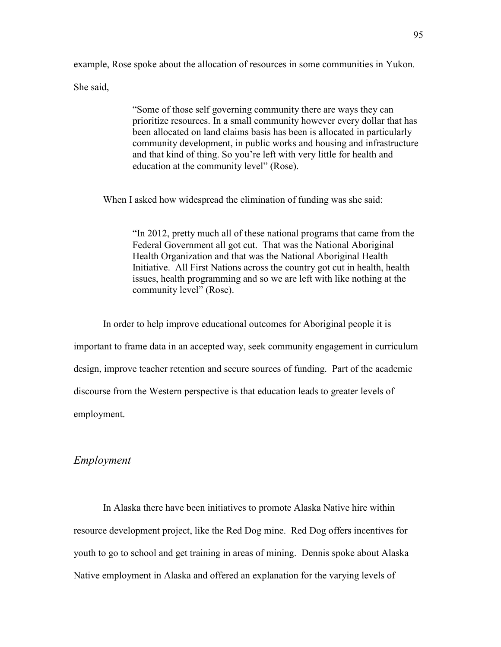example, Rose spoke about the allocation of resources in some communities in Yukon.

She said,

"Some of those self governing community there are ways they can prioritize resources. In a small community however every dollar that has been allocated on land claims basis has been is allocated in particularly community development, in public works and housing and infrastructure and that kind of thing. So you're left with very little for health and education at the community level" (Rose).

When I asked how widespread the elimination of funding was she said:

"In 2012, pretty much all of these national programs that came from the Federal Government all got cut. That was the National Aboriginal Health Organization and that was the National Aboriginal Health Initiative. All First Nations across the country got cut in health, health issues, health programming and so we are left with like nothing at the community level" (Rose).

In order to help improve educational outcomes for Aboriginal people it is important to frame data in an accepted way, seek community engagement in curriculum design, improve teacher retention and secure sources of funding. Part of the academic discourse from the Western perspective is that education leads to greater levels of employment.

## *Employment*

In Alaska there have been initiatives to promote Alaska Native hire within resource development project, like the Red Dog mine. Red Dog offers incentives for youth to go to school and get training in areas of mining. Dennis spoke about Alaska Native employment in Alaska and offered an explanation for the varying levels of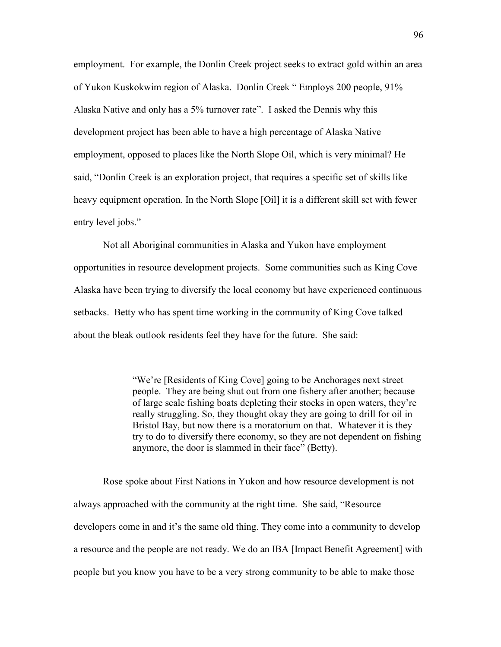employment. For example, the Donlin Creek project seeks to extract gold within an area of Yukon Kuskokwim region of Alaska. Donlin Creek " Employs 200 people, 91% Alaska Native and only has a 5% turnover rate". I asked the Dennis why this development project has been able to have a high percentage of Alaska Native employment, opposed to places like the North Slope Oil, which is very minimal? He said, "Donlin Creek is an exploration project, that requires a specific set of skills like heavy equipment operation. In the North Slope [Oil] it is a different skill set with fewer entry level jobs."

Not all Aboriginal communities in Alaska and Yukon have employment opportunities in resource development projects. Some communities such as King Cove Alaska have been trying to diversify the local economy but have experienced continuous setbacks. Betty who has spent time working in the community of King Cove talked about the bleak outlook residents feel they have for the future. She said:

> "We're [Residents of King Cove] going to be Anchorages next street people. They are being shut out from one fishery after another; because of large scale fishing boats depleting their stocks in open waters, they're really struggling. So, they thought okay they are going to drill for oil in Bristol Bay, but now there is a moratorium on that. Whatever it is they try to do to diversify there economy, so they are not dependent on fishing anymore, the door is slammed in their face" (Betty).

Rose spoke about First Nations in Yukon and how resource development is not always approached with the community at the right time. She said, "Resource developers come in and it's the same old thing. They come into a community to develop a resource and the people are not ready. We do an IBA [Impact Benefit Agreement] with people but you know you have to be a very strong community to be able to make those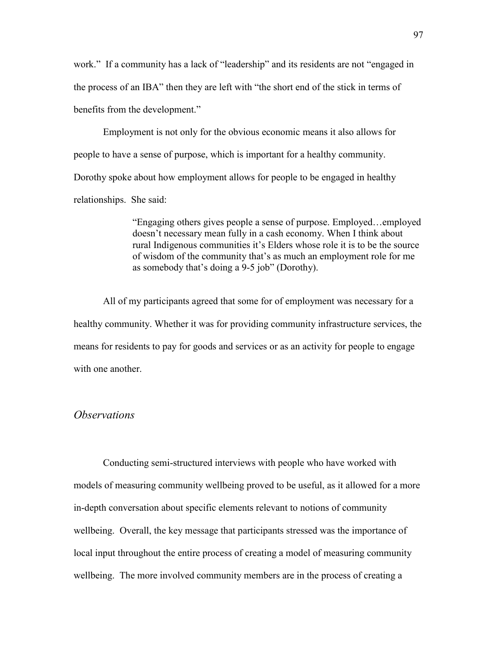work." If a community has a lack of "leadership" and its residents are not "engaged in the process of an IBA" then they are left with "the short end of the stick in terms of benefits from the development."

Employment is not only for the obvious economic means it also allows for people to have a sense of purpose, which is important for a healthy community. Dorothy spoke about how employment allows for people to be engaged in healthy relationships. She said:

> "Engaging others gives people a sense of purpose. Employed…employed doesn't necessary mean fully in a cash economy. When I think about rural Indigenous communities it's Elders whose role it is to be the source of wisdom of the community that's as much an employment role for me as somebody that's doing a 9-5 job" (Dorothy).

All of my participants agreed that some for of employment was necessary for a healthy community. Whether it was for providing community infrastructure services, the means for residents to pay for goods and services or as an activity for people to engage with one another.

#### *Observations*

Conducting semi-structured interviews with people who have worked with models of measuring community wellbeing proved to be useful, as it allowed for a more in-depth conversation about specific elements relevant to notions of community wellbeing. Overall, the key message that participants stressed was the importance of local input throughout the entire process of creating a model of measuring community wellbeing. The more involved community members are in the process of creating a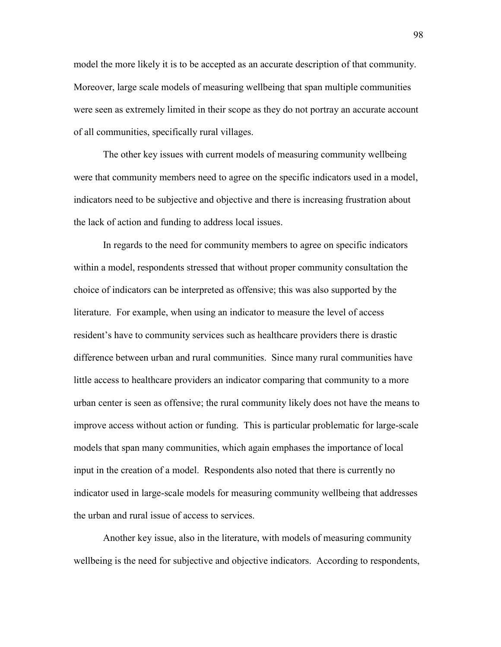model the more likely it is to be accepted as an accurate description of that community. Moreover, large scale models of measuring wellbeing that span multiple communities were seen as extremely limited in their scope as they do not portray an accurate account of all communities, specifically rural villages.

The other key issues with current models of measuring community wellbeing were that community members need to agree on the specific indicators used in a model, indicators need to be subjective and objective and there is increasing frustration about the lack of action and funding to address local issues.

In regards to the need for community members to agree on specific indicators within a model, respondents stressed that without proper community consultation the choice of indicators can be interpreted as offensive; this was also supported by the literature. For example, when using an indicator to measure the level of access resident's have to community services such as healthcare providers there is drastic difference between urban and rural communities. Since many rural communities have little access to healthcare providers an indicator comparing that community to a more urban center is seen as offensive; the rural community likely does not have the means to improve access without action or funding. This is particular problematic for large-scale models that span many communities, which again emphases the importance of local input in the creation of a model. Respondents also noted that there is currently no indicator used in large-scale models for measuring community wellbeing that addresses the urban and rural issue of access to services.

Another key issue, also in the literature, with models of measuring community wellbeing is the need for subjective and objective indicators. According to respondents,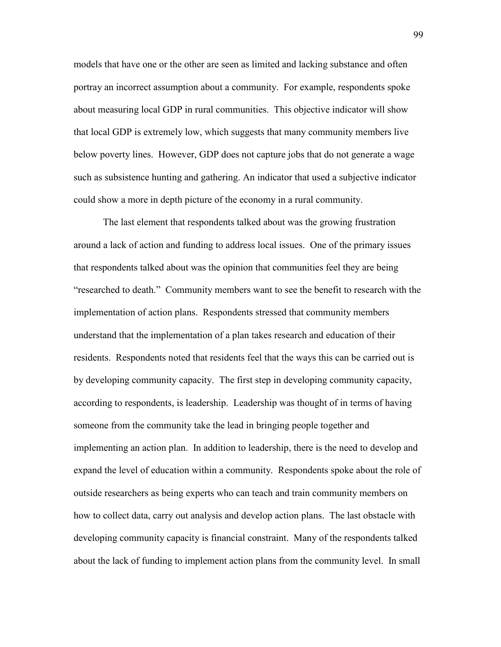models that have one or the other are seen as limited and lacking substance and often portray an incorrect assumption about a community. For example, respondents spoke about measuring local GDP in rural communities. This objective indicator will show that local GDP is extremely low, which suggests that many community members live below poverty lines. However, GDP does not capture jobs that do not generate a wage such as subsistence hunting and gathering. An indicator that used a subjective indicator could show a more in depth picture of the economy in a rural community.

The last element that respondents talked about was the growing frustration around a lack of action and funding to address local issues. One of the primary issues that respondents talked about was the opinion that communities feel they are being "researched to death." Community members want to see the benefit to research with the implementation of action plans. Respondents stressed that community members understand that the implementation of a plan takes research and education of their residents. Respondents noted that residents feel that the ways this can be carried out is by developing community capacity. The first step in developing community capacity, according to respondents, is leadership. Leadership was thought of in terms of having someone from the community take the lead in bringing people together and implementing an action plan. In addition to leadership, there is the need to develop and expand the level of education within a community. Respondents spoke about the role of outside researchers as being experts who can teach and train community members on how to collect data, carry out analysis and develop action plans. The last obstacle with developing community capacity is financial constraint. Many of the respondents talked about the lack of funding to implement action plans from the community level. In small

99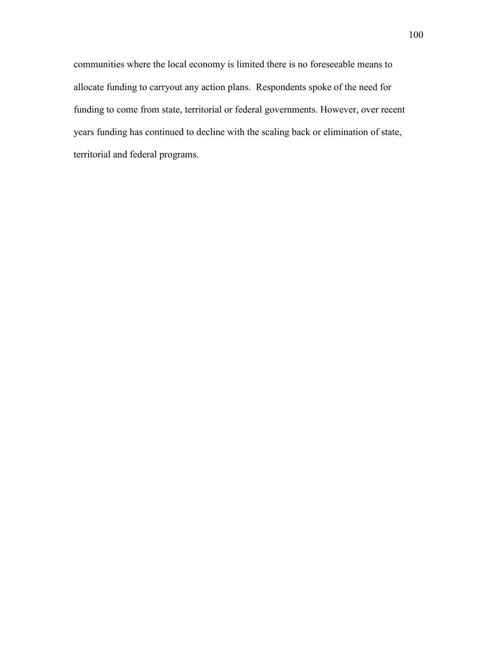communities where the local economy is limited there is no foreseeable means to allocate funding to carryout any action plans. Respondents spoke of the need for funding to come from state, territorial or federal governments. However, over recent years funding has continued to decline with the scaling back or elimination of state, territorial and federal programs.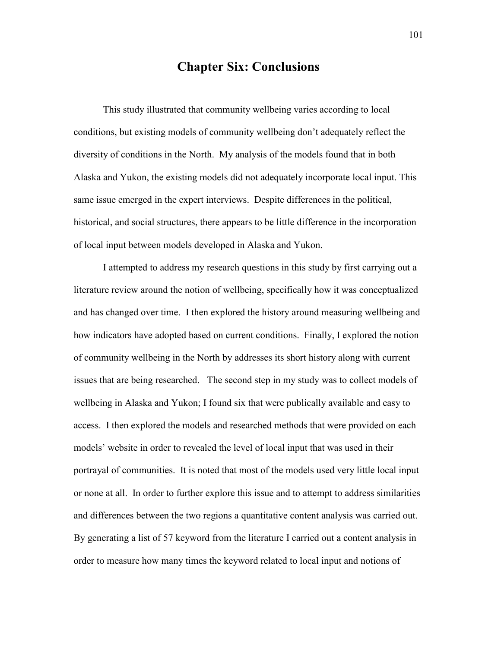# **Chapter Six: Conclusions**

This study illustrated that community wellbeing varies according to local conditions, but existing models of community wellbeing don't adequately reflect the diversity of conditions in the North. My analysis of the models found that in both Alaska and Yukon, the existing models did not adequately incorporate local input. This same issue emerged in the expert interviews. Despite differences in the political, historical, and social structures, there appears to be little difference in the incorporation of local input between models developed in Alaska and Yukon.

I attempted to address my research questions in this study by first carrying out a literature review around the notion of wellbeing, specifically how it was conceptualized and has changed over time. I then explored the history around measuring wellbeing and how indicators have adopted based on current conditions. Finally, I explored the notion of community wellbeing in the North by addresses its short history along with current issues that are being researched. The second step in my study was to collect models of wellbeing in Alaska and Yukon; I found six that were publically available and easy to access. I then explored the models and researched methods that were provided on each models' website in order to revealed the level of local input that was used in their portrayal of communities. It is noted that most of the models used very little local input or none at all. In order to further explore this issue and to attempt to address similarities and differences between the two regions a quantitative content analysis was carried out. By generating a list of 57 keyword from the literature I carried out a content analysis in order to measure how many times the keyword related to local input and notions of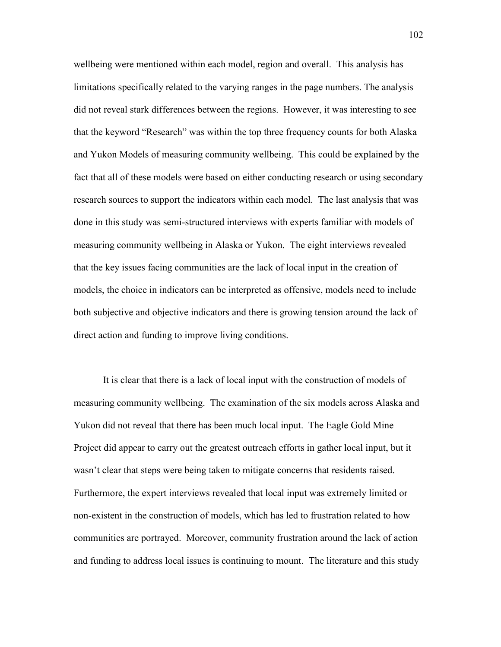wellbeing were mentioned within each model, region and overall. This analysis has limitations specifically related to the varying ranges in the page numbers. The analysis did not reveal stark differences between the regions. However, it was interesting to see that the keyword "Research" was within the top three frequency counts for both Alaska and Yukon Models of measuring community wellbeing. This could be explained by the fact that all of these models were based on either conducting research or using secondary research sources to support the indicators within each model. The last analysis that was done in this study was semi-structured interviews with experts familiar with models of measuring community wellbeing in Alaska or Yukon. The eight interviews revealed that the key issues facing communities are the lack of local input in the creation of models, the choice in indicators can be interpreted as offensive, models need to include both subjective and objective indicators and there is growing tension around the lack of direct action and funding to improve living conditions.

It is clear that there is a lack of local input with the construction of models of measuring community wellbeing. The examination of the six models across Alaska and Yukon did not reveal that there has been much local input. The Eagle Gold Mine Project did appear to carry out the greatest outreach efforts in gather local input, but it wasn't clear that steps were being taken to mitigate concerns that residents raised. Furthermore, the expert interviews revealed that local input was extremely limited or non-existent in the construction of models, which has led to frustration related to how communities are portrayed. Moreover, community frustration around the lack of action and funding to address local issues is continuing to mount. The literature and this study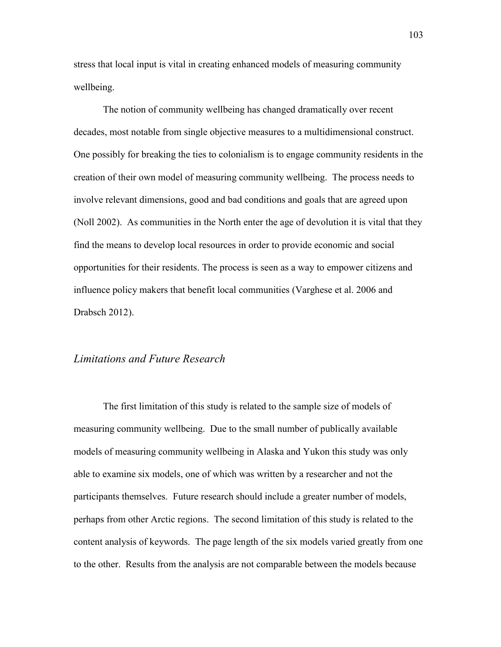stress that local input is vital in creating enhanced models of measuring community wellbeing.

The notion of community wellbeing has changed dramatically over recent decades, most notable from single objective measures to a multidimensional construct. One possibly for breaking the ties to colonialism is to engage community residents in the creation of their own model of measuring community wellbeing. The process needs to involve relevant dimensions, good and bad conditions and goals that are agreed upon (Noll 2002). As communities in the North enter the age of devolution it is vital that they find the means to develop local resources in order to provide economic and social opportunities for their residents. The process is seen as a way to empower citizens and influence policy makers that benefit local communities (Varghese et al. 2006 and Drabsch 2012).

## *Limitations and Future Research*

The first limitation of this study is related to the sample size of models of measuring community wellbeing. Due to the small number of publically available models of measuring community wellbeing in Alaska and Yukon this study was only able to examine six models, one of which was written by a researcher and not the participants themselves. Future research should include a greater number of models, perhaps from other Arctic regions. The second limitation of this study is related to the content analysis of keywords. The page length of the six models varied greatly from one to the other. Results from the analysis are not comparable between the models because

103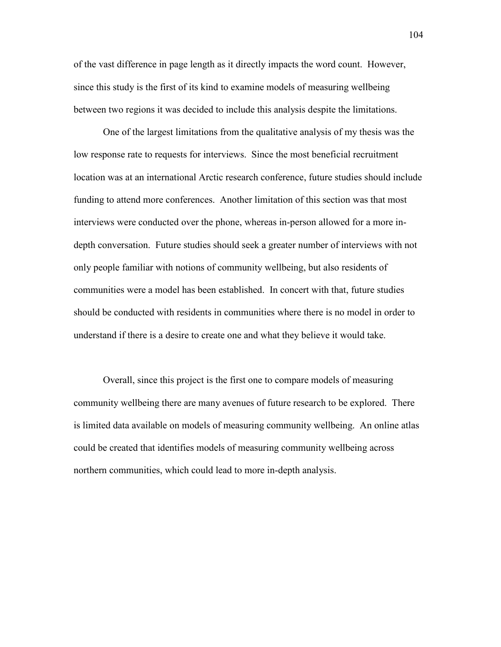of the vast difference in page length as it directly impacts the word count. However, since this study is the first of its kind to examine models of measuring wellbeing between two regions it was decided to include this analysis despite the limitations.

One of the largest limitations from the qualitative analysis of my thesis was the low response rate to requests for interviews. Since the most beneficial recruitment location was at an international Arctic research conference, future studies should include funding to attend more conferences. Another limitation of this section was that most interviews were conducted over the phone, whereas in-person allowed for a more indepth conversation. Future studies should seek a greater number of interviews with not only people familiar with notions of community wellbeing, but also residents of communities were a model has been established. In concert with that, future studies should be conducted with residents in communities where there is no model in order to understand if there is a desire to create one and what they believe it would take.

Overall, since this project is the first one to compare models of measuring community wellbeing there are many avenues of future research to be explored. There is limited data available on models of measuring community wellbeing. An online atlas could be created that identifies models of measuring community wellbeing across northern communities, which could lead to more in-depth analysis.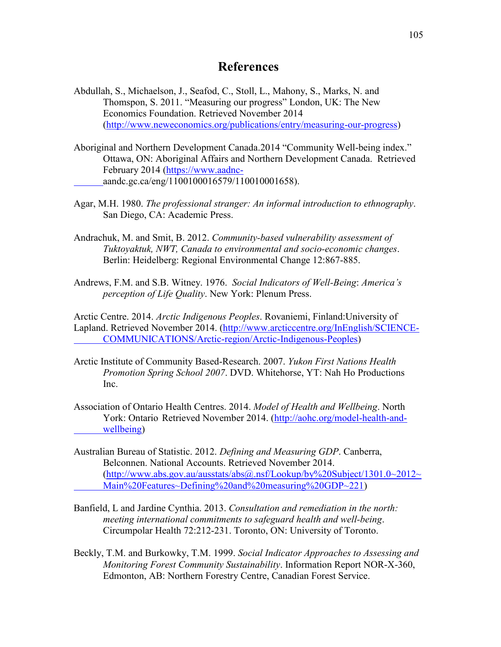# **References**

- Abdullah, S., Michaelson, J., Seafod, C., Stoll, L., Mahony, S., Marks, N. and Thomspon, S. 2011. "Measuring our progress" London, UK: The New Economics Foundation. Retrieved November 2014 [\(http://www.neweconomics.org/publications/entry/measuring-our-progress\)](http://www.neweconomics.org/publications/entry/measuring-our-progress)
- Aboriginal and Northern Development Canada.2014 "Community Well-being index." Ottawa, ON: Aboriginal Affairs and Northern Development Canada. Retrieved February 2014 [\(https://www.aadnc](https://www.aadnc-/)aandc.gc.ca/eng/1100100016579/110010001658).
- Agar, M.H. 1980. *The professional stranger: An informal introduction to ethnography*. San Diego, CA: Academic Press.
- Andrachuk, M. and Smit, B. 2012. *Community-based vulnerability assessment of Tuktoyaktuk, NWT, Canada to environmental and socio-economic changes*. Berlin: Heidelberg: Regional Environmental Change 12:867-885.
- Andrews, F.M. and S.B. Witney. 1976. *Social Indicators of Well-Being*: *America's perception of Life Quality*. New York: Plenum Press.

Arctic Centre. 2014. *Arctic Indigenous Peoples*. Rovaniemi, Finland:University of Lapland. Retrieved November 2014. [\(http://www.arcticcentre.org/InEnglish/SCIENCE-](http://www.arcticcentre.org/InEnglish/SCIENCE-%09COMMUNICATIONS/Arctic-region/Arctic-Indigenous-Peoples)[COMMUNICATIONS/Arctic-region/Arctic-Indigenous-Peoples\)](http://www.arcticcentre.org/InEnglish/SCIENCE-%09COMMUNICATIONS/Arctic-region/Arctic-Indigenous-Peoples)

- Arctic Institute of Community Based-Research. 2007. *Yukon First Nations Health Promotion Spring School 2007*. DVD. Whitehorse, YT: Nah Ho Productions Inc.
- Association of Ontario Health Centres. 2014. *Model of Health and Wellbeing*. North York: Ontario Retrieved November 2014. [\(http://aohc.org/model-health-and](http://aohc.org/model-health-and-wellbeing)[wellbeing\)](http://aohc.org/model-health-and-wellbeing)
- Australian Bureau of Statistic. 2012. *Defining and Measuring GDP*. Canberra, Belconnen. National Accounts. Retrieved November 2014.  $(\text{http://www.abs.gov.au/ausstats/abs@.nsf/Lookup/by%20Subject/1301.0~2012~$ [Main%20Features~Defining%20and%20measuring%20GDP~221\)](http://www.abs.gov.au/ausstats/abs@.nsf/Lookup/by%20Subject/1301.0~2012~Main%20Features~Defining%20and%20measuring%20GDP~221)
- Banfield, L and Jardine Cynthia. 2013. *Consultation and remediation in the north: meeting international commitments to safeguard health and well-being*. Circumpolar Health 72:212-231. Toronto, ON: University of Toronto.
- Beckly, T.M. and Burkowky, T.M. 1999. *Social Indicator Approaches to Assessing and Monitoring Forest Community Sustainability*. Information Report NOR-X-360, Edmonton, AB: Northern Forestry Centre, Canadian Forest Service.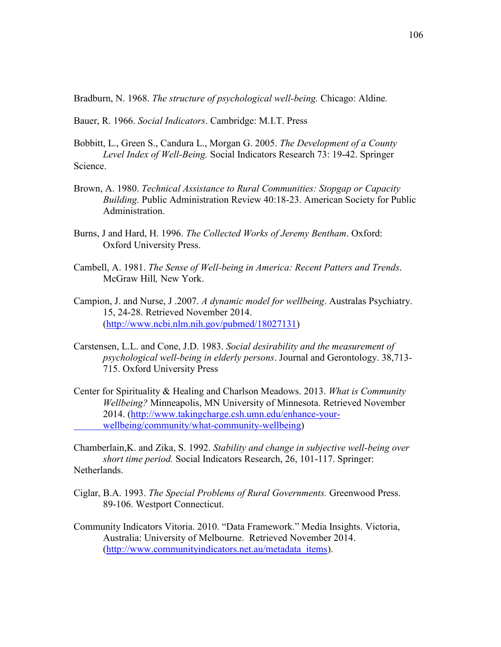Bradburn, N. 1968. *The structure of psychological well-being.* Chicago: Aldine*.*

Bauer, R. 1966. *Social Indicators*. Cambridge: M.I.T. Press

- Bobbitt, L., Green S., Candura L., Morgan G. 2005. *The Development of a County Level Index of Well-Being.* Social Indicators Research 73: 19-42. Springer Science.
- Brown, A. 1980. *Technical Assistance to Rural Communities: Stopgap or Capacity Building.* Public Administration Review 40:18-23. American Society for Public Administration.
- Burns, J and Hard, H. 1996. *The Collected Works of Jeremy Bentham*. Oxford: Oxford University Press.
- Cambell, A. 1981. *The Sense of Well-being in America: Recent Patters and Trends*. McGraw Hill*,* New York.
- Campion, J. and Nurse, J .2007. *A dynamic model for wellbeing*. Australas Psychiatry. 15, 24-28. Retrieved November 2014. [\(http://www.ncbi.nlm.nih.gov/pubmed/18027131\)](http://www.ncbi.nlm.nih.gov/pubmed/18027131)
- Carstensen, L.L. and Cone, J.D. 1983. *Social desirability and the measurement of psychological well-being in elderly persons*. Journal and Gerontology. 38,713- 715. Oxford University Press
- Center for Spirituality & Healing and Charlson Meadows. 2013. *What is Community Wellbeing?* Minneapolis, MN University of Minnesota. Retrieved November 2014. [\(http://www.takingcharge.csh.umn.edu/enhance-your](http://www.takingcharge.csh.umn.edu/enhance-your-wellbeing/community/what-community-wellbeing)[wellbeing/community/what-community-wellbeing\)](http://www.takingcharge.csh.umn.edu/enhance-your-wellbeing/community/what-community-wellbeing)

Chamberlain,K. and Zika, S. 1992. *Stability and change in subjective well-being over short time period.* Social Indicators Research, 26, 101-117. Springer: Netherlands.

- Ciglar, B.A. 1993. *The Special Problems of Rural Governments.* Greenwood Press. 89-106. Westport Connecticut.
- Community Indicators Vitoria. 2010. "Data Framework." Media Insights. Victoria, Australia: University of Melbourne. Retrieved November 2014. [\(http://www.communityindicators.net.au/metadata\\_items\)](http://www.communityindicators.net.au/metadata_items).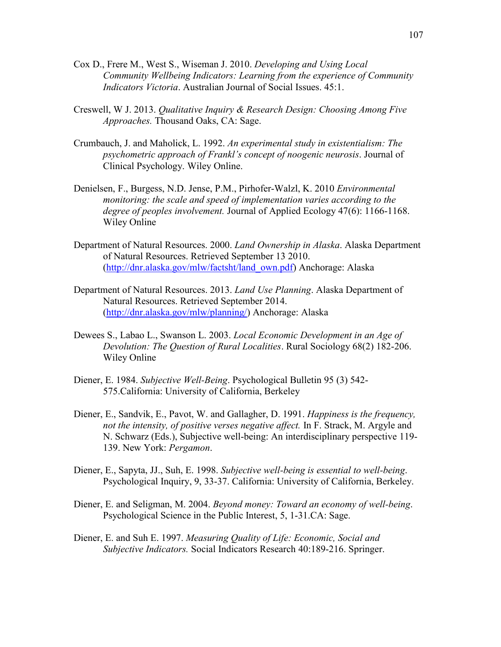- Cox D., Frere M., West S., Wiseman J. 2010. *Developing and Using Local Community Wellbeing Indicators: Learning from the experience of Community Indicators Victoria*. Australian Journal of Social Issues. 45:1.
- Creswell, W J. 2013. *Qualitative Inquiry & Research Design: Choosing Among Five Approaches.* Thousand Oaks, CA: Sage.
- Crumbauch, J. and Maholick, L. 1992. *An experimental study in existentialism: The psychometric approach of Frankl's concept of noogenic neurosis*. Journal of Clinical Psychology. Wiley Online.
- Denielsen, F., Burgess, N.D. Jense, P.M., Pirhofer-Walzl, K. 2010 *Environmental monitoring: the scale and speed of implementation varies according to the degree of peoples involvement.* Journal of Applied Ecology 47(6): 1166-1168. Wiley Online
- Department of Natural Resources. 2000. *Land Ownership in Alaska*. Alaska Department of Natural Resources. Retrieved September 13 2010. [\(http://dnr.alaska.gov/mlw/factsht/land\\_own.pdf\)](http://dnr.alaska.gov/mlw/factsht/land_own.pdf) Anchorage: Alaska
- Department of Natural Resources. 2013. *Land Use Planning*. Alaska Department of Natural Resources. Retrieved September 2014. [\(http://dnr.alaska.gov/mlw/planning/\)](http://dnr.alaska.gov/mlw/planning/) Anchorage: Alaska
- Dewees S., Labao L., Swanson L. 2003. *Local Economic Development in an Age of Devolution: The Question of Rural Localities*. Rural Sociology 68(2) 182-206. Wiley Online
- Diener, E. 1984. *Subjective Well-Being*. Psychological Bulletin 95 (3) 542- 575.California: University of California, Berkeley
- Diener, E., Sandvik, E., Pavot, W. and Gallagher, D. 1991. *Happiness is the frequency, not the intensity, of positive verses negative affect.* In F. Strack, M. Argyle and N. Schwarz (Eds.), Subjective well-being: An interdisciplinary perspective 119- 139. New York: *Pergamon*.
- Diener, E., Sapyta, JJ., Suh, E. 1998. *Subjective well-being is essential to well-being*. Psychological Inquiry, 9, 33-37. California: University of California, Berkeley.
- Diener, E. and Seligman, M. 2004. *Beyond money: Toward an economy of well-being*. Psychological Science in the Public Interest, 5, 1-31.CA: Sage.
- Diener, E. and Suh E. 1997. *Measuring Quality of Life: Economic, Social and Subjective Indicators.* Social Indicators Research 40:189-216. Springer.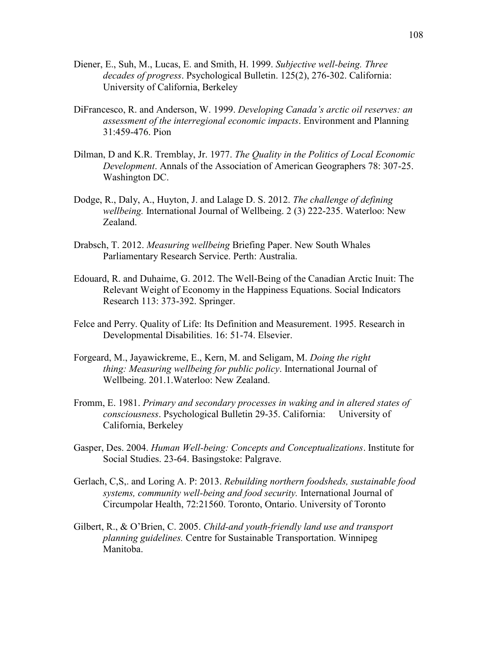- Diener, E., Suh, M., Lucas, E. and Smith, H. 1999. *Subjective well-being. Three decades of progress*. Psychological Bulletin. 125(2), 276-302. California: University of California, Berkeley
- DiFrancesco, R. and Anderson, W. 1999. *Developing Canada's arctic oil reserves: an assessment of the interregional economic impacts*. Environment and Planning 31:459-476. Pion
- Dilman, D and K.R. Tremblay, Jr. 1977. *The Quality in the Politics of Local Economic Development*. Annals of the Association of American Geographers 78: 307-25. Washington DC.
- Dodge, R., Daly, A., Huyton, J. and Lalage D. S. 2012. *The challenge of defining wellbeing.* International Journal of Wellbeing. 2 (3) 222-235. Waterloo: New Zealand.
- Drabsch, T. 2012. *Measuring wellbeing* Briefing Paper. New South Whales Parliamentary Research Service. Perth: Australia.
- Edouard, R. and Duhaime, G. 2012. The Well-Being of the Canadian Arctic Inuit: The Relevant Weight of Economy in the Happiness Equations. Social Indicators Research 113: 373-392. Springer.
- Felce and Perry. Quality of Life: Its Definition and Measurement. 1995. Research in Developmental Disabilities. 16: 51-74. Elsevier.
- Forgeard, M., Jayawickreme, E., Kern, M. and Seligam, M. *Doing the right thing: Measuring wellbeing for public policy*. International Journal of Wellbeing. 201.1.Waterloo: New Zealand.
- Fromm, E. 1981. *Primary and secondary processes in waking and in altered states of consciousness*. Psychological Bulletin 29-35. California: University of California, Berkeley
- Gasper, Des. 2004. *Human Well-being: Concepts and Conceptualizations*. Institute for Social Studies. 23-64. Basingstoke: Palgrave.
- Gerlach, C,S,. and Loring A. P: 2013. *Rebuilding northern foodsheds, sustainable food systems, community well-being and food security.* International Journal of Circumpolar Health, 72:21560. Toronto, Ontario. University of Toronto
- Gilbert, R., & O'Brien, C. 2005. *Child-and youth-friendly land use and transport planning guidelines.* Centre for Sustainable Transportation. Winnipeg Manitoba.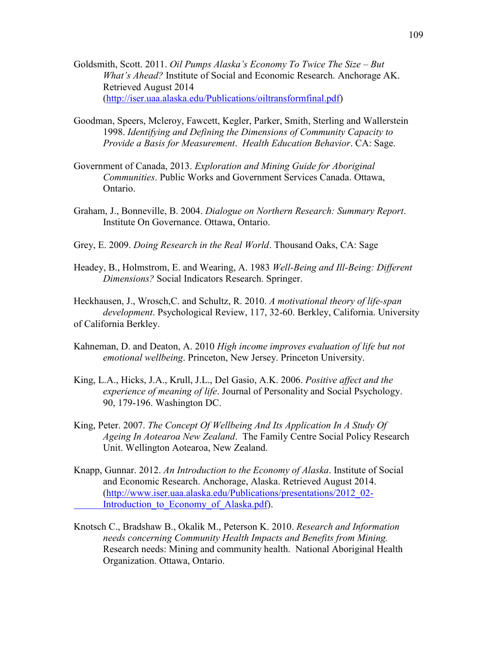- Goldsmith, Scott. 2011. *Oil Pumps Alaska's Economy To Twice The Size – But What's Ahead?* Institute of Social and Economic Research. Anchorage AK. Retrieved August 2014 [\(http://iser.uaa.alaska.edu/Publications/oiltransformfinal.pdf\)](http://iser.uaa.alaska.edu/Publications/oiltransformfinal.pdf)
- Goodman, Speers, Mcleroy, Fawcett, Kegler, Parker, Smith, Sterling and Wallerstein 1998. *Identifying and Defining the Dimensions of Community Capacity to Provide a Basis for Measurement*. *Health Education Behavior*. CA: Sage.
- Government of Canada, 2013. *Exploration and Mining Guide for Aboriginal Communities*. Public Works and Government Services Canada. Ottawa, Ontario.
- Graham, J., Bonneville, B. 2004. *Dialogue on Northern Research: Summary Report*. Institute On Governance. Ottawa, Ontario.
- Grey, E. 2009. *Doing Research in the Real World*. Thousand Oaks, CA: Sage
- Headey, B., Holmstrom, E. and Wearing, A. 1983 *Well-Being and Ill-Being: Different Dimensions?* Social Indicators Research. Springer.

Heckhausen, J., Wrosch,C. and Schultz, R. 2010. *A motivational theory of life-span development*. Psychological Review, 117, 32-60. Berkley, California. University of California Berkley.

- Kahneman, D. and Deaton, A. 2010 *High income improves evaluation of life but not emotional wellbeing*. Princeton, New Jersey. Princeton University.
- King, L.A., Hicks, J.A., Krull, J.L., Del Gasio, A.K. 2006. *Positive affect and the experience of meaning of life*. Journal of Personality and Social Psychology. 90, 179-196. Washington DC.
- King, Peter. 2007. *The Concept Of Wellbeing And Its Application In A Study Of Ageing In Aotearoa New Zealand*. The Family Centre Social Policy Research Unit. Wellington Aotearoa, New Zealand.
- Knapp, Gunnar. 2012. *An Introduction to the Economy of Alaska*. Institute of Social and Economic Research. Anchorage, Alaska. Retrieved August 2014. [\(http://www.iser.uaa.alaska.edu/Publications/presentations/2012\\_02-](http://www.iser.uaa.alaska.edu/Publications/presentations/2012_02-Introduction_to_Economy_of_Alaska.pdf) Introduction to Economy of Alaska.pdf).
- Knotsch C., Bradshaw B., Okalik M., Peterson K. 2010. *Research and Information needs concerning Community Health Impacts and Benefits from Mining.* Research needs: Mining and community health. National Aboriginal Health Organization. Ottawa, Ontario.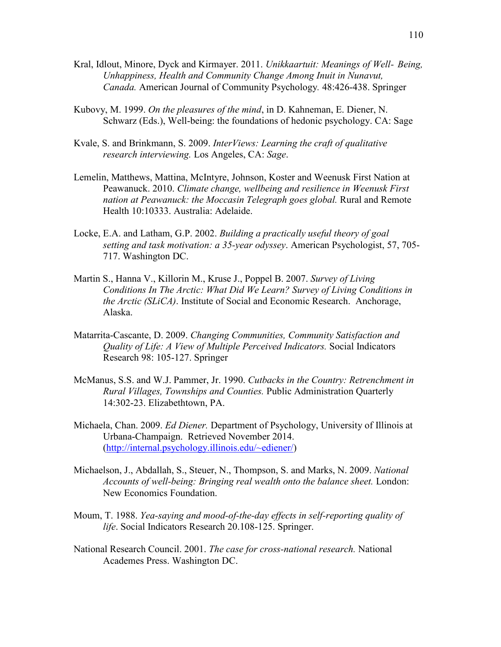- Kral, Idlout, Minore, Dyck and Kirmayer. 2011. *Unikkaartuit: Meanings of Well- Being, Unhappiness, Health and Community Change Among Inuit in Nunavut, Canada.* American Journal of Community Psychology*.* 48:426-438. Springer
- Kubovy, M. 1999. *On the pleasures of the mind*, in D. Kahneman, E. Diener, N. Schwarz (Eds.), Well-being: the foundations of hedonic psychology. CA: Sage
- Kvale, S. and Brinkmann, S. 2009. *InterViews: Learning the craft of qualitative research interviewing.* Los Angeles, CA: *Sage*.
- Lemelin, Matthews, Mattina, McIntyre, Johnson, Koster and Weenusk First Nation at Peawanuck. 2010. *Climate change, wellbeing and resilience in Weenusk First nation at Peawanuck: the Moccasin Telegraph goes global.* Rural and Remote Health 10:10333. Australia: Adelaide.
- Locke, E.A. and Latham, G.P. 2002. *Building a practically useful theory of goal setting and task motivation: a 35-year odyssey*. American Psychologist, 57, 705- 717. Washington DC.
- Martin S., Hanna V., Killorin M., Kruse J., Poppel B. 2007. *Survey of Living Conditions In The Arctic: What Did We Learn? Survey of Living Conditions in the Arctic (SLiCA)*. Institute of Social and Economic Research. Anchorage, Alaska.
- Matarrita-Cascante, D. 2009. *Changing Communities, Community Satisfaction and Quality of Life: A View of Multiple Perceived Indicators.* Social Indicators Research 98: 105-127. Springer
- McManus, S.S. and W.J. Pammer, Jr. 1990. *Cutbacks in the Country: Retrenchment in Rural Villages, Townships and Counties.* Public Administration Quarterly 14:302-23. Elizabethtown, PA.
- Michaela, Chan. 2009. *Ed Diener.* Department of Psychology, University of Illinois at Urbana-Champaign. Retrieved November 2014. [\(http://internal.psychology.illinois.edu/~ediener/\)](http://internal.psychology.illinois.edu/~ediener/)
- Michaelson, J., Abdallah, S., Steuer, N., Thompson, S. and Marks, N. 2009. *National Accounts of well-being: Bringing real wealth onto the balance sheet.* London: New Economics Foundation.
- Moum, T. 1988. *Yea-saying and mood-of-the-day effects in self-reporting quality of life*. Social Indicators Research 20.108-125. Springer.
- National Research Council. 2001. *The case for cross-national research.* National Academes Press. Washington DC.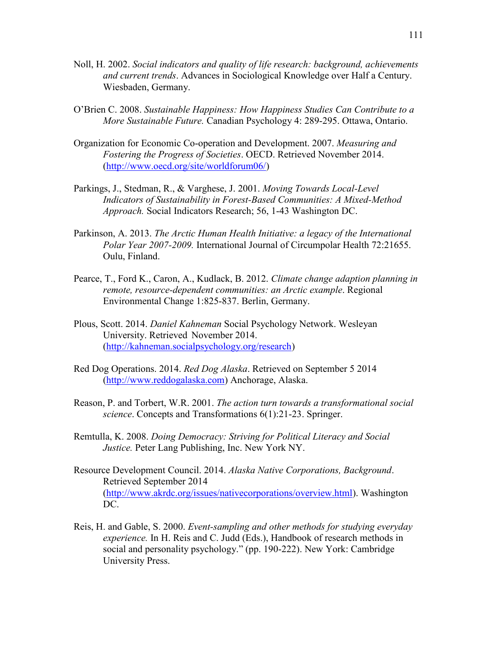- Noll, H. 2002. *Social indicators and quality of life research: background, achievements and current trends*. Advances in Sociological Knowledge over Half a Century. Wiesbaden, Germany.
- O'Brien C. 2008. *Sustainable Happiness: How Happiness Studies Can Contribute to a More Sustainable Future.* Canadian Psychology 4: 289-295. Ottawa, Ontario.
- Organization for Economic Co-operation and Development. 2007. *Measuring and Fostering the Progress of Societies*. OECD. Retrieved November 2014. [\(http://www.oecd.org/site/worldforum06/\)](http://www.oecd.org/site/worldforum06/)
- Parkings, J., Stedman, R., & Varghese, J. 2001. *Moving Towards Local-Level Indicators of Sustainability in Forest-Based Communities: A Mixed-Method Approach.* Social Indicators Research; 56, 1-43 Washington DC.
- Parkinson, A. 2013. *The Arctic Human Health Initiative: a legacy of the International Polar Year 2007-2009.* International Journal of Circumpolar Health 72:21655. Oulu, Finland.
- Pearce, T., Ford K., Caron, A., Kudlack, B. 2012. *Climate change adaption planning in remote, resource-dependent communities: an Arctic example*. Regional Environmental Change 1:825-837. Berlin, Germany.
- Plous, Scott. 2014. *Daniel Kahneman* Social Psychology Network. Wesleyan University. Retrieved November 2014. [\(http://kahneman.socialpsychology.org/research\)](http://kahneman.socialpsychology.org/research)
- Red Dog Operations. 2014. *Red Dog Alaska*. Retrieved on September 5 2014 [\(http://www.reddogalaska.com\)](http://www.reddogalaska.com/) Anchorage, Alaska.
- Reason, P. and Torbert, W.R. 2001. *The action turn towards a transformational social science*. Concepts and Transformations 6(1):21-23. Springer.
- Remtulla, K. 2008. *Doing Democracy: Striving for Political Literacy and Social Justice.* Peter Lang Publishing, Inc. New York NY.
- Resource Development Council. 2014. *Alaska Native Corporations, Background*. Retrieved September 2014 [\(http://www.akrdc.org/issues/nativecorporations/overview.html\)](http://www.akrdc.org/issues/nativecorporations/overview.html). Washington DC.
- Reis, H. and Gable, S. 2000. *Event-sampling and other methods for studying everyday experience.* In H. Reis and C. Judd (Eds.), Handbook of research methods in social and personality psychology." (pp. 190-222). New York: Cambridge University Press.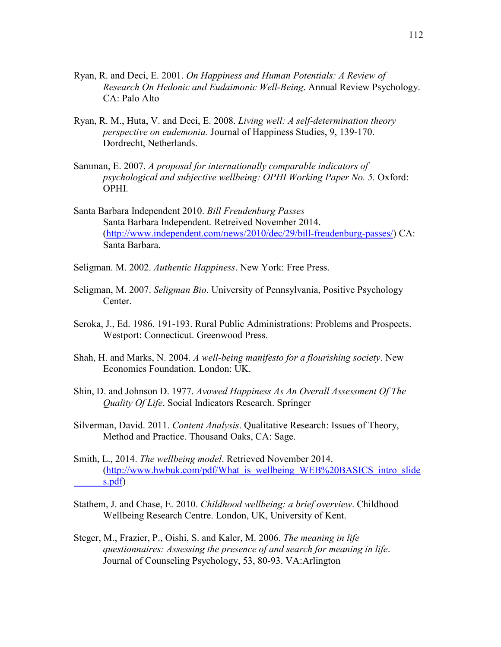- Ryan, R. and Deci, E. 2001. *On Happiness and Human Potentials: A Review of Research On Hedonic and Eudaimonic Well-Being*. Annual Review Psychology. CA: Palo Alto
- Ryan, R. M., Huta, V. and Deci, E. 2008. *Living well: A self-determination theory perspective on eudemonia.* Journal of Happiness Studies, 9, 139-170. Dordrecht, Netherlands.
- Samman, E. 2007. *A proposal for internationally comparable indicators of psychological and subjective wellbeing: OPHI Working Paper No. 5.* Oxford: OPHI.
- Santa Barbara Independent 2010. *Bill Freudenburg Passes* Santa Barbara Independent*.* Retreived November 2014. [\(http://www.independent.com/news/2010/dec/29/bill-freudenburg-passes/\)](http://www.independent.com/news/2010/dec/29/bill-freudenburg-passes/) CA: Santa Barbara.
- Seligman. M. 2002. *Authentic Happiness*. New York: Free Press.
- Seligman, M. 2007. *Seligman Bio*. University of Pennsylvania, Positive Psychology Center.
- Seroka, J., Ed. 1986. 191-193. Rural Public Administrations: Problems and Prospects. Westport: Connecticut. Greenwood Press.
- Shah, H. and Marks, N. 2004. *A well-being manifesto for a flourishing society*. New Economics Foundation. London: UK.
- Shin, D. and Johnson D. 1977. *Avowed Happiness As An Overall Assessment Of The Quality Of Life*. Social Indicators Research. Springer
- Silverman, David. 2011. *Content Analysis*. Qualitative Research: Issues of Theory, Method and Practice. Thousand Oaks, CA: Sage.
- Smith, L., 2014. *The wellbeing model*. Retrieved November 2014. [\(http://www.hwbuk.com/pdf/What\\_is\\_wellbeing\\_WEB%20BASICS\\_intro\\_slide](http://www.hwbuk.com/pdf/What_is_wellbeing_WEB%20BASICS_intro_slides.pdf) [s.pdf\)](http://www.hwbuk.com/pdf/What_is_wellbeing_WEB%20BASICS_intro_slides.pdf)
- Stathem, J. and Chase, E. 2010. *Childhood wellbeing: a brief overview*. Childhood Wellbeing Research Centre. London, UK, University of Kent.
- Steger, M., Frazier, P., Oishi, S. and Kaler, M. 2006. *The meaning in life questionnaires: Assessing the presence of and search for meaning in life*. Journal of Counseling Psychology, 53, 80-93. VA:Arlington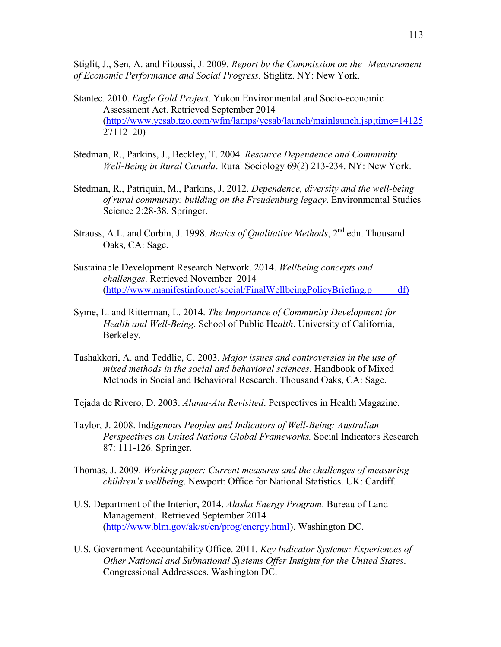Stiglit, J., Sen, A. and Fitoussi, J. 2009. *Report by the Commission on the Measurement of Economic Performance and Social Progress.* Stiglitz. NY: New York.

- Stantec. 2010. *Eagle Gold Project*. Yukon Environmental and Socio-economic Assessment Act. Retrieved September 2014 [\(http://www.yesab.tzo.com/wfm/lamps/yesab/launch/mainlaunch.jsp;time=14125](http://www.yesab.tzo.com/wfm/lamps/yesab/launch/mainlaunch.jsp;time=14125) 27112120)
- Stedman, R., Parkins, J., Beckley, T. 2004. *Resource Dependence and Community Well-Being in Rural Canada*. Rural Sociology 69(2) 213-234. NY: New York.
- Stedman, R., Patriquin, M., Parkins, J. 2012. *Dependence, diversity and the well-being of rural community: building on the Freudenburg legacy*. Environmental Studies Science 2:28-38. Springer.
- Strauss, A.L. and Corbin, J. 1998*. Basics of Qualitative Methods*, 2nd edn. Thousand Oaks, CA: Sage.
- Sustainable Development Research Network. 2014. *Wellbeing concepts and challenges*. Retrieved November 2014 [\(http://www.manifestinfo.net/social/FinalWellbeingPolicyBriefing.p](http://www.manifestinfo.net/social/FinalWellbeingPolicyBriefing.pdf) df)
- Syme, L. and Ritterman, L. 2014. *The Importance of Community Development for Health and Well-Being*. School of Public He*alth*. University of California, Berkeley.
- Tashakkori, A. and Teddlie, C. 2003. *Major issues and controversies in the use of mixed methods in the social and behavioral sciences.* Handbook of Mixed Methods in Social and Behavioral Research. Thousand Oaks, CA: Sage.
- Tejada de Rivero, D. 2003. *Alama-Ata Revisited*. Perspectives in Health Magazine*.*
- Taylor, J. 2008. Ind*igenous Peoples and Indicators of Well-Being: Australian Perspectives on United Nations Global Frameworks.* Social Indicators Research 87: 111-126. Springer.
- Thomas, J. 2009. *Working paper: Current measures and the challenges of measuring children's wellbeing*. Newport: Office for National Statistics. UK: Cardiff.
- U.S. Department of the Interior, 2014. *Alaska Energy Program*. Bureau of Land Management. Retrieved September 2014 [\(http://www.blm.gov/ak/st/en/prog/energy.html\)](http://www.blm.gov/ak/st/en/prog/energy.html). Washington DC.
- U.S. Government Accountability Office. 2011. *Key Indicator Systems: Experiences of Other National and Subnational Systems Offer Insights for the United States*. Congressional Addressees. Washington DC.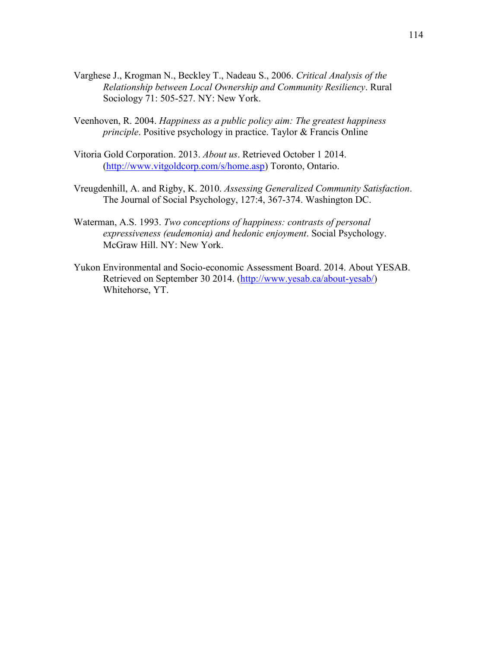- Varghese J., Krogman N., Beckley T., Nadeau S., 2006. *Critical Analysis of the Relationship between Local Ownership and Community Resiliency*. Rural Sociology 71: 505-527. NY: New York.
- Veenhoven, R. 2004. *Happiness as a public policy aim: The greatest happiness principle*. Positive psychology in practice. Taylor & Francis Online
- Vitoria Gold Corporation. 2013. *About us*. Retrieved October 1 2014. [\(http://www.vitgoldcorp.com/s/home.asp\)](http://www.vitgoldcorp.com/s/home.asp) Toronto, Ontario.
- Vreugdenhill, A. and Rigby, K. 2010. *Assessing Generalized Community Satisfaction*. The Journal of Social Psychology, 127:4, 367-374. Washington DC.
- Waterman, A.S. 1993. *Two conceptions of happiness: contrasts of personal expressiveness (eudemonia) and hedonic enjoyment*. Social Psychology. McGraw Hill. NY: New York.
- Yukon Environmental and Socio-economic Assessment Board. 2014. About YESAB. Retrieved on September 30 2014. [\(http://www.yesab.ca/about-yesab/\)](http://www.yesab.ca/about-yesab/) Whitehorse, YT.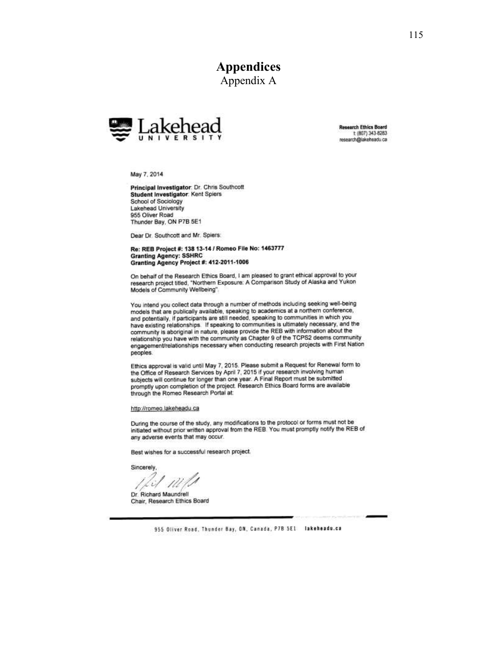**Appendices** Appendix A



**Research Ethics Board** t: (807) 343-8283 research@lakehsadu.ca

May 7, 2014

Principal Investigator: Dr. Chris Southcott Student Investigator: Kent Spiers School of Sociology Lakehead University 955 Oliver Road Thunder Bay, ON P7B 5E1

Dear Dr. Southcott and Mr. Spiers:

#### Re: REB Project #: 138 13-14 / Romeo File No: 1463777 **Granting Agency: SSHRC** Granting Agency Project #: 412-2011-1006

On behalf of the Research Ethics Board, I am pleased to grant ethical approval to your research project titled, "Northern Exposure: A Comparison Study of Alaska and Yukon Models of Community Wellbeing".

You intend you collect data through a number of methods including seeking well-being models that are publically available, speaking to academics at a northern conference, and potentially, if participants are still needed, speaking to communities in which you have existing relationships. If speaking to communities is ultimately necessary, and the community is aboriginal in nature, please provide the REB with information about the relationship you have with the community as Chapter 9 of the TCPS2 deems community engagement/relationships necessary when conducting research projects with First Nation peoples.

Ethics approval is valid until May 7, 2015. Please submit a Request for Renewal form to the Office of Research Services by April 7, 2015 if your research involving human subjects will continue for longer than one year. A Final Report must be submitted promptly upon completion of the project. Research Ethics Board forms are available through the Romeo Research Portal at:

#### http://romeo.lakeheadu.ca

During the course of the study, any modifications to the protocol or forms must not be initiated without prior written approval from the REB. You must promptly notify the REB of any adverse events that may occur.

Best wishes for a successful research project.

Sincerely

Dr. Richard Maundrell Chair, Research Ethics Board

955 Oliver Road, Thunder Bay, ON, Canada, P7B 5E1 lakeheadu.ca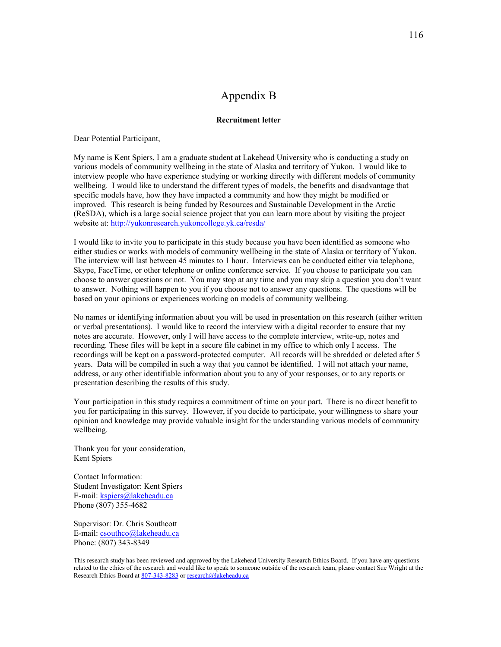## Appendix B

### **Recruitment letter**

Dear Potential Participant,

My name is Kent Spiers, I am a graduate student at Lakehead University who is conducting a study on various models of community wellbeing in the state of Alaska and territory of Yukon. I would like to interview people who have experience studying or working directly with different models of community wellbeing. I would like to understand the different types of models, the benefits and disadvantage that specific models have, how they have impacted a community and how they might be modified or improved. This research is being funded by Resources and Sustainable Development in the Arctic (ReSDA), which is a large social science project that you can learn more about by visiting the project website at:<http://yukonresearch.yukoncollege.yk.ca/resda/>

I would like to invite you to participate in this study because you have been identified as someone who either studies or works with models of community wellbeing in the state of Alaska or territory of Yukon. The interview will last between 45 minutes to 1 hour. Interviews can be conducted either via telephone, Skype, FaceTime, or other telephone or online conference service. If you choose to participate you can choose to answer questions or not. You may stop at any time and you may skip a question you don't want to answer. Nothing will happen to you if you choose not to answer any questions. The questions will be based on your opinions or experiences working on models of community wellbeing.

No names or identifying information about you will be used in presentation on this research (either written or verbal presentations). I would like to record the interview with a digital recorder to ensure that my notes are accurate. However, only I will have access to the complete interview, write-up, notes and recording. These files will be kept in a secure file cabinet in my office to which only I access. The recordings will be kept on a password-protected computer. All records will be shredded or deleted after 5 years. Data will be compiled in such a way that you cannot be identified. I will not attach your name, address, or any other identifiable information about you to any of your responses, or to any reports or presentation describing the results of this study.

Your participation in this study requires a commitment of time on your part. There is no direct benefit to you for participating in this survey. However, if you decide to participate, your willingness to share your opinion and knowledge may provide valuable insight for the understanding various models of community wellbeing.

Thank you for your consideration, Kent Spiers

Contact Information: Student Investigator: Kent Spiers E-mail: [kspiers@lakeheadu.ca](mailto:kspiers@lakeheadu.ca) Phone (807) 355-4682

Supervisor: Dr. Chris Southcott E-mail: [csouthco@lakeheadu.ca](mailto:csouthco@lakeheadu.ca) Phone: (807) 343-8349

This research study has been reviewed and approved by the Lakehead University Research Ethics Board. If you have any questions related to the ethics of the research and would like to speak to someone outside of the research team, please contact Sue Wright at the Research Ethics Board a[t 807-343-8283](tel:807-343-8283) o[r research@lakeheadu.ca](mailto:research@lakeheadu.ca)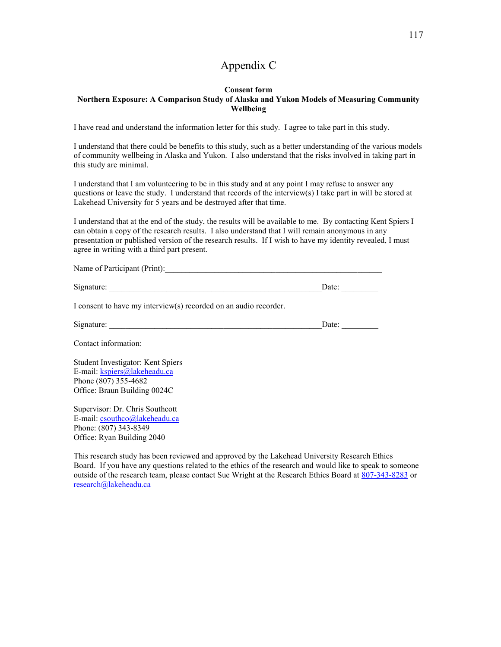# Appendix C

### **Consent form Northern Exposure: A Comparison Study of Alaska and Yukon Models of Measuring Community Wellbeing**

I have read and understand the information letter for this study. I agree to take part in this study.

I understand that there could be benefits to this study, such as a better understanding of the various models of community wellbeing in Alaska and Yukon. I also understand that the risks involved in taking part in this study are minimal.

I understand that I am volunteering to be in this study and at any point I may refuse to answer any questions or leave the study. I understand that records of the interview(s) I take part in will be stored at Lakehead University for 5 years and be destroyed after that time.

I understand that at the end of the study, the results will be available to me. By contacting Kent Spiers I can obtain a copy of the research results. I also understand that I will remain anonymous in any presentation or published version of the research results. If I wish to have my identity revealed, I must agree in writing with a third part present.

| Name of Participant (Print): \[ \]                                                                                        |                                                                           |  |
|---------------------------------------------------------------------------------------------------------------------------|---------------------------------------------------------------------------|--|
|                                                                                                                           | Date: $\qquad \qquad \qquad$                                              |  |
| I consent to have my interview(s) recorded on an audio recorder.                                                          |                                                                           |  |
|                                                                                                                           | Date: $\frac{1}{\sqrt{1-\frac{1}{2}}\cdot\frac{1}{\sqrt{1-\frac{1}{2}}}}$ |  |
| Contact information:                                                                                                      |                                                                           |  |
| Student Investigator: Kent Spiers<br>E-mail: kspiers@lakeheadu.ca<br>Phone (807) 355-4682<br>Office: Braun Building 0024C |                                                                           |  |
| Supervisor: Dr. Chris Southcott<br>E-mail: csouthco@lakeheadu.ca<br>Phone: (807) 343-8349<br>Office: Ryan Building 2040   |                                                                           |  |

This research study has been reviewed and approved by the Lakehead University Research Ethics Board. If you have any questions related to the ethics of the research and would like to speak to someone outside of the research team, please contact Sue Wright at the Research Ethics Board at [807-343-8283](tel:807-343-8283) or [research@lakeheadu.ca](mailto:research@lakeheadu.ca)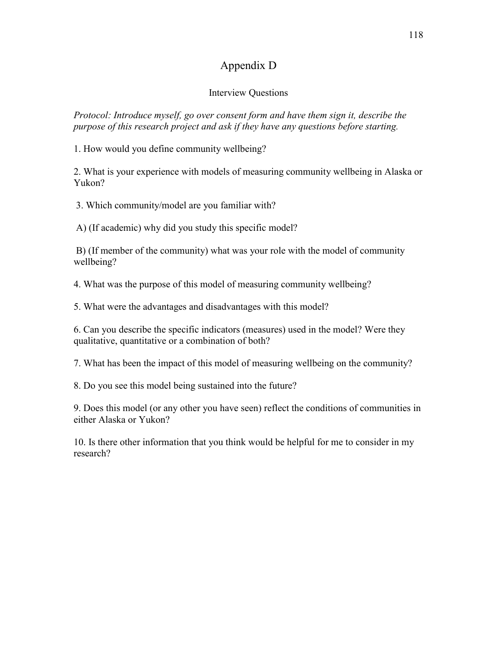# Appendix D

## Interview Questions

*Protocol: Introduce myself, go over consent form and have them sign it, describe the purpose of this research project and ask if they have any questions before starting.*

1. How would you define community wellbeing?

2. What is your experience with models of measuring community wellbeing in Alaska or Yukon?

3. Which community/model are you familiar with?

A) (If academic) why did you study this specific model?

B) (If member of the community) what was your role with the model of community wellbeing?

4. What was the purpose of this model of measuring community wellbeing?

5. What were the advantages and disadvantages with this model?

6. Can you describe the specific indicators (measures) used in the model? Were they qualitative, quantitative or a combination of both?

7. What has been the impact of this model of measuring wellbeing on the community?

8. Do you see this model being sustained into the future?

9. Does this model (or any other you have seen) reflect the conditions of communities in either Alaska or Yukon?

10. Is there other information that you think would be helpful for me to consider in my research?